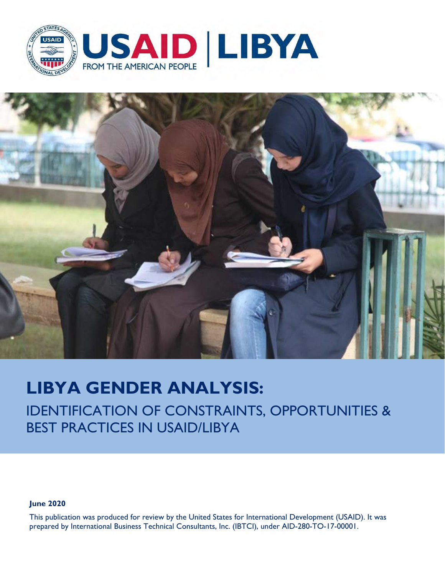



# **LIBYA GENDER ANALYSIS:**

IDENTIFICATION OF CONSTRAINTS, OPPORTUNITIES & BEST PRACTICES IN USAID/LIBYA

**June 2020** 

This publication was produced for review by the United States for International Development (USAID). It was prepared by International Business Technical Consultants, Inc. (IBTCI), under AID-280-TO-17-00001.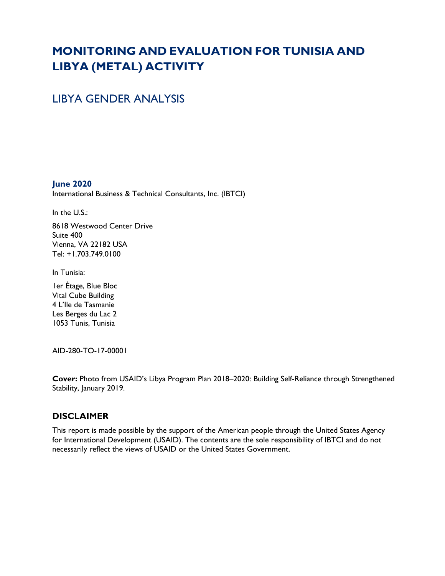# **MONITORING AND EVALUATION FOR TUNISIA AND LIBYA (METAL) ACTIVITY**

# LIBYA GENDER ANALYSIS

**June 2020** International Business & Technical Consultants, Inc. (IBTCI)

In the U.S.:

8618 Westwood Center Drive Suite 400 Vienna, VA 22182 USA Tel: +1.703.749.0100

In Tunisia:

1er Étage, Blue Bloc Vital Cube Building 4 L'Ile de Tasmanie Les Berges du Lac 2 1053 Tunis, Tunisia

AID-280-TO-17-00001

**Cover:** Photo from USAID's Libya Program Plan 2018–2020: Building Self-Reliance through Strengthened Stability, January 2019.

#### **DISCLAIMER**

This report is made possible by the support of the American people through the United States Agency for International Development (USAID). The contents are the sole responsibility of IBTCI and do not necessarily reflect the views of USAID or the United States Government.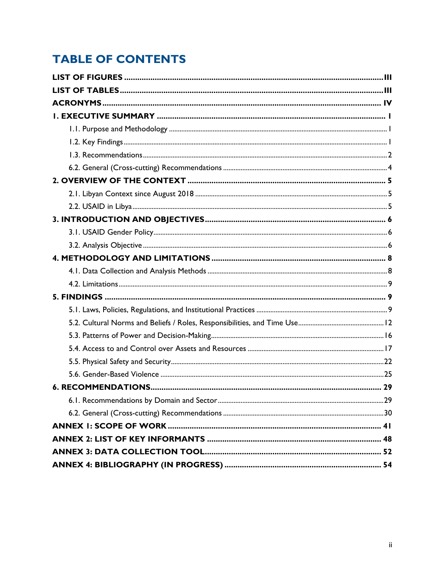# **TABLE OF CONTENTS**

<span id="page-2-0"></span>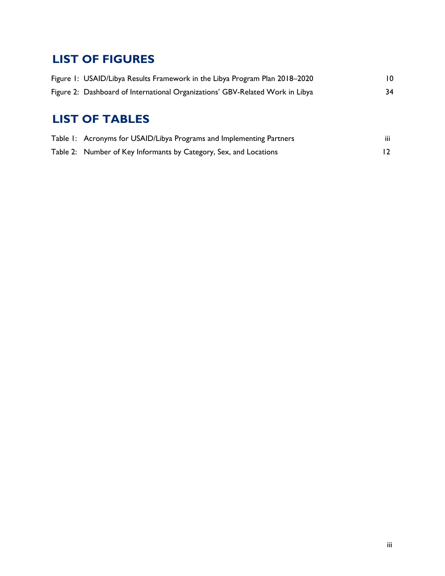# **LIST OF FIGURES**

| Figure 1: USAID/Libya Results Framework in the Libya Program Plan 2018–2020   | 10. |
|-------------------------------------------------------------------------------|-----|
| Figure 2: Dashboard of International Organizations' GBV-Related Work in Libya | 34  |

# <span id="page-3-0"></span>**LIST OF TABLES**

| Table 1: Acronyms for USAID/Libya Programs and Implementing Partners | $\cdots$<br>Ш |
|----------------------------------------------------------------------|---------------|
| Table 2: Number of Key Informants by Category, Sex, and Locations    |               |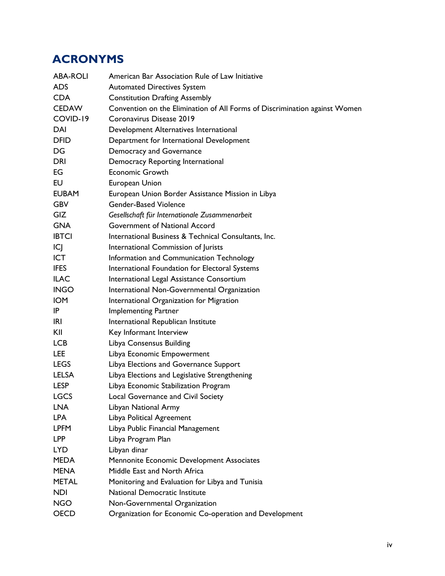# <span id="page-4-0"></span>**ACRONYMS**

| <b>ABA-ROLI</b> | American Bar Association Rule of Law Initiative                            |
|-----------------|----------------------------------------------------------------------------|
| <b>ADS</b>      | <b>Automated Directives System</b>                                         |
| <b>CDA</b>      | <b>Constitution Drafting Assembly</b>                                      |
| <b>CEDAW</b>    | Convention on the Elimination of All Forms of Discrimination against Women |
| COVID-19        | Coronavirus Disease 2019                                                   |
| DAI             | Development Alternatives International                                     |
| <b>DFID</b>     | Department for International Development                                   |
| DG              | Democracy and Governance                                                   |
| <b>DRI</b>      | Democracy Reporting International                                          |
| EG              | <b>Economic Growth</b>                                                     |
| EU              | European Union                                                             |
| <b>EUBAM</b>    | European Union Border Assistance Mission in Libya                          |
| <b>GBV</b>      | <b>Gender-Based Violence</b>                                               |
| <b>GIZ</b>      | Gesellschaft für Internationale Zusammenarbeit                             |
| <b>GNA</b>      | Government of National Accord                                              |
| <b>IBTCI</b>    | International Business & Technical Consultants, Inc.                       |
| ICJ             | International Commission of Jurists                                        |
| <b>ICT</b>      | Information and Communication Technology                                   |
| <b>IFES</b>     | International Foundation for Electoral Systems                             |
| <b>ILAC</b>     | International Legal Assistance Consortium                                  |
| <b>INGO</b>     | International Non-Governmental Organization                                |
| <b>IOM</b>      | International Organization for Migration                                   |
| IP              | <b>Implementing Partner</b>                                                |
| IRI             | International Republican Institute                                         |
| KII             | Key Informant Interview                                                    |
| <b>LCB</b>      | Libya Consensus Building                                                   |
| <b>LEE</b>      | Libya Economic Empowerment                                                 |
| <b>LEGS</b>     | Libya Elections and Governance Support                                     |
| <b>LELSA</b>    | Libya Elections and Legislative Strengthening                              |
| <b>LESP</b>     | Libya Economic Stabilization Program                                       |
| <b>LGCS</b>     | Local Governance and Civil Society                                         |
| <b>LNA</b>      | Libyan National Army                                                       |
| <b>LPA</b>      | Libya Political Agreement                                                  |
| <b>LPFM</b>     | Libya Public Financial Management                                          |
| <b>LPP</b>      | Libya Program Plan                                                         |
| LYD             | Libyan dinar                                                               |
| <b>MEDA</b>     | Mennonite Economic Development Associates                                  |
| <b>MENA</b>     | Middle East and North Africa                                               |
| <b>METAL</b>    | Monitoring and Evaluation for Libya and Tunisia                            |
| <b>NDI</b>      | National Democratic Institute                                              |
| <b>NGO</b>      | Non-Governmental Organization                                              |
| <b>OECD</b>     | Organization for Economic Co-operation and Development                     |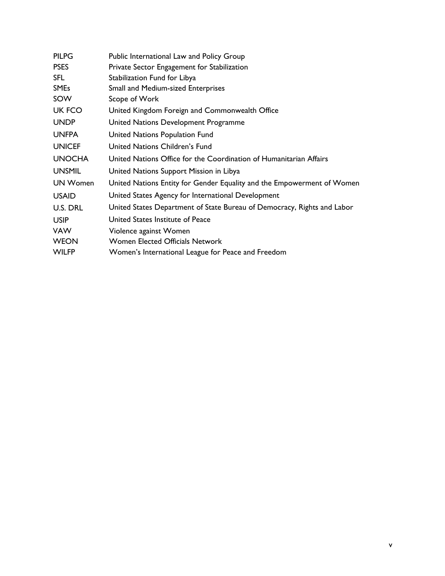| <b>PILPG</b>  | Public International Law and Policy Group                               |
|---------------|-------------------------------------------------------------------------|
| <b>PSES</b>   | Private Sector Engagement for Stabilization                             |
| <b>SFL</b>    | Stabilization Fund for Libya                                            |
| <b>SMEs</b>   | Small and Medium-sized Enterprises                                      |
| SOW           | Scope of Work                                                           |
| <b>UK FCO</b> | United Kingdom Foreign and Commonwealth Office                          |
| <b>UNDP</b>   | United Nations Development Programme                                    |
| <b>UNFPA</b>  | United Nations Population Fund                                          |
| <b>UNICEF</b> | United Nations Children's Fund                                          |
| <b>UNOCHA</b> | United Nations Office for the Coordination of Humanitarian Affairs      |
| <b>UNSMIL</b> | United Nations Support Mission in Libya                                 |
| UN Women      | United Nations Entity for Gender Equality and the Empowerment of Women  |
| <b>USAID</b>  | United States Agency for International Development                      |
| U.S. DRL      | United States Department of State Bureau of Democracy, Rights and Labor |
| <b>USIP</b>   | United States Institute of Peace                                        |
| <b>VAW</b>    | Violence against Women                                                  |
| <b>WEON</b>   | Women Elected Officials Network                                         |
| <b>WILFP</b>  | Women's International League for Peace and Freedom                      |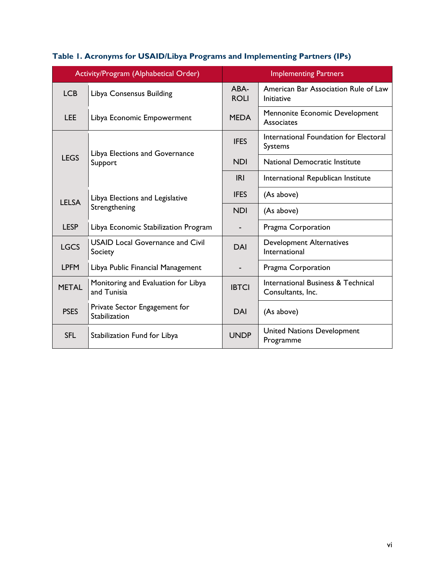| Activity/Program (Alphabetical Order) |                                                    |                                                                    | <b>Implementing Partners</b>                              |
|---------------------------------------|----------------------------------------------------|--------------------------------------------------------------------|-----------------------------------------------------------|
| <b>LCB</b>                            | Libya Consensus Building                           | ABA-<br><b>ROLI</b>                                                | American Bar Association Rule of Law<br><b>Initiative</b> |
| <b>LEE</b>                            | Libya Economic Empowerment                         | Mennonite Economic Development<br><b>MEDA</b><br><b>Associates</b> |                                                           |
|                                       | Libya Elections and Governance                     | <b>IFES</b>                                                        | International Foundation for Electoral<br><b>Systems</b>  |
| <b>LEGS</b>                           | Support                                            | <b>NDI</b>                                                         | National Democratic Institute                             |
|                                       |                                                    | IRI                                                                | International Republican Institute                        |
| <b>LELSA</b>                          | Libya Elections and Legislative<br>Strengthening   | <b>IFES</b>                                                        | (As above)                                                |
|                                       |                                                    | <b>NDI</b>                                                         | (As above)                                                |
| <b>LESP</b>                           | Libya Economic Stabilization Program               |                                                                    | Pragma Corporation                                        |
| <b>LGCS</b>                           | <b>USAID Local Governance and Civil</b><br>Society | DAI                                                                | <b>Development Alternatives</b><br>International          |
| <b>LPFM</b>                           | Libya Public Financial Management                  |                                                                    | Pragma Corporation                                        |
| <b>METAL</b>                          | Monitoring and Evaluation for Libya<br>and Tunisia | <b>IBTCI</b>                                                       | International Business & Technical<br>Consultants, Inc.   |
| <b>PSES</b>                           | Private Sector Engagement for<br>Stabilization     | <b>DAI</b>                                                         | (As above)                                                |
| <b>SFL</b>                            | Stabilization Fund for Libya                       | <b>UNDP</b>                                                        | <b>United Nations Development</b><br>Programme            |

# **Table 1. Acronyms for USAID/Libya Programs and Implementing Partners (IPs)**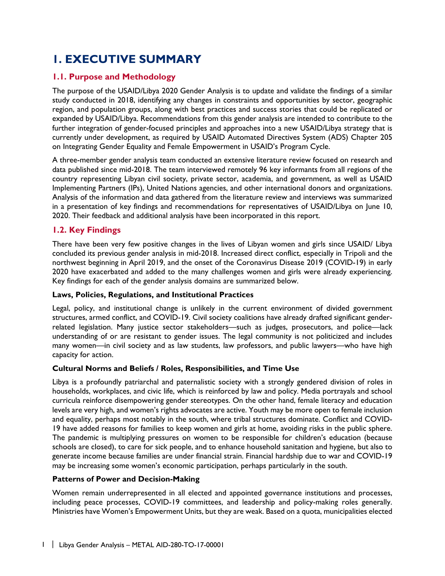# <span id="page-7-0"></span>**1. EXECUTIVE SUMMARY**

## <span id="page-7-1"></span>**1.1. Purpose and Methodology**

The purpose of the USAID/Libya 2020 Gender Analysis is to update and validate the findings of a similar study conducted in 2018, identifying any changes in constraints and opportunities by sector, geographic region, and population groups, along with best practices and success stories that could be replicated or expanded by USAID/Libya. Recommendations from this gender analysis are intended to contribute to the further integration of gender-focused principles and approaches into a new USAID/Libya strategy that is currently under development, as required by USAID Automated Directives System (ADS) Chapter 205 on Integrating Gender Equality and Female Empowerment in USAID's Program Cycle.

A three-member gender analysis team conducted an extensive literature review focused on research and data published since mid-2018. The team interviewed remotely 96 key informants from all regions of the country representing Libyan civil society, private sector, academia, and government, as well as USAID Implementing Partners (IPs), United Nations agencies, and other international donors and organizations. Analysis of the information and data gathered from the literature review and interviews was summarized in a presentation of key findings and recommendations for representatives of USAID/Libya on June 10, 2020. Their feedback and additional analysis have been incorporated in this report.

## <span id="page-7-2"></span>**1.2. Key Findings**

There have been very few positive changes in the lives of Libyan women and girls since USAID/ Libya concluded its previous gender analysis in mid-2018. Increased direct conflict, especially in Tripoli and the northwest beginning in April 2019, and the onset of the Coronavirus Disease 2019 (COVID-19) in early 2020 have exacerbated and added to the many challenges women and girls were already experiencing. Key findings for each of the gender analysis domains are summarized below.

#### **Laws, Policies, Regulations, and Institutional Practices**

Legal, policy, and institutional change is unlikely in the current environment of divided government structures, armed conflict, and COVID-19. Civil society coalitions have already drafted significant genderrelated legislation. Many justice sector stakeholders—such as judges, prosecutors, and police—lack understanding of or are resistant to gender issues. The legal community is not politicized and includes many women—in civil society and as law students, law professors, and public lawyers—who have high capacity for action.

#### **Cultural Norms and Beliefs / Roles, Responsibilities, and Time Use**

Libya is a profoundly patriarchal and paternalistic society with a strongly gendered division of roles in households, workplaces, and civic life, which is reinforced by law and policy. Media portrayals and school curricula reinforce disempowering gender stereotypes. On the other hand, female literacy and education levels are very high, and women's rights advocates are active. Youth may be more open to female inclusion and equality, perhaps most notably in the south, where tribal structures dominate. Conflict and COVID-19 have added reasons for families to keep women and girls at home, avoiding risks in the public sphere. The pandemic is multiplying pressures on women to be responsible for children's education (because schools are closed), to care for sick people, and to enhance household sanitation and hygiene, but also to generate income because families are under financial strain. Financial hardship due to war and COVID-19 may be increasing some women's economic participation, perhaps particularly in the south.

#### **Patterns of Power and Decision-Making**

Women remain underrepresented in all elected and appointed governance institutions and processes, including peace processes, COVID-19 committees, and leadership and policy-making roles generally. Ministries have Women's Empowerment Units, but they are weak. Based on a quota, municipalities elected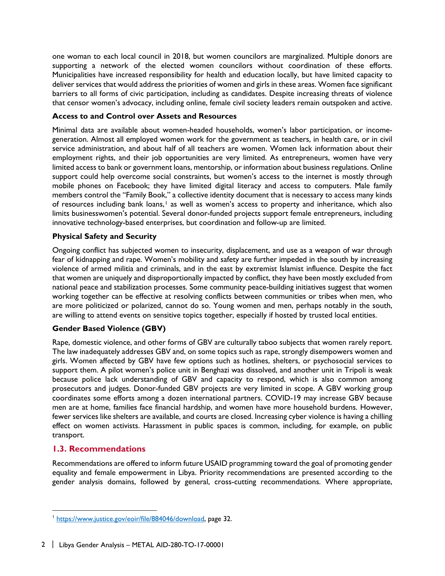one woman to each local council in 2018, but women councilors are marginalized. Multiple donors are supporting a network of the elected women councilors without coordination of these efforts. Municipalities have increased responsibility for health and education locally, but have limited capacity to deliver services that would address the priorities of women and girls in these areas. Women face significant barriers to all forms of civic participation, including as candidates. Despite increasing threats of violence that censor women's advocacy, including online, female civil society leaders remain outspoken and active.

#### **Access to and Control over Assets and Resources**

Minimal data are available about women-headed households, women's labor participation, or incomegeneration. Almost all employed women work for the government as teachers, in health care, or in civil service administration, and about half of all teachers are women. Women lack information about their employment rights, and their job opportunities are very limited. As entrepreneurs, women have very limited access to bank or government loans, mentorship, or information about business regulations. Online support could help overcome social constraints, but women's access to the internet is mostly through mobile phones on Facebook; they have limited digital literacy and access to computers. Male family members control the "Family Book," a collective identity document that is necessary to access many kinds of resources including bank loans,<sup>[1](#page-8-1)</sup> as well as women's access to property and inheritance, which also limits businesswomen's potential. Several donor-funded projects support female entrepreneurs, including innovative technology-based enterprises, but coordination and follow-up are limited.

#### **Physical Safety and Security**

Ongoing conflict has subjected women to insecurity, displacement, and use as a weapon of war through fear of kidnapping and rape. Women's mobility and safety are further impeded in the south by increasing violence of armed militia and criminals, and in the east by extremist Islamist influence. Despite the fact that women are uniquely and disproportionally impacted by conflict, they have been mostly excluded from national peace and stabilization processes. Some community peace-building initiatives suggest that women working together can be effective at resolving conflicts between communities or tribes when men, who are more politicized or polarized, cannot do so. Young women and men, perhaps notably in the south, are willing to attend events on sensitive topics together, especially if hosted by trusted local entities.

#### **Gender Based Violence (GBV)**

Rape, domestic violence, and other forms of GBV are culturally taboo subjects that women rarely report. The law inadequately addresses GBV and, on some topics such as rape, strongly disempowers women and girls. Women affected by GBV have few options such as hotlines, shelters, or psychosocial services to support them. A pilot women's police unit in Benghazi was dissolved, and another unit in Tripoli is weak because police lack understanding of GBV and capacity to respond, which is also common among prosecutors and judges. Donor-funded GBV projects are very limited in scope. A GBV working group coordinates some efforts among a dozen international partners. COVID-19 may increase GBV because men are at home, families face financial hardship, and women have more household burdens. However, fewer services like shelters are available, and courts are closed. Increasing cyber violence is having a chilling effect on women activists. Harassment in public spaces is common, including, for example, on public transport.

#### <span id="page-8-0"></span>**1.3. Recommendations**

 $\overline{a}$ 

Recommendations are offered to inform future USAID programming toward the goal of promoting gender equality and female empowerment in Libya. Priority recommendations are presented according to the gender analysis domains, followed by general, cross-cutting recommendations. Where appropriate,

<span id="page-8-1"></span><sup>&</sup>lt;sup>1</sup> [https://www.justice.gov/eoir/file/884046/download,](https://www.justice.gov/eoir/file/884046/download) page 32.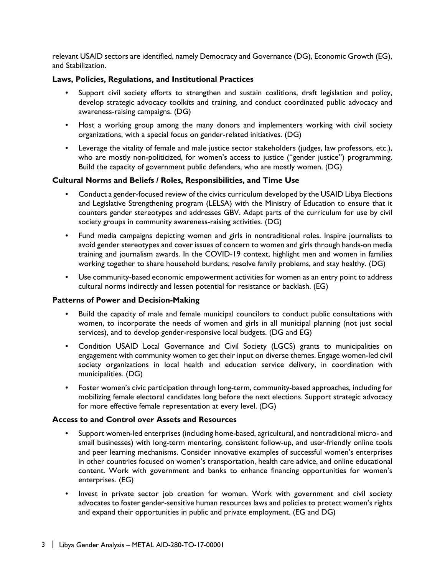relevant USAID sectors are identified, namely Democracy and Governance (DG), Economic Growth (EG), and Stabilization.

#### **Laws, Policies, Regulations, and Institutional Practices**

- Support civil society efforts to strengthen and sustain coalitions, draft legislation and policy, develop strategic advocacy toolkits and training, and conduct coordinated public advocacy and awareness-raising campaigns. (DG)
- Host a working group among the many donors and implementers working with civil society organizations, with a special focus on gender-related initiatives. (DG)
- Leverage the vitality of female and male justice sector stakeholders (judges, law professors, etc.), who are mostly non-politicized, for women's access to justice ("gender justice") programming. Build the capacity of government public defenders, who are mostly women. (DG)

#### **Cultural Norms and Beliefs / Roles, Responsibilities, and Time Use**

- Conduct a gender-focused review of the civics curriculum developed by the USAID Libya Elections and Legislative Strengthening program (LELSA) with the Ministry of Education to ensure that it counters gender stereotypes and addresses GBV. Adapt parts of the curriculum for use by civil society groups in community awareness-raising activities. (DG)
- Fund media campaigns depicting women and girls in nontraditional roles. Inspire journalists to avoid gender stereotypes and cover issues of concern to women and girls through hands-on media training and journalism awards. In the COVID-19 context, highlight men and women in families working together to share household burdens, resolve family problems, and stay healthy. (DG)
- Use community-based economic empowerment activities for women as an entry point to address cultural norms indirectly and lessen potential for resistance or backlash. (EG)

#### **Patterns of Power and Decision-Making**

- Build the capacity of male and female municipal councilors to conduct public consultations with women, to incorporate the needs of women and girls in all municipal planning (not just social services), and to develop gender-responsive local budgets. (DG and EG)
- Condition USAID Local Governance and Civil Society (LGCS) grants to municipalities on engagement with community women to get their input on diverse themes. Engage women-led civil society organizations in local health and education service delivery, in coordination with municipalities. (DG)
- Foster women's civic participation through long-term, community-based approaches, including for mobilizing female electoral candidates long before the next elections. Support strategic advocacy for more effective female representation at every level. (DG)

#### **Access to and Control over Assets and Resources**

- Support women-led enterprises (including home-based, agricultural, and nontraditional micro- and small businesses) with long-term mentoring, consistent follow-up, and user-friendly online tools and peer learning mechanisms. Consider innovative examples of successful women's enterprises in other countries focused on women's transportation, health care advice, and online educational content. Work with government and banks to enhance financing opportunities for women's enterprises. (EG)
- Invest in private sector job creation for women. Work with government and civil society advocates to foster gender-sensitive human resources laws and policies to protect women's rights and expand their opportunities in public and private employment. (EG and DG)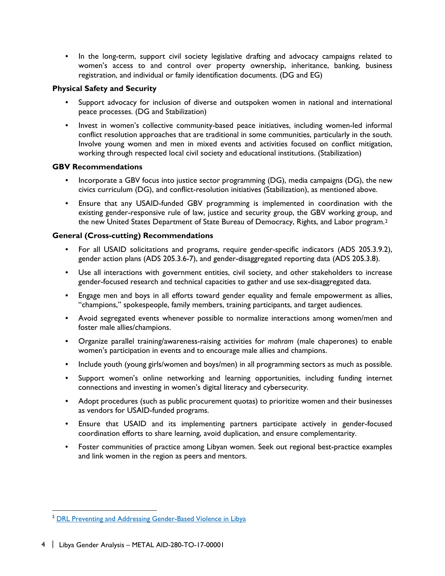• In the long-term, support civil society legislative drafting and advocacy campaigns related to women's access to and control over property ownership, inheritance, banking, business registration, and individual or family identification documents. (DG and EG)

#### **Physical Safety and Security**

- Support advocacy for inclusion of diverse and outspoken women in national and international peace processes. (DG and Stabilization)
- Invest in women's collective community-based peace initiatives, including women-led informal conflict resolution approaches that are traditional in some communities, particularly in the south. Involve young women and men in mixed events and activities focused on conflict mitigation, working through respected local civil society and educational institutions. (Stabilization)

#### **GBV Recommendations**

- Incorporate a GBV focus into justice sector programming (DG), media campaigns (DG), the new civics curriculum (DG), and conflict-resolution initiatives (Stabilization), as mentioned above.
- Ensure that any USAID-funded GBV programming is implemented in coordination with the existing gender-responsive rule of law, justice and security group, the GBV working group, and the new United States Department of State Bureau of Democracy, Rights, and Labor program.[2](#page-10-1)

#### <span id="page-10-0"></span>**General (Cross-cutting) Recommendations**

- For all USAID solicitations and programs, require gender-specific indicators (ADS 205.3.9.2), gender action plans (ADS 205.3.6-7), and gender-disaggregated reporting data (ADS 205.3.8).
- Use all interactions with government entities, civil society, and other stakeholders to increase gender-focused research and technical capacities to gather and use sex-disaggregated data.
- Engage men and boys in all efforts toward gender equality and female empowerment as allies, "champions," spokespeople, family members, training participants, and target audiences.
- Avoid segregated events whenever possible to normalize interactions among women/men and foster male allies/champions.
- Organize parallel training/awareness-raising activities for *mahram* (male chaperones) to enable women's participation in events and to encourage male allies and champions.
- Include youth (young girls/women and boys/men) in all programming sectors as much as possible.
- Support women's online networking and learning opportunities, including funding internet connections and investing in women's digital literacy and cybersecurity.
- Adopt procedures (such as public procurement quotas) to prioritize women and their businesses as vendors for USAID-funded programs.
- Ensure that USAID and its implementing partners participate actively in gender-focused coordination efforts to share learning, avoid duplication, and ensure complementarity.
- Foster communities of practice among Libyan women. Seek out regional best-practice examples and link women in the region as peers and mentors.

<span id="page-10-1"></span><sup>&</sup>lt;sup>2</sup> DRL Preventing and Addressing Gender-Based Violence in Libya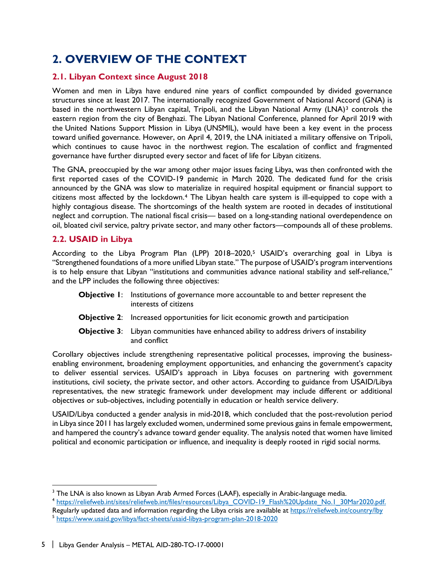# <span id="page-11-0"></span>**2. OVERVIEW OF THE CONTEXT**

## <span id="page-11-1"></span>**2.1. Libyan Context since August 2018**

Women and men in Libya have endured nine years of conflict compounded by divided governance structures since at least 2017. The internationally recognized Government of National Accord (GNA) is based in the northwestern Libyan capital, Tripoli, and the Libyan National Army (LNA)<sup>[3](#page-11-3)</sup> controls the eastern region from the city of Benghazi. The Libyan National Conference, planned for April 2019 with the United Nations Support Mission in Libya (UNSMIL), would have been a key event in the process toward unified governance. However, on April 4, 2019, the LNA initiated a military offensive on Tripoli, which continues to cause havoc in the northwest region. The escalation of conflict and fragmented governance have further disrupted every sector and facet of life for Libyan citizens.

The GNA, preoccupied by the war among other major issues facing Libya, was then confronted with the first reported cases of the COVID-19 pandemic in March 2020. The dedicated fund for the crisis announced by the GNA was slow to materialize in required hospital equipment or financial support to citizens most affected by the lockdown.[4](#page-11-4) The Libyan health care system is ill-equipped to cope with a highly contagious disease. The shortcomings of the health system are rooted in decades of institutional neglect and corruption. The national fiscal crisis— based on a long-standing national overdependence on oil, bloated civil service, paltry private sector, and many other factors—compounds all of these problems.

## <span id="page-11-2"></span>**2.2. USAID in Libya**

 $\overline{a}$ 

According to the Libya Program Plan (LPP) 2018–2020,[5](#page-11-5) USAID's overarching goal in Libya is "Strengthened foundations of a more unified Libyan state." The purpose of USAID's program interventions is to help ensure that Libyan "institutions and communities advance national stability and self-reliance," and the LPP includes the following three objectives:

- **Objective 1:** Institutions of governance more accountable to and better represent the interests of citizens
- **Objective 2:** Increased opportunities for licit economic growth and participation
- **Objective 3:** Libyan communities have enhanced ability to address drivers of instability and conflict

Corollary objectives include strengthening representative political processes, improving the businessenabling environment, broadening employment opportunities, and enhancing the government's capacity to deliver essential services. USAID's approach in Libya focuses on partnering with government institutions, civil society, the private sector, and other actors. According to guidance from USAID/Libya representatives, the new strategic framework under development may include different or additional objectives or sub-objectives, including potentially in education or health service delivery.

USAID/Libya conducted a gender analysis in mid-2018, which concluded that the post-revolution period in Libya since 2011 has largely excluded women, undermined some previous gains in female empowerment, and hampered the country's advance toward gender equality. The analysis noted that women have limited political and economic participation or influence, and inequality is deeply rooted in rigid social norms.

<span id="page-11-3"></span> $^{\rm 3}$  The LNA is also known as Libyan Arab Armed Forces (LAAF), especially in Arabic-language media.

<span id="page-11-4"></span><sup>4</sup> [https://reliefweb.int/sites/reliefweb.int/files/resources/Libya\\_COVID-19\\_Flash%20Update\\_No.1\\_30Mar2020.pdf.](https://reliefweb.int/sites/reliefweb.int/files/resources/Libya_COVID-19_Flash%20Update_No.1_30Mar2020.pdf) Regularly updated data and information regarding the Libya crisis are available at https://reliefweb.int/country/lby<br>
<sup>5</sup> <https://www.usaid.gov/libya/fact-sheets/usaid-libya-program-plan-2018-2020>

<span id="page-11-5"></span>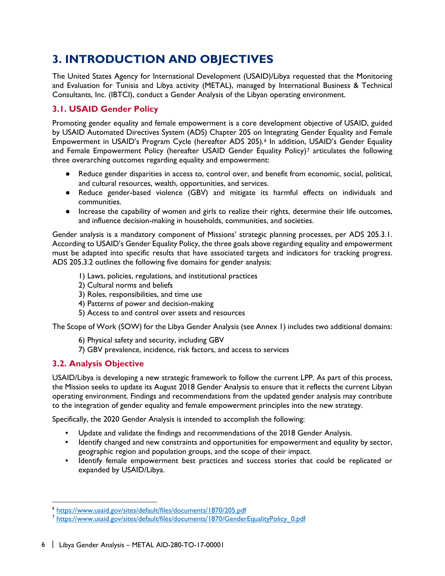# <span id="page-12-0"></span>**3. INTRODUCTION AND OBJECTIVES**

The United States Agency for International Development (USAID)/Libya requested that the Monitoring and Evaluation for Tunisia and Libya activity (METAL), managed by International Business & Technical Consultants, Inc. (IBTCI), conduct a Gender Analysis of the Libyan operating environment.

# <span id="page-12-1"></span>**3.1. USAID Gender Policy**

Promoting gender equality and female empowerment is a core development objective of USAID, guided by USAID Automated Directives System (ADS) Chapter 205 on Integrating Gender Equality and Female Empowerment in USAID's Program Cycle (hereafter ADS 205)*.[6](#page-12-3)* In addition, USAID's Gender Equality and Female Empowerment Policy (hereafter USAID Gender Equality Policy)<sup>7</sup> articulates the following three overarching outcomes regarding equality and empowerment:

- Reduce gender disparities in access to, control over, and benefit from economic, social, political, and cultural resources, wealth, opportunities, and services.
- Reduce gender-based violence (GBV) and mitigate its harmful effects on individuals and communities.
- Increase the capability of women and girls to realize their rights, determine their life outcomes, and influence decision-making in households, communities, and societies.

Gender analysis is a mandatory component of Missions' strategic planning processes, per ADS 205.3.1. According to USAID's Gender Equality Policy, the three goals above regarding equality and empowerment must be adapted into specific results that have associated targets and indicators for tracking progress. ADS 205.3.2 outlines the following five domains for gender analysis:

- 1) Laws, policies, regulations, and institutional practices
- 2) Cultural norms and beliefs
- 3) Roles, responsibilities, and time use
- 4) Patterns of power and decision-making
- 5) Access to and control over assets and resources

The Scope of Work (SOW) for the Libya Gender Analysis (see Annex 1) includes two additional domains:

- 6) Physical safety and security, including GBV
- 7) GBV prevalence, incidence, risk factors, and access to services

# <span id="page-12-2"></span>**3.2. Analysis Objective**

 $\overline{a}$ 

USAID/Libya is developing a new strategic framework to follow the current LPP. As part of this process, the Mission seeks to update its August 2018 Gender Analysis to ensure that it reflects the current Libyan operating environment. Findings and recommendations from the updated gender analysis may contribute to the integration of gender equality and female empowerment principles into the new strategy.

Specifically, the 2020 Gender Analysis is intended to accomplish the following:

- Update and validate the findings and recommendations of the 2018 Gender Analysis.
- Identify changed and new constraints and opportunities for empowerment and equality by sector, geographic region and population groups, and the scope of their impact.
- Identify female empowerment best practices and success stories that could be replicated or expanded by USAID/Libya.

<span id="page-12-3"></span><sup>6</sup> <https://www.usaid.gov/sites/default/files/documents/1870/205.pdf>

<span id="page-12-4"></span><sup>&</sup>lt;sup>7</sup> [https://www.usaid.gov/sites/default/files/documents/1870/GenderEqualityPolicy\\_0.pdf](https://www.usaid.gov/sites/default/files/documents/1870/GenderEqualityPolicy_0.pdf)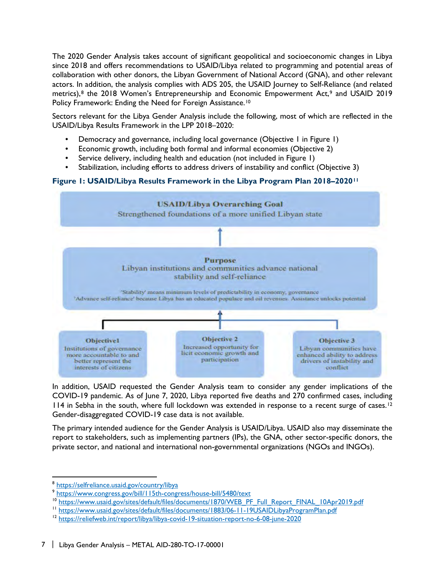The 2020 Gender Analysis takes account of significant geopolitical and socioeconomic changes in Libya since 2018 and offers recommendations to USAID/Libya related to programming and potential areas of collaboration with other donors, the Libyan Government of National Accord (GNA), and other relevant actors. In addition, the analysis complies with ADS 205, the USAID Journey to Self-Reliance (and related metrics),<sup>[8](#page-13-0)</sup> the 2018 Women's Entrepreneurship and Economic Empowerment Act,<sup>[9](#page-13-1)</sup> and USAID 2019 Policy Framework: Ending the Need for Foreign Assistance.<sup>[10](#page-13-2)</sup>

Sectors relevant for the Libya Gender Analysis include the following, most of which are reflected in the USAID/Libya Results Framework in the LPP 2018–2020:

- Democracy and governance, including local governance (Objective 1 in Figure 1)
- Economic growth, including both formal and informal economies (Objective 2)
- Service delivery, including health and education (not included in Figure 1)
- Stabilization, including efforts to address drivers of instability and conflict (Objective 3)

#### **Figure 1: USAID/Libya Results Framework in the Libya Program Plan 2018–2020[11](#page-13-3)**



In addition, USAID requested the Gender Analysis team to consider any gender implications of the COVID-19 pandemic. As of June 7, 2020, Libya reported five deaths and 270 confirmed cases, including 114 in Sebha in the south, where full lockdown was extended in response to a recent surge of cases.<sup>[12](#page-13-4)</sup> Gender-disaggregated COVID-19 case data is not available.

The primary intended audience for the Gender Analysis is USAID/Libya. USAID also may disseminate the report to stakeholders, such as implementing partners (IPs), the GNA, other sector-specific donors, the private sector, and national and international non-governmental organizations (NGOs and INGOs).

<span id="page-13-0"></span><sup>8</sup> <https://selfreliance.usaid.gov/country/libya>

<span id="page-13-1"></span><sup>9</sup> <https://www.congress.gov/bill/115th-congress/house-bill/5480/text>

<span id="page-13-2"></span><sup>&</sup>lt;sup>10</sup> [https://www.usaid.gov/sites/default/files/documents/1870/WEB\\_PF\\_Full\\_Report\\_FINAL\\_10Apr2019.pdf](https://www.usaid.gov/sites/default/files/documents/1870/WEB_PF_Full_Report_FINAL_10Apr2019.pdf)<br><sup>11</sup> https://www.usaid.gov/sites/default/files/documents/1883/06-11-19USAIDLibyaProgramPlan.pdf

<span id="page-13-3"></span>

<span id="page-13-4"></span><sup>&</sup>lt;sup>12</sup> <https://reliefweb.int/report/libya/libya-covid-19-situation-report-no-6-08-june-2020>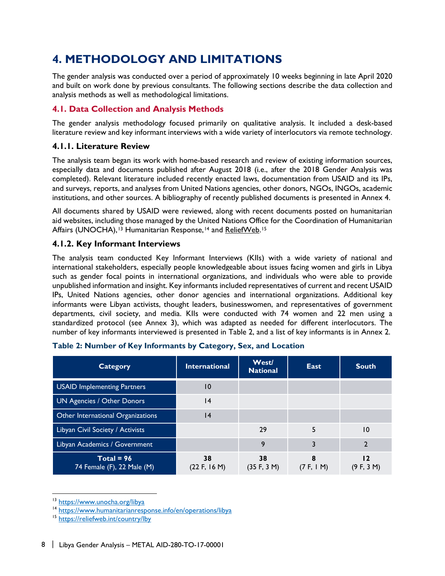# <span id="page-14-0"></span>**4. METHODOLOGY AND LIMITATIONS**

The gender analysis was conducted over a period of approximately 10 weeks beginning in late April 2020 and built on work done by previous consultants. The following sections describe the data collection and analysis methods as well as methodological limitations.

## <span id="page-14-1"></span>**4.1. Data Collection and Analysis Methods**

The gender analysis methodology focused primarily on qualitative analysis. It included a desk-based literature review and key informant interviews with a wide variety of interlocutors via remote technology.

## **4.1.1. Literature Review**

The analysis team began its work with home-based research and review of existing information sources, especially data and documents published after August 2018 (i.e., after the 2018 Gender Analysis was completed). Relevant literature included recently enacted laws, documentation from USAID and its IPs, and surveys, reports, and analyses from United Nations agencies, other donors, NGOs, INGOs, academic institutions, and other sources. A bibliography of recently published documents is presented in Annex 4.

All documents shared by USAID were reviewed, along with recent documents posted on humanitarian aid websites, including those managed by the United Nations Office for the Coordination of Humanitarian Affairs (UNOCHA),<sup>[13](#page-14-2)</sup> Humanitarian Response,<sup>[14](#page-14-3)</sup> and [ReliefWeb.](https://reliefweb.int/country/lby)<sup>[15](#page-14-4)</sup>

## **4.1.2. Key Informant Interviews**

The analysis team conducted Key Informant Interviews (KIIs) with a wide variety of national and international stakeholders, especially people knowledgeable about issues facing women and girls in Libya such as gender focal points in international organizations, and individuals who were able to provide unpublished information and insight. Key informants included representatives of current and recent USAID IPs, United Nations agencies, other donor agencies and international organizations. Additional key informants were Libyan activists, thought leaders, businesswomen, and representatives of government departments, civil society, and media. KIIs were conducted with 74 women and 22 men using a standardized protocol (see Annex 3), which was adapted as needed for different interlocutors. The number of key informants interviewed is presented in Table 2, and a list of key informants is in Annex 2.

| <b>Category</b>                            | <b>International</b> | <b>West/</b><br><b>National</b> | East       | <b>South</b>     |
|--------------------------------------------|----------------------|---------------------------------|------------|------------------|
| <b>USAID Implementing Partners</b>         | 10                   |                                 |            |                  |
| UN Agencies / Other Donors                 | 4                    |                                 |            |                  |
| Other International Organizations          | 14                   |                                 |            |                  |
| Libyan Civil Society / Activists           |                      | 29                              | 5          | 10               |
| Libyan Academics / Government              |                      | 9                               | 3          |                  |
| $Total = 96$<br>74 Female (F), 22 Male (M) | 38<br>(22 F, 16 M)   | 38<br>(35 F, 3 M)               | (7 F, 1 M) | כו<br>(9 F, 3 M) |

 $\overline{a}$ <sup>13</sup> <https://www.unocha.org/libya>

<span id="page-14-3"></span><span id="page-14-2"></span><sup>14</sup> <https://www.humanitarianresponse.info/en/operations/libya>

<span id="page-14-4"></span><sup>&</sup>lt;sup>15</sup> <https://reliefweb.int/country/lby>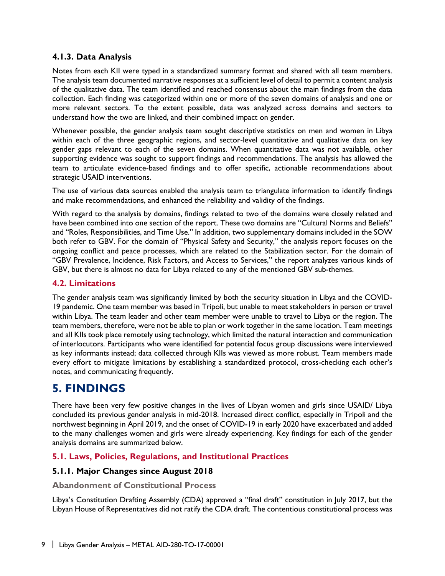#### **4.1.3. Data Analysis**

Notes from each KII were typed in a standardized summary format and shared with all team members. The analysis team documented narrative responses at a sufficient level of detail to permit a content analysis of the qualitative data. The team identified and reached consensus about the main findings from the data collection. Each finding was categorized within one or more of the seven domains of analysis and one or more relevant sectors. To the extent possible, data was analyzed across domains and sectors to understand how the two are linked, and their combined impact on gender.

Whenever possible, the gender analysis team sought descriptive statistics on men and women in Libya within each of the three geographic regions, and sector-level quantitative and qualitative data on key gender gaps relevant to each of the seven domains. When quantitative data was not available, other supporting evidence was sought to support findings and recommendations. The analysis has allowed the team to articulate evidence-based findings and to offer specific, actionable recommendations about strategic USAID interventions.

The use of various data sources enabled the analysis team to triangulate information to identify findings and make recommendations, and enhanced the reliability and validity of the findings.

With regard to the analysis by domains, findings related to two of the domains were closely related and have been combined into one section of the report. These two domains are "Cultural Norms and Beliefs" and "Roles, Responsibilities, and Time Use." In addition, two supplementary domains included in the SOW both refer to GBV. For the domain of "Physical Safety and Security," the analysis report focuses on the ongoing conflict and peace processes, which are related to the Stabilization sector. For the domain of "GBV Prevalence, Incidence, Risk Factors, and Access to Services," the report analyzes various kinds of GBV, but there is almost no data for Libya related to any of the mentioned GBV sub-themes.

#### <span id="page-15-0"></span>**4.2. Limitations**

The gender analysis team was significantly limited by both the security situation in Libya and the COVID-19 pandemic. One team member was based in Tripoli, but unable to meet stakeholders in person or travel within Libya. The team leader and other team member were unable to travel to Libya or the region. The team members, therefore, were not be able to plan or work together in the same location. Team meetings and all KIIs took place remotely using technology, which limited the natural interaction and communication of interlocutors. Participants who were identified for potential focus group discussions were interviewed as key informants instead; data collected through KIIs was viewed as more robust. Team members made every effort to mitigate limitations by establishing a standardized protocol, cross-checking each other's notes, and communicating frequently.

# <span id="page-15-1"></span>**5. FINDINGS**

There have been very few positive changes in the lives of Libyan women and girls since USAID/ Libya concluded its previous gender analysis in mid-2018. Increased direct conflict, especially in Tripoli and the northwest beginning in April 2019, and the onset of COVID-19 in early 2020 have exacerbated and added to the many challenges women and girls were already experiencing. Key findings for each of the gender analysis domains are summarized below.

#### <span id="page-15-2"></span>**5.1. Laws, Policies, Regulations, and Institutional Practices**

#### **5.1.1. Major Changes since August 2018**

#### **Abandonment of Constitutional Process**

Libya's Constitution Drafting Assembly (CDA) approved a "final draft" constitution in July 2017, but the Libyan House of Representatives did not ratify the CDA draft. The contentious constitutional process was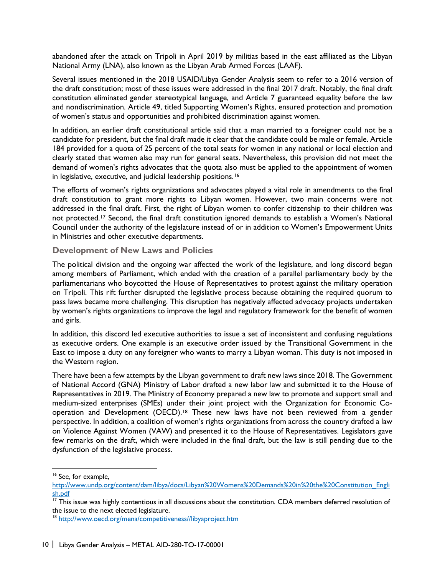abandoned after the attack on Tripoli in April 2019 by militias based in the east affiliated as the Libyan National Army (LNA), also known as the Libyan Arab Armed Forces (LAAF).

Several issues mentioned in the 2018 USAID/Libya Gender Analysis seem to refer to a 2016 version of the draft constitution; most of these issues were addressed in the final 2017 draft. Notably, the final draft constitution eliminated gender stereotypical language, and Article 7 guaranteed equality before the law and nondiscrimination. Article 49, titled Supporting Women's Rights, ensured protection and promotion of women's status and opportunities and prohibited discrimination against women.

In addition, an earlier draft constitutional article said that a man married to a foreigner could not be a candidate for president, but the final draft made it clear that the candidate could be male or female. Article 184 provided for a quota of 25 percent of the total seats for women in any national or local election and clearly stated that women also may run for general seats. Nevertheless, this provision did not meet the demand of women's rights advocates that the quota also must be applied to the appointment of women in legislative, executive, and judicial leadership positions.[16](#page-16-0)

The efforts of women's rights organizations and advocates played a vital role in amendments to the final draft constitution to grant more rights to Libyan women. However, two main concerns were not addressed in the final draft. First, the right of Libyan women to confer citizenship to their children was not protected.[17](#page-16-1) Second, the final draft constitution ignored demands to establish a Women's National Council under the authority of the legislature instead of or in addition to Women's Empowerment Units in Ministries and other executive departments.

#### **Development of New Laws and Policies**

The political division and the ongoing war affected the work of the legislature, and long discord began among members of Parliament, which ended with the creation of a parallel parliamentary body by the parliamentarians who boycotted the House of Representatives to protest against the military operation on Tripoli. This rift further disrupted the legislative process because obtaining the required quorum to pass laws became more challenging. This disruption has negatively affected advocacy projects undertaken by women's rights organizations to improve the legal and regulatory framework for the benefit of women and girls.

In addition, this discord led executive authorities to issue a set of inconsistent and confusing regulations as executive orders. One example is an executive order issued by the Transitional Government in the East to impose a duty on any foreigner who wants to marry a Libyan woman. This duty is not imposed in the Western region.

There have been a few attempts by the Libyan government to draft new laws since 2018. The Government of National Accord (GNA) Ministry of Labor drafted a new labor law and submitted it to the House of Representatives in 2019. The Ministry of Economy prepared a new law to promote and support small and medium-sized enterprises (SMEs) under their joint project with the Organization for Economic Cooperation and Development (OECD).[18](#page-16-2) These new laws have not been reviewed from a gender perspective. In addition, a coalition of women's rights organizations from across the country drafted a law on Violence Against Women (VAW) and presented it to the House of Representatives. Legislators gave few remarks on the draft, which were included in the final draft, but the law is still pending due to the dysfunction of the legislative process.

<span id="page-16-0"></span><sup>16</sup> See, for example,

[http://www.undp.org/content/dam/libya/docs/Libyan%20Womens%20Demands%20in%20the%20Constitution\\_Engli](http://www.undp.org/content/dam/libya/docs/Libyan%20Womens%20Demands%20in%20the%20Constitution_English.pdf) [sh.pdf](http://www.undp.org/content/dam/libya/docs/Libyan%20Womens%20Demands%20in%20the%20Constitution_English.pdf)

<span id="page-16-1"></span> $17$  This issue was highly contentious in all discussions about the constitution. CDA members deferred resolution of the issue to the next elected legislature.

<span id="page-16-2"></span><sup>&</sup>lt;sup>18</sup> http://www.oecd.org/mena/competitiveness//libyaproject.htm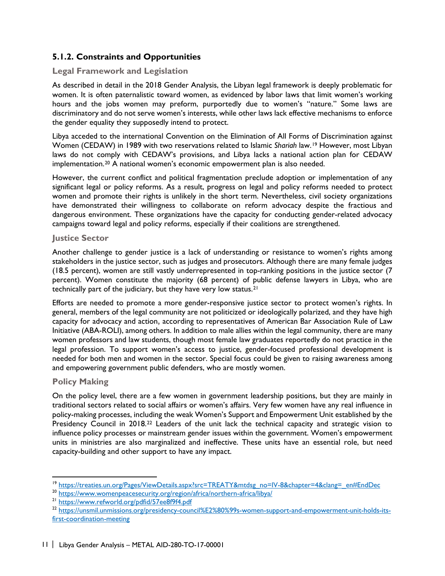## **5.1.2. Constraints and Opportunities**

#### **Legal Framework and Legislation**

As described in detail in the 2018 Gender Analysis, the Libyan legal framework is deeply problematic for women. It is often paternalistic toward women, as evidenced by labor laws that limit women's working hours and the jobs women may preform, purportedly due to women's "nature." Some laws are discriminatory and do not serve women's interests, while other laws lack effective mechanisms to enforce the gender equality they supposedly intend to protect.

Libya acceded to the international Convention on the Elimination of All Forms of Discrimination against Women (CEDAW) in 1989 with two reservations related to Islamic *Shariah* law.[19](#page-17-0) However, most Libyan laws do not comply with CEDAW's provisions, and Libya lacks a national action plan for CEDAW implementation.[20](#page-17-1) A national women's economic empowerment plan is also needed.

However, the current conflict and political fragmentation preclude adoption or implementation of any significant legal or policy reforms. As a result, progress on legal and policy reforms needed to protect women and promote their rights is unlikely in the short term. Nevertheless, civil society organizations have demonstrated their willingness to collaborate on reform advocacy despite the fractious and dangerous environment. These organizations have the capacity for conducting gender-related advocacy campaigns toward legal and policy reforms, especially if their coalitions are strengthened.

#### **Justice Sector**

Another challenge to gender justice is a lack of understanding or resistance to women's rights among stakeholders in the justice sector, such as judges and prosecutors. Although there are many female judges (18.5 percent), women are still vastly underrepresented in top-ranking positions in the justice sector (7 percent). Women constitute the majority (68 percent) of public defense lawyers in Libya, who are technically part of the judiciary, but they have very low status.[21](#page-17-2) 

Efforts are needed to promote a more gender-responsive justice sector to protect women's rights. In general, members of the legal community are not politicized or ideologically polarized, and they have high capacity for advocacy and action**,** according to representatives of American Bar Association Rule of Law Initiative (ABA-ROLI), among others. In addition to male allies within the legal community, there are many women professors and law students, though most female law graduates reportedly do not practice in the legal profession. To support women's access to justice, gender-focused professional development is needed for both men and women in the sector. Special focus could be given to raising awareness among and empowering government public defenders, who are mostly women.

#### **Policy Making**

 $\overline{a}$ 

On the policy level, there are a few women in government leadership positions, but they are mainly in traditional sectors related to social affairs or women's affairs. Very few women have any real influence in policy-making processes, including the weak Women's Support and Empowerment Unit established by the Presidency Council in 2018.<sup>[22](#page-17-3)</sup> Leaders of the unit lack the technical capacity and strategic vision to influence policy processes or mainstream gender issues within the government. Women's empowerment units in ministries are also marginalized and ineffective. These units have an essential role, but need capacity-building and other support to have any impact.

<span id="page-17-0"></span><sup>&</sup>lt;sup>19</sup> [https://treaties.un.org/Pages/ViewDetails.aspx?src=TREATY&mtdsg\\_no=IV-8&chapter=4&clang=\\_en#EndDec](https://treaties.un.org/Pages/ViewDetails.aspx?src=TREATY&mtdsg_no=IV-8&chapter=4&clang=_en#EndDec)

<span id="page-17-1"></span><sup>20</sup> <https://www.womenpeacesecurity.org/region/africa/northern-africa/libya/>

<span id="page-17-2"></span><sup>21</sup> <https://www.refworld.org/pdfid/57ee8f9f4.pdf>

<span id="page-17-3"></span><sup>22</sup> [https://unsmil.unmissions.org/presidency-council%E2%80%99s-women-support-and-empowerment-unit-holds-its](https://unsmil.unmissions.org/presidency-council%E2%80%99s-women-support-and-empowerment-unit-holds-its-first-coordination-meeting)[first-coordination-meeting](https://unsmil.unmissions.org/presidency-council%E2%80%99s-women-support-and-empowerment-unit-holds-its-first-coordination-meeting)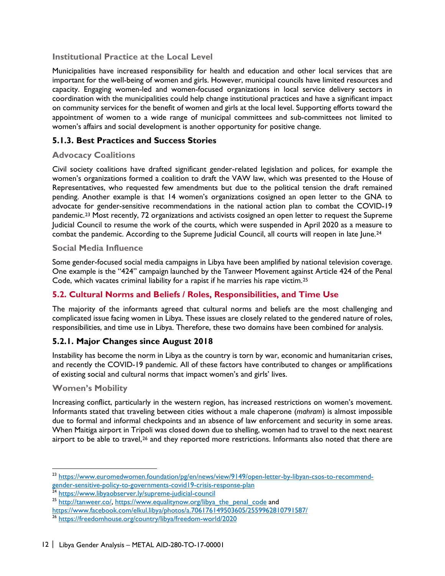## **Institutional Practice at the Local Level**

Municipalities have increased responsibility for health and education and other local services that are important for the well-being of women and girls. However, municipal councils have limited resources and capacity. Engaging women-led and women-focused organizations in local service delivery sectors in coordination with the municipalities could help change institutional practices and have a significant impact on community services for the benefit of women and girls at the local level. Supporting efforts toward the appointment of women to a wide range of municipal committees and sub-committees not limited to women's affairs and social development is another opportunity for positive change.

## **5.1.3. Best Practices and Success Stories**

#### **Advocacy Coalitions**

Civil society coalitions have drafted significant gender-related legislation and polices, for example the women's organizations formed a coalition to draft the VAW law, which was presented to the House of Representatives, who requested few amendments but due to the political tension the draft remained pending. Another example is that 14 women's organizations cosigned an open letter to the GNA to advocate for gender-sensitive recommendations in the national action plan to combat the COVID-19 pandemic.[23](#page-18-1) Most recently, 72 organizations and activists cosigned an open letter to request the Supreme Judicial Council to resume the work of the courts, which were suspended in April 2020 as a measure to combat the pandemic. According to the Supreme Judicial Council, all courts will reopen in late June.<sup>[24](#page-18-2)</sup>

#### **Social Media Influence**

Some gender-focused social media campaigns in Libya have been amplified by national television coverage. One example is the "424" campaign launched by the Tanweer Movement against Article 424 of the Penal Code, which vacates criminal liability for a rapist if he marries his rape victim.<sup>25</sup>

## <span id="page-18-0"></span>**5.2. Cultural Norms and Beliefs / Roles, Responsibilities, and Time Use**

The majority of the informants agreed that cultural norms and beliefs are the most challenging and complicated issue facing women in Libya. These issues are closely related to the gendered nature of roles, responsibilities, and time use in Libya. Therefore, these two domains have been combined for analysis.

#### **5.2.1. Major Changes since August 2018**

Instability has become the norm in Libya as the country is torn by war, economic and humanitarian crises, and recently the COVID-19 pandemic. All of these factors have contributed to changes or amplifications of existing social and cultural norms that impact women's and girls' lives.

#### **Women's Mobility**

 $\overline{a}$ 

Increasing conflict, particularly in the western region, has increased restrictions on women's movement. Informants stated that traveling between cities without a male chaperone (*mahram*) is almost impossible due to formal and informal checkpoints and an absence of law enforcement and security in some areas. When Maitiga airport in Tripoli was closed down due to shelling, women had to travel to the next nearest airport to be able to travel,<sup>[26](#page-18-3)</sup> and they reported more restrictions. Informants also noted that there are

<span id="page-18-1"></span><sup>&</sup>lt;sup>23</sup> [https://www.euromedwomen.foundation/pg/en/news/view/9149/open-letter-by-libyan-csos-to-recommend](https://www.euromedwomen.foundation/pg/en/news/view/9149/open-letter-by-libyan-csos-to-recommend-gender-sensitive-policy-to-governments-covid19-crisis-response-plan)[gender-sensitive-policy-to-governments-covid19-crisis-response-plan](https://www.euromedwomen.foundation/pg/en/news/view/9149/open-letter-by-libyan-csos-to-recommend-gender-sensitive-policy-to-governments-covid19-crisis-response-plan)

<span id="page-18-2"></span><sup>&</sup>lt;sup>24</sup> <https://www.libyaobserver.ly/supreme-judicial-council>

<sup>&</sup>lt;sup>25</sup> [http://tanweer.co/,](http://tanweer.co/) [https://www.equalitynow.org/libya\\_the\\_penal\\_code](https://www.equalitynow.org/libya_the_penal_code) and

<span id="page-18-3"></span><https://www.facebook.com/elkul.libya/photos/a.706176149503605/2559962810791587/>

<sup>&</sup>lt;sup>26</sup> <https://freedomhouse.org/country/libya/freedom-world/2020>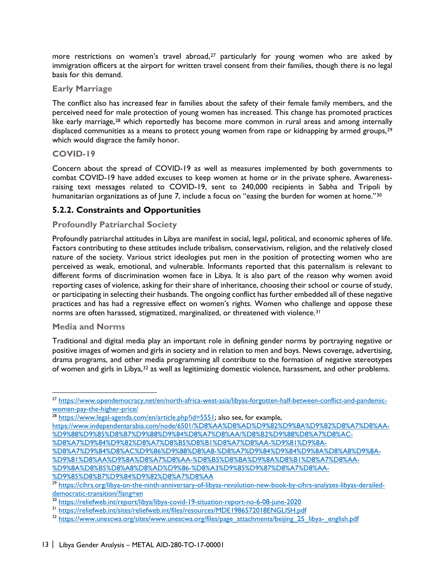more restrictions on women's travel abroad,<sup>[27](#page-19-0)</sup> particularly for young women who are asked by immigration officers at the airport for written travel consent from their families, though there is no legal basis for this demand.

#### **Early Marriage**

The conflict also has increased fear in families about the safety of their female family members, and the perceived need for male protection of young women has increased. This change has promoted practices like early marriage,<sup>[28](#page-19-1)</sup> which reportedly has become more common in rural areas and among internally displaced communities as a means to protect young women from rape or kidnapping by armed groups, [29](#page-19-2) which would disgrace the family honor.

#### **COVID-19**

Concern about the spread of COVID-19 as well as measures implemented by both governments to combat COVID-19 have added excuses to keep women at home or in the private sphere. Awarenessraising text messages related to COVID-19, sent to 240,000 recipients in Sabha and Tripoli by humanitarian organizations as of June 7, include a focus on "easing the burden for women at home."<sup>[30](#page-19-3)</sup>

## **5.2.2. Constraints and Opportunities**

## **Profoundly Patriarchal Society**

Profoundly patriarchal attitudes in Libya are manifest in social, legal, political, and economic spheres of life. Factors contributing to these attitudes include tribalism, conservativism, religion, and the relatively closed nature of the society. Various strict ideologies put men in the position of protecting women who are perceived as weak, emotional, and vulnerable. Informants reported that this paternalism is relevant to different forms of discrimination women face in Libya. It is also part of the reason why women avoid reporting cases of violence, asking for their share of inheritance, choosing their school or course of study, or participating in selecting their husbands. The ongoing conflict has further embedded all of these negative practices and has had a regressive effect on women's rights. Women who challenge and oppose these norms are often harassed, stigmatized, marginalized, or threatened with violence.<sup>[31](#page-19-4)</sup>

#### **Media and Norms**

 $\overline{a}$ 

Traditional and digital media play an important role in defining gender norms by portraying negative or positive images of women and girls in society and in relation to men and boys. News coverage, advertising, drama programs, and other media programming all contribute to the formation of negative stereotypes of women and girls in Libya,[32](#page-19-5) as well as legitimizing domestic violence, harassment, and other problems.

<span id="page-19-0"></span><sup>&</sup>lt;sup>27</sup> https://www.opendemocracy.net/en/north-africa-west-asia/libyas-forgotten-half-between-conflict-and-pandemic-<br>women-pay-the-higher-price/

<span id="page-19-1"></span><sup>&</sup>lt;sup>28</sup> [https://www.legal-agenda.com/en/article.php?id=5551;](https://www.legal-agenda.com/en/article.php?id=5551) also see, for example,

[https://www.independentarabia.com/node/6501/%D8%AA%D8%AD%D9%82%D9%8A%D9%82%D8%A7%D8%AA-](https://www.independentarabia.com/node/6501/%D8%AA%D8%AD%D9%82%D9%8A%D9%82%D8%A7%D8%AA-%D9%88%D9%85%D8%B7%D9%88%D9%84%D8%A7%D8%AA/%D8%B2%D9%88%D8%A7%D8%AC-%D8%A7%D9%84%D9%82%D8%A7%D8%B5%D8%B1%D8%A7%D8%AA-%D9%81%D9%8A-%D8%A7%D9%84%D8%AC%D9%86%D9%88%D8%A8-%D8%A7%D9%84%D9%84%D9%8A%D8%A8%D9%8A-%D9%81%D8%AA%D9%8A%D8%A7%D8%AA-%D8%B5%D8%BA%D9%8A%D8%B1%D8%A7%D8%AA-%D9%8A%D8%B5%D8%A8%D8%AD%D9%86-%D8%A3%D9%85%D9%87%D8%A7%D8%AA-%D9%85%D8%B7%D9%84%D9%82%D8%A7%D8%AA) [%D9%88%D9%85%D8%B7%D9%88%D9%84%D8%A7%D8%AA/%D8%B2%D9%88%D8%A7%D8%AC-](https://www.independentarabia.com/node/6501/%D8%AA%D8%AD%D9%82%D9%8A%D9%82%D8%A7%D8%AA-%D9%88%D9%85%D8%B7%D9%88%D9%84%D8%A7%D8%AA/%D8%B2%D9%88%D8%A7%D8%AC-%D8%A7%D9%84%D9%82%D8%A7%D8%B5%D8%B1%D8%A7%D8%AA-%D9%81%D9%8A-%D8%A7%D9%84%D8%AC%D9%86%D9%88%D8%A8-%D8%A7%D9%84%D9%84%D9%8A%D8%A8%D9%8A-%D9%81%D8%AA%D9%8A%D8%A7%D8%AA-%D8%B5%D8%BA%D9%8A%D8%B1%D8%A7%D8%AA-%D9%8A%D8%B5%D8%A8%D8%AD%D9%86-%D8%A3%D9%85%D9%87%D8%A7%D8%AA-%D9%85%D8%B7%D9%84%D9%82%D8%A7%D8%AA)

[<sup>%</sup>D8%A7%D9%84%D9%82%D8%A7%D8%B5%D8%B1%D8%A7%D8%AA-%D9%81%D9%8A-](https://www.independentarabia.com/node/6501/%D8%AA%D8%AD%D9%82%D9%8A%D9%82%D8%A7%D8%AA-%D9%88%D9%85%D8%B7%D9%88%D9%84%D8%A7%D8%AA/%D8%B2%D9%88%D8%A7%D8%AC-%D8%A7%D9%84%D9%82%D8%A7%D8%B5%D8%B1%D8%A7%D8%AA-%D9%81%D9%8A-%D8%A7%D9%84%D8%AC%D9%86%D9%88%D8%A8-%D8%A7%D9%84%D9%84%D9%8A%D8%A8%D9%8A-%D9%81%D8%AA%D9%8A%D8%A7%D8%AA-%D8%B5%D8%BA%D9%8A%D8%B1%D8%A7%D8%AA-%D9%8A%D8%B5%D8%A8%D8%AD%D9%86-%D8%A3%D9%85%D9%87%D8%A7%D8%AA-%D9%85%D8%B7%D9%84%D9%82%D8%A7%D8%AA)

[<sup>%</sup>D8%A7%D9%84%D8%AC%D9%86%D9%88%D8%A8-%D8%A7%D9%84%D9%84%D9%8A%D8%A8%D9%8A-](https://www.independentarabia.com/node/6501/%D8%AA%D8%AD%D9%82%D9%8A%D9%82%D8%A7%D8%AA-%D9%88%D9%85%D8%B7%D9%88%D9%84%D8%A7%D8%AA/%D8%B2%D9%88%D8%A7%D8%AC-%D8%A7%D9%84%D9%82%D8%A7%D8%B5%D8%B1%D8%A7%D8%AA-%D9%81%D9%8A-%D8%A7%D9%84%D8%AC%D9%86%D9%88%D8%A8-%D8%A7%D9%84%D9%84%D9%8A%D8%A8%D9%8A-%D9%81%D8%AA%D9%8A%D8%A7%D8%AA-%D8%B5%D8%BA%D9%8A%D8%B1%D8%A7%D8%AA-%D9%8A%D8%B5%D8%A8%D8%AD%D9%86-%D8%A3%D9%85%D9%87%D8%A7%D8%AA-%D9%85%D8%B7%D9%84%D9%82%D8%A7%D8%AA) [%D9%81%D8%AA%D9%8A%D8%A7%D8%AA-%D8%B5%D8%BA%D9%8A%D8%B1%D8%A7%D8%AA-](https://www.independentarabia.com/node/6501/%D8%AA%D8%AD%D9%82%D9%8A%D9%82%D8%A7%D8%AA-%D9%88%D9%85%D8%B7%D9%88%D9%84%D8%A7%D8%AA/%D8%B2%D9%88%D8%A7%D8%AC-%D8%A7%D9%84%D9%82%D8%A7%D8%B5%D8%B1%D8%A7%D8%AA-%D9%81%D9%8A-%D8%A7%D9%84%D8%AC%D9%86%D9%88%D8%A8-%D8%A7%D9%84%D9%84%D9%8A%D8%A8%D9%8A-%D9%81%D8%AA%D9%8A%D8%A7%D8%AA-%D8%B5%D8%BA%D9%8A%D8%B1%D8%A7%D8%AA-%D9%8A%D8%B5%D8%A8%D8%AD%D9%86-%D8%A3%D9%85%D9%87%D8%A7%D8%AA-%D9%85%D8%B7%D9%84%D9%82%D8%A7%D8%AA)

[<sup>%</sup>D9%8A%D8%B5%D8%A8%D8%AD%D9%86-%D8%A3%D9%85%D9%87%D8%A7%D8%AA-](https://www.independentarabia.com/node/6501/%D8%AA%D8%AD%D9%82%D9%8A%D9%82%D8%A7%D8%AA-%D9%88%D9%85%D8%B7%D9%88%D9%84%D8%A7%D8%AA/%D8%B2%D9%88%D8%A7%D8%AC-%D8%A7%D9%84%D9%82%D8%A7%D8%B5%D8%B1%D8%A7%D8%AA-%D9%81%D9%8A-%D8%A7%D9%84%D8%AC%D9%86%D9%88%D8%A8-%D8%A7%D9%84%D9%84%D9%8A%D8%A8%D9%8A-%D9%81%D8%AA%D9%8A%D8%A7%D8%AA-%D8%B5%D8%BA%D9%8A%D8%B1%D8%A7%D8%AA-%D9%8A%D8%B5%D8%A8%D8%AD%D9%86-%D8%A3%D9%85%D9%87%D8%A7%D8%AA-%D9%85%D8%B7%D9%84%D9%82%D8%A7%D8%AA)

<span id="page-19-2"></span><sup>&</sup>lt;sup>29</sup> [https://cihrs.org/libya-on-the-ninth-anniversary-of-libyas-revolution-new-book-by-cihrs-analyzes-libyas-derailed](https://cihrs.org/libya-on-the-ninth-anniversary-of-libyas-revolution-new-book-by-cihrs-analyzes-libyas-derailed-democratic-transition/?lang=en)[democratic-transition/?lang=en](https://cihrs.org/libya-on-the-ninth-anniversary-of-libyas-revolution-new-book-by-cihrs-analyzes-libyas-derailed-democratic-transition/?lang=en)

<span id="page-19-3"></span><sup>&</sup>lt;sup>30</sup> <https://reliefweb.int/report/libya/libya-covid-19-situation-report-no-6-08-june-2020><br><sup>31</sup> https://reliefweb.int/sites/reliefweb.int/files/resources/MDE1986572018ENGLISH.pdf

<span id="page-19-4"></span>

<span id="page-19-5"></span><sup>32</sup> [https://www.unescwa.org/sites/www.unescwa.org/files/page\\_attachments/beijing\\_25\\_libya-\\_english.pdf](https://www.unescwa.org/sites/www.unescwa.org/files/page_attachments/beijing_25_libya-_english.pdf)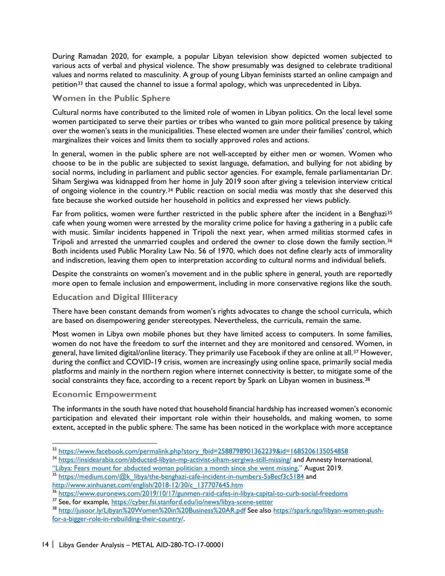During Ramadan 2020, for example, a popular Libyan television show depicted women subjected to various acts of verbal and physical violence. The show presumably was designed to celebrate traditional values and norms related to masculinity. A group of young Libyan feminists started an online campaign and petition<sup>[33](#page-20-0)</sup> that caused the channel to issue a formal apology, which was unprecedented in Libya.

#### **Women in the Public Sphere**

Cultural norms have contributed to the limited role of women in Libyan politics. On the local level some women participated to serve their parties or tribes who wanted to gain more political presence by taking over the women's seats in the municipalities. These elected women are under their families' control, which marginalizes their voices and limits them to socially approved roles and actions.

In general, women in the public sphere are not well-accepted by either men or women. Women who choose to be in the public are subjected to sexist language, defamation, and bullying for not abiding by social norms, including in parliament and public sector agencies. For example, female parliamentarian Dr. Siham Sergiwa was kidnapped from her home in July 2019 soon after giving a television interview critical of ongoing violence in the country.[34](#page-20-1) Public reaction on social media was mostly that she deserved this fate because she worked outside her household in politics and expressed her views publicly.

Far from politics, women were further restricted in the public sphere after the incident in a Benghazi<sup>[35](#page-20-2)</sup> cafe when young women were arrested by the morality crime police for having a gathering in a public cafe with music. Similar incidents happened in Tripoli the next year, when armed militias stormed cafes in Tripoli and arrested the unmarried couples and ordered the owner to close down the family section.<sup>[36](#page-20-3)</sup> Both incidents used Public Morality Law No. 56 of 1970, which does not define clearly acts of immorality and indiscretion, leaving them open to interpretation according to cultural norms and individual beliefs.

Despite the constraints on women's movement and in the public sphere in general, youth are reportedly more open to female inclusion and empowerment, including in more conservative regions like the south.

#### **Education and Digital Illiteracy**

There have been constant demands from women's rights advocates to change the school curricula, which are based on disempowering gender stereotypes. Nevertheless, the curricula, remain the same.

Most women in Libya own mobile phones but they have limited access to computers. In some families, women do not have the freedom to surf the internet and they are monitored and censored. Women, in general, have limited digital/online literacy. They primarily use Facebook if they are online at all.[37](#page-20-4) However, during the conflict and COVID-19 crisis, women are increasingly using online space, primarily social media platforms and mainly in the northern region where internet connectivity is better, to mitigate some of the social constraints they face, according to a recent report by Spark on Libyan women in business.<sup>[38](#page-20-5)</sup>

#### **Economic Empowerment**

The informants in the south have noted that household financial hardship has increased women's economic participation and elevated their important role within their households, and making women, to some extent, accepted in the public sphere. The same has been noticed in the workplace with more acceptance

<span id="page-20-0"></span><sup>33</sup> https://www.facebook.com/permalink.php?story\_fbid=2588798901362239&id=1685206135054858

<span id="page-20-1"></span><sup>34</sup> <https://insidearabia.com/abducted-libyan-mp-activist-siham-sergiwa-still-missing/> and Amnesty International,

<span id="page-20-2"></span>[<sup>&</sup>quot;Libya: Fears mount for abducted woman politician a month since she went missing,"](https://www.amnesty.org/en/latest/news/2019/08/libya-fears-mount-for-abducted-woman-politician-a-month-since-she-went-missing/) August 2019. 35 [https://medium.com/@k\\_libya/the-benghazi-cafe-incident-in-numbers-5a8ecf3c5184](https://medium.com/@k_libya/the-benghazi-cafe-incident-in-numbers-5a8ecf3c5184) and

[http://www.xinhuanet.com/english/2018-12/30/c\\_137707645.htm](http://www.xinhuanet.com/english/2018-12/30/c_137707645.htm)

<span id="page-20-3"></span><sup>36</sup> <https://www.euronews.com/2019/10/17/gunmen-raid-cafes-in-libya-capital-to-curb-social-freedoms>

<span id="page-20-4"></span><sup>37</sup> See, for example,<https://cyber.fsi.stanford.edu/io/news/libya-scene-setter>

<span id="page-20-5"></span><sup>38</sup> <http://jusoor.ly/Libyan%20Women%20in%20Business%20AR.pdf> See also [https://spark.ngo/libyan-women-push](https://spark.ngo/libyan-women-push-for-a-bigger-role-in-rebuilding-their-country/)[for-a-bigger-role-in-rebuilding-their-country/.](https://spark.ngo/libyan-women-push-for-a-bigger-role-in-rebuilding-their-country/)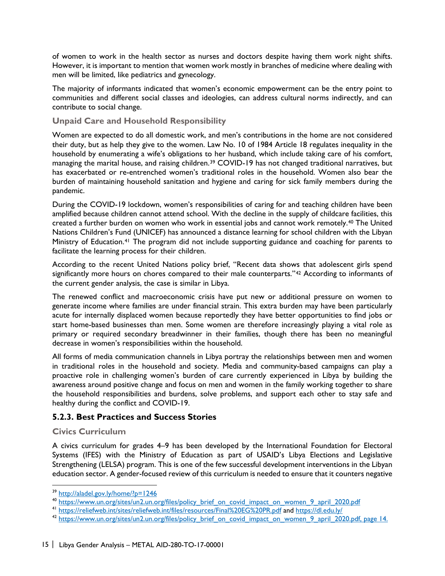of women to work in the health sector as nurses and doctors despite having them work night shifts. However, it is important to mention that women work mostly in branches of medicine where dealing with men will be limited, like pediatrics and gynecology.

The majority of informants indicated that women's economic empowerment can be the entry point to communities and different social classes and ideologies, can address cultural norms indirectly, and can contribute to social change.

#### **Unpaid Care and Household Responsibility**

Women are expected to do all domestic work, and men's contributions in the home are not considered their duty, but as help they give to the women. Law No. 10 of 1984 Article 18 regulates inequality in the household by enumerating a wife's obligations to her husband, which include taking care of his comfort, managing the marital house, and raising children.[39](#page-21-0) COVID-19 has not changed traditional narratives, but has exacerbated or re-entrenched women's traditional roles in the household. Women also bear the burden of maintaining household sanitation and hygiene and caring for sick family members during the pandemic.

During the COVID-19 lockdown, women's responsibilities of caring for and teaching children have been amplified because children cannot attend school. With the decline in the supply of childcare facilities, this created a further burden on women who work in essential jobs and cannot work remotely.[40](#page-21-1) The United Nations Children's Fund (UNICEF) has announced a distance learning for school children with the Libyan Ministry of Education.[41](#page-21-2) The program did not include supporting guidance and coaching for parents to facilitate the learning process for their children.

According to the recent United Nations policy brief, "Recent data shows that adolescent girls spend significantly more hours on chores compared to their male counterparts."<sup>[42](#page-21-3)</sup> According to informants of the current gender analysis, the case is similar in Libya.

The renewed conflict and macroeconomic crisis have put new or additional pressure on women to generate income where families are under financial strain. This extra burden may have been particularly acute for internally displaced women because reportedly they have better opportunities to find jobs or start home-based businesses than men. Some women are therefore increasingly playing a vital role as primary or required secondary breadwinner in their families, though there has been no meaningful decrease in women's responsibilities within the household.

All forms of media communication channels in Libya portray the relationships between men and women in traditional roles in the household and society. Media and community-based campaigns can play a proactive role in challenging women's burden of care currently experienced in Libya by building the awareness around positive change and focus on men and women in the family working together to share the household responsibilities and burdens, solve problems, and support each other to stay safe and healthy during the conflict and COVID-19.

#### **5.2.3. Best Practices and Success Stories**

#### **Civics Curriculum**

 $\overline{a}$ 

A civics curriculum for grades 4–9 has been developed by the International Foundation for Electoral Systems (IFES) with the Ministry of Education as part of USAID's Libya Elections and Legislative Strengthening (LELSA) program. This is one of the few successful development interventions in the Libyan education sector. A gender-focused review of this curriculum is needed to ensure that it counters negative

<sup>&</sup>lt;sup>39</sup> <http://aladel.gov.ly/home/?p=1246>

<span id="page-21-1"></span><span id="page-21-0"></span><sup>&</sup>lt;sup>40</sup> [https://www.un.org/sites/un2.un.org/files/policy\\_brief\\_on\\_covid\\_impact\\_on\\_women\\_9\\_april\\_2020.pdf](https://www.un.org/sites/un2.un.org/files/policy_brief_on_covid_impact_on_women_9_april_2020.pdf) <sup>41</sup> <https://reliefweb.int/sites/reliefweb.int/files/resources/Final%20EG%20PR.pdf> and <https://dl.edu.ly/>

<span id="page-21-3"></span><span id="page-21-2"></span><sup>&</sup>lt;sup>42</sup> [https://www.un.org/sites/un2.un.org/files/policy\\_brief\\_on\\_covid\\_impact\\_on\\_women\\_9\\_april\\_2020.pdf,](https://www.un.org/sites/un2.un.org/files/policy_brief_on_covid_impact_on_women_9_april_2020.pdf) page 14.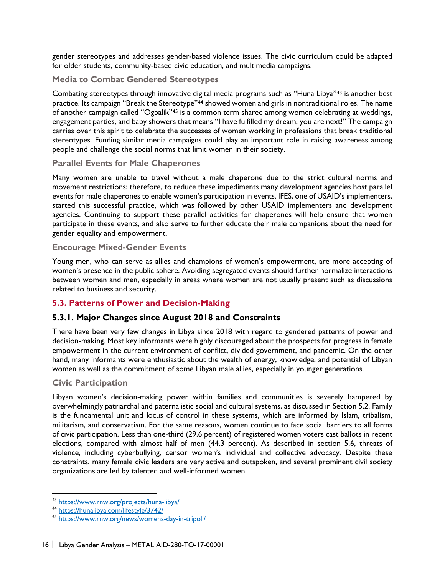gender stereotypes and addresses gender-based violence issues. The civic curriculum could be adapted for older students, community-based civic education, and multimedia campaigns.

## **Media to Combat Gendered Stereotypes**

Combating stereotypes through innovative digital media programs such as "Huna Libya"[43](#page-22-1) is another best practice. Its campaign "Break the Stereotype"<sup>[44](#page-22-2)</sup> showed women and girls in nontraditional roles. The name of another campaign called "Ogbalik"[45](#page-22-3) is a common term shared among women celebrating at weddings, engagement parties, and baby showers that means "I have fulfilled my dream, you are next!" The campaign carries over this spirit to celebrate the successes of women working in professions that break traditional stereotypes. Funding similar media campaigns could play an important role in raising awareness among people and challenge the social norms that limit women in their society.

## **Parallel Events for Male Chaperones**

Many women are unable to travel without a male chaperone due to the strict cultural norms and movement restrictions; therefore, to reduce these impediments many development agencies host parallel events for male chaperones to enable women's participation in events. IFES, one of USAID's implementers, started this successful practice, which was followed by other USAID implementers and development agencies. Continuing to support these parallel activities for chaperones will help ensure that women participate in these events, and also serve to further educate their male companions about the need for gender equality and empowerment.

#### **Encourage Mixed-Gender Events**

Young men, who can serve as allies and champions of women's empowerment, are more accepting of women's presence in the public sphere. Avoiding segregated events should further normalize interactions between women and men, especially in areas where women are not usually present such as discussions related to business and security.

## <span id="page-22-0"></span>**5.3. Patterns of Power and Decision-Making**

## **5.3.1. Major Changes since August 2018 and Constraints**

There have been very few changes in Libya since 2018 with regard to gendered patterns of power and decision-making. Most key informants were highly discouraged about the prospects for progress in female empowerment in the current environment of conflict, divided government, and pandemic. On the other hand, many informants were enthusiastic about the wealth of energy, knowledge, and potential of Libyan women as well as the commitment of some Libyan male allies, especially in younger generations.

#### **Civic Participation**

Libyan women's decision-making power within families and communities is severely hampered by overwhelmingly patriarchal and paternalistic social and cultural systems, as discussed in Section 5.2. Family is the fundamental unit and locus of control in these systems, which are informed by Islam, tribalism, militarism, and conservatism. For the same reasons, women continue to face social barriers to all forms of civic participation. Less than one-third (29.6 percent) of registered women voters cast ballots in recent elections, compared with almost half of men (44.3 percent). As described in section 5.6, threats of violence, including cyberbullying, censor women's individual and collective advocacy. Despite these constraints, many female civic leaders are very active and outspoken, and several prominent civil society organizations are led by talented and well-informed women.

<span id="page-22-2"></span><span id="page-22-1"></span><sup>43</sup> <https://www.rnw.org/projects/huna-libya/>44 <https://hunalibya.com/lifestyle/3742/>

<span id="page-22-3"></span><sup>45</sup> <https://www.rnw.org/news/womens-day-in-tripoli/>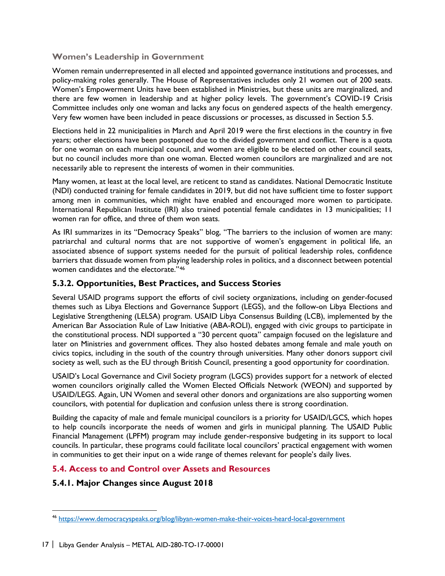#### **Women's Leadership in Government**

Women remain underrepresented in all elected and appointed governance institutions and processes, and policy-making roles generally. The House of Representatives includes only 21 women out of 200 seats. Women's Empowerment Units have been established in Ministries, but these units are marginalized, and there are few women in leadership and at higher policy levels. The government's COVID-19 Crisis Committee includes only one woman and lacks any focus on gendered aspects of the health emergency. Very few women have been included in peace discussions or processes, as discussed in Section 5.5.

Elections held in 22 municipalities in March and April 2019 were the first elections in the country in five years; other elections have been postponed due to the divided government and conflict. There is a quota for one woman on each municipal council, and women are eligible to be elected on other council seats, but no council includes more than one woman. Elected women councilors are marginalized and are not necessarily able to represent the interests of women in their communities.

Many women, at least at the local level, are reticent to stand as candidates. National Democratic Institute (NDI) conducted training for female candidates in 2019, but did not have sufficient time to foster support among men in communities, which might have enabled and encouraged more women to participate. International Republican Institute (IRI) also trained potential female candidates in 13 municipalities; 11 women ran for office, and three of them won seats.

As IRI summarizes in its "Democracy Speaks" blog, "The barriers to the inclusion of women are many: patriarchal and cultural norms that are not supportive of women's engagement in political life, an associated absence of support systems needed for the pursuit of political leadership roles, confidence barriers that dissuade women from playing leadership roles in politics, and a disconnect between potential women candidates and the electorate."[46](#page-23-1)

## **5.3.2. Opportunities, Best Practices, and Success Stories**

Several USAID programs support the efforts of civil society organizations, including on gender-focused themes such as Libya Elections and Governance Support (LEGS), and the follow-on Libya Elections and Legislative Strengthening (LELSA) program. USAID Libya Consensus Building (LCB), implemented by the American Bar Association Rule of Law Initiative (ABA-ROLI), engaged with civic groups to participate in the constitutional process. NDI supported a "30 percent quota" campaign focused on the legislature and later on Ministries and government offices. They also hosted debates among female and male youth on civics topics, including in the south of the country through universities. Many other donors support civil society as well, such as the EU through British Council, presenting a good opportunity for coordination.

USAID's Local Governance and Civil Society program (LGCS) provides support for a network of elected women councilors originally called the Women Elected Officials Network (WEON) and supported by USAID/LEGS. Again, UN Women and several other donors and organizations are also supporting women councilors, with potential for duplication and confusion unless there is strong coordination.

Building the capacity of male and female municipal councilors is a priority for USAID/LGCS, which hopes to help councils incorporate the needs of women and girls in municipal planning. The USAID Public Financial Management (LPFM) program may include gender-responsive budgeting in its support to local councils. In particular, these programs could facilitate local councilors' practical engagement with women in communities to get their input on a wide range of themes relevant for people's daily lives.

#### <span id="page-23-0"></span>**5.4. Access to and Control over Assets and Resources**

## **5.4.1. Major Changes since August 2018**

 $\ddot{\phantom{a}}$ 

<span id="page-23-1"></span><sup>46</sup> <https://www.democracyspeaks.org/blog/libyan-women-make-their-voices-heard-local-government>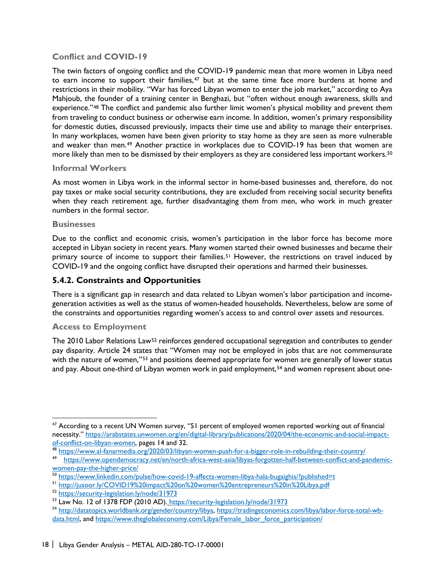## **Conflict and COVID-19**

The twin factors of ongoing conflict and the COVID-19 pandemic mean that more women in Libya need to earn income to support their families,<sup>[47](#page-24-0)</sup> but at the same time face more burdens at home and restrictions in their mobility. "War has forced Libyan women to enter the job market," according to Aya Mahjoub, the founder of a training center in Benghazi, but "often without enough awareness, skills and experience."[48](#page-24-1) The conflict and pandemic also further limit women's physical mobility and prevent them from traveling to conduct business or otherwise earn income. In addition, women's primary responsibility for domestic duties, discussed previously, impacts their time use and ability to manage their enterprises. In many workplaces, women have been given priority to stay home as they are seen as more vulnerable and weaker than men.[49](#page-24-2) Another practice in workplaces due to COVID-19 has been that women are more likely than men to be dismissed by their employers as they are considered less important workers.[50](#page-24-3)

#### **Informal Workers**

As most women in Libya work in the informal sector in home-based businesses and, therefore, do not pay taxes or make social security contributions, they are excluded from receiving social security benefits when they reach retirement age, further disadvantaging them from men, who work in much greater numbers in the formal sector.

#### **Businesses**

 $\overline{a}$ 

Due to the conflict and economic crisis, women's participation in the labor force has become more accepted in Libyan society in recent years. Many women started their owned businesses and became their primary source of income to support their families.<sup>[51](#page-24-4)</sup> However, the restrictions on travel induced by COVID-19 and the ongoing conflict have disrupted their operations and harmed their businesses.

## **5.4.2. Constraints and Opportunities**

There is a significant gap in research and data related to Libyan women's labor participation and incomegeneration activities as well as the status of women-headed households. Nevertheless, below are some of the constraints and opportunities regarding women's access to and control over assets and resources.

#### **Access to Employment**

The 2010 Labor Relations Law<sup>[52](#page-24-5)</sup> reinforces gendered occupational segregation and contributes to gender pay disparity. Article 24 states that "Women may not be employed in jobs that are not commensurate with the nature of women,"<sup>[53](#page-24-6)</sup> and positions deemed appropriate for women are generally of lower status and pay. About one-third of Libyan women work in paid employment,<sup>[54](#page-24-7)</sup> and women represent about one-

<span id="page-24-0"></span><sup>&</sup>lt;sup>47</sup> According to a recent UN Women survey, "51 percent of employed women reported working out of financial necessity." [https://arabstates.unwomen.org/en/digital-library/publications/2020/04/the-economic-and-social-impact](https://arabstates.unwomen.org/en/digital-library/publications/2020/04/the-economic-and-social-impact-of-conflict-on-libyan-women)[of-conflict-on-libyan-women,](https://arabstates.unwomen.org/en/digital-library/publications/2020/04/the-economic-and-social-impact-of-conflict-on-libyan-women) pages 14 and 32.

<sup>48</sup> <https://www.al-fanarmedia.org/2020/03/libyan-women-push-for-a-bigger-role-in-rebuilding-their-country/>

<span id="page-24-2"></span><span id="page-24-1"></span><sup>49</sup> [https://www.opendemocracy.net/en/north-africa-west-asia/libyas-forgotten-half-between-conflict-and-pandemic](https://www.opendemocracy.net/en/north-africa-west-asia/libyas-forgotten-half-between-conflict-and-pandemic-women-pay-the-higher-price/)women-pay-the-higher-price/<br>
<sup>50</sup> https://www.linkedin.com/pulse/how-covid-19-affects-women-libya-hala-bugaighis/?published=t<br>
<sup>51</sup> http://jusoor.ly/COVID19%20impact%20on%20women%20entrepreneurs%20in%20Libya.pdf<br>
<sup>52</sup> http

<span id="page-24-3"></span>

<span id="page-24-4"></span>

<span id="page-24-6"></span><span id="page-24-5"></span><sup>53</sup> Law No. 12 of 1378 FDP (2010 AD). <https://security-legislation.ly/node/31973>

<span id="page-24-7"></span><sup>54</sup> [http://datatopics.worldbank.org/gender/country/libya,](http://datatopics.worldbank.org/gender/country/libya) [https://tradingeconomics.com/libya/labor-force-total-wb](https://tradingeconomics.com/libya/labor-force-total-wb-data.html)[data.html,](https://tradingeconomics.com/libya/labor-force-total-wb-data.html) and https://www.theglobaleconomy.com/Libya/Female\_labor\_force\_participation/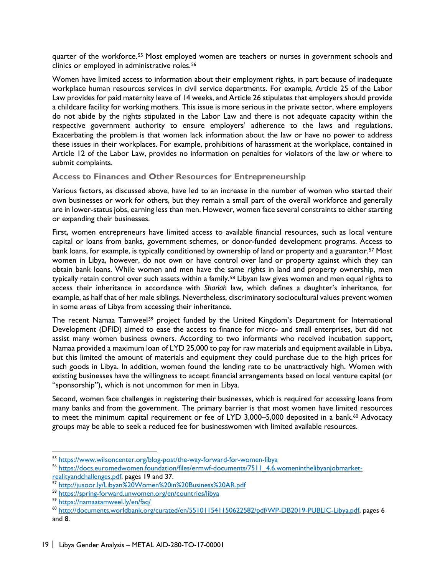quarter of the workforce.<sup>[55](#page-25-0)</sup> Most employed women are teachers or nurses in government schools and clinics or employed in administrative roles.[56](#page-25-1)

Women have limited access to information about their employment rights, in part because of inadequate workplace human resources services in civil service departments. For example, Article 25 of the Labor Law provides for paid maternity leave of 14 weeks, and Article 26 stipulates that employers should provide a childcare facility for working mothers. This issue is more serious in the private sector, where employers do not abide by the rights stipulated in the Labor Law and there is not adequate capacity within the respective government authority to ensure employers' adherence to the laws and regulations. Exacerbating the problem is that women lack information about the law or have no power to address these issues in their workplaces. For example, prohibitions of harassment at the workplace, contained in Article 12 of the Labor Law, provides no information on penalties for violators of the law or where to submit complaints.

#### **Access to Finances and Other Resources for Entrepreneurship**

Various factors, as discussed above, have led to an increase in the number of women who started their own businesses or work for others, but they remain a small part of the overall workforce and generally are in lower-status jobs, earning less than men. However, women face several constraints to either starting or expanding their businesses.

First, women entrepreneurs have limited access to available financial resources, such as local venture capital or loans from banks, government schemes, or donor-funded development programs. Access to bank loans, for example, is typically conditioned by ownership of land or property and a guarantor.<sup>[57](#page-25-2)</sup> Most women in Libya, however, do not own or have control over land or property against which they can obtain bank loans. While women and men have the same rights in land and property ownership, men typically retain control over such assets within a family.[58](#page-25-3) Libyan law gives women and men equal rights to access their inheritance in accordance with *Shariah* law, which defines a daughter's inheritance, for example, as half that of her male siblings. Nevertheless, discriminatory sociocultural values prevent women in some areas of Libya from accessing their inheritance.

The recent Namaa Tamweel<sup>[59](#page-25-4)</sup> project funded by the United Kingdom's Department for International Development (DFID) aimed to ease the access to finance for micro- and small enterprises, but did not assist many women business owners. According to two informants who received incubation support, Namaa provided a maximum loan of LYD 25,000 to pay for raw materials and equipment available in Libya, but this limited the amount of materials and equipment they could purchase due to the high prices for such goods in Libya. In addition, women found the lending rate to be unattractively high. Women with existing businesses have the willingness to accept financial arrangements based on local venture capital (or "sponsorship"), which is not uncommon for men in Libya.

Second, women face challenges in registering their businesses, which is required for accessing loans from many banks and from the government. The primary barrier is that most women have limited resources to meet the minimum capital requirement or fee of LYD 3,000-5,000 deposited in a bank.<sup>[60](#page-25-5)</sup> Advocacy groups may be able to seek a reduced fee for businesswomen with limited available resources.

<span id="page-25-0"></span><sup>55</sup> <https://www.wilsoncenter.org/blog-post/the-way-forward-for-women-libya>

<span id="page-25-1"></span><sup>56</sup> [https://docs.euromedwomen.foundation/files/ermwf-documents/7511\\_4.6.womeninthelibyanjobmarket](https://docs.euromedwomen.foundation/files/ermwf-documents/7511_4.6.womeninthelibyanjobmarket-realityandchallenges.pdf)[realityandchallenges.pdf,](https://docs.euromedwomen.foundation/files/ermwf-documents/7511_4.6.womeninthelibyanjobmarket-realityandchallenges.pdf) pages 19 and 37.

<span id="page-25-2"></span><sup>&</sup>lt;sup>57</sup> http://jusoor.ly/Libyan%20Women%20in%20Business%20AR.pdf<br><sup>58</sup> <https://spring-forward.unwomen.org/en/countries/libya>

<span id="page-25-5"></span><span id="page-25-4"></span><span id="page-25-3"></span><sup>&</sup>lt;sup>59</sup> https://namaatamweel.ly/en/faq/<br><sup>60</sup> [http://documents.worldbank.org/curated/en/551011541150622582/pdf/WP-DB2019-PUBLIC-Libya.pdf,](http://documents.worldbank.org/curated/en/551011541150622582/pdf/WP-DB2019-PUBLIC-Libya.pdf) pages 6 and 8.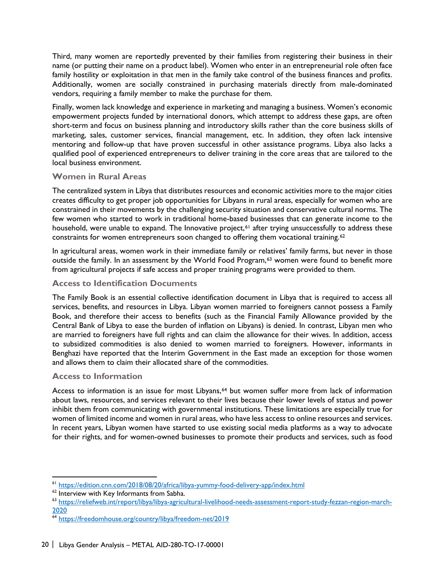Third, many women are reportedly prevented by their families from registering their business in their name (or putting their name on a product label). Women who enter in an entrepreneurial role often face family hostility or exploitation in that men in the family take control of the business finances and profits. Additionally, women are socially constrained in purchasing materials directly from male-dominated vendors, requiring a family member to make the purchase for them.

Finally, women lack knowledge and experience in marketing and managing a business. Women's economic empowerment projects funded by international donors, which attempt to address these gaps, are often short-term and focus on business planning and introductory skills rather than the core business skills of marketing, sales, customer services, financial management, etc. In addition, they often lack intensive mentoring and follow-up that have proven successful in other assistance programs. Libya also lacks a qualified pool of experienced entrepreneurs to deliver training in the core areas that are tailored to the local business environment.

#### **Women in Rural Areas**

The centralized system in Libya that distributes resources and economic activities more to the major cities creates difficulty to get proper job opportunities for Libyans in rural areas, especially for women who are constrained in their movements by the challenging security situation and conservative cultural norms. The few women who started to work in traditional home-based businesses that can generate income to the household, were unable to expand. The Innovative project,<sup>61</sup> after trying unsuccessfully to address these constraints for women entrepreneurs soon changed to offering them vocational training.<sup>62</sup>

In agricultural areas, women work in their immediate family or relatives' family farms, but never in those outside the family. In an assessment by the World Food Program,<sup>[63](#page-26-2)</sup> women were found to benefit more from agricultural projects if safe access and proper training programs were provided to them.

#### **Access to Identification Documents**

The Family Book is an essential collective identification document in Libya that is required to access all services, benefits, and resources in Libya. Libyan women married to foreigners cannot possess a Family Book, and therefore their access to benefits (such as the Financial Family Allowance provided by the Central Bank of Libya to ease the burden of inflation on Libyans) is denied. In contrast, Libyan men who are married to foreigners have full rights and can claim the allowance for their wives. In addition, access to subsidized commodities is also denied to women married to foreigners. However, informants in Benghazi have reported that the Interim Government in the East made an exception for those women and allows them to claim their allocated share of the commodities.

#### **Access to Information**

 $\overline{a}$ 

Access to information is an issue for most Libyans,<sup>[64](#page-26-3)</sup> but women suffer more from lack of information about laws, resources, and services relevant to their lives because their lower levels of status and power inhibit them from communicating with governmental institutions. These limitations are especially true for women of limited income and women in rural areas, who have less access to online resources and services. In recent years, Libyan women have started to use existing social media platforms as a way to advocate for their rights, and for women-owned businesses to promote their products and services, such as food

<span id="page-26-0"></span><sup>&</sup>lt;sup>61</sup> https://edition.cnn.com/2018/08/20/africa/libya-yummy-food-delivery-app/index.html<br><sup>62</sup> Interview with Key Informants from Sabha.

<span id="page-26-1"></span>

<span id="page-26-2"></span><sup>63</sup> https://reliefweb.int/report/libya/libya-agricultural-livelihood-needs-assessment-report-study-fezzan-region-march-<br>2020

<span id="page-26-3"></span><sup>&</sup>lt;sup>64</sup> https://freedomhouse.org/country/libya/freedom-net/2019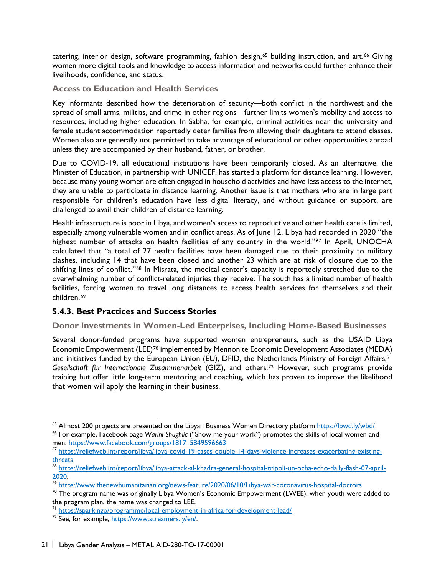catering, interior design, software programming, fashion design,<sup>[65](#page-27-0)</sup> building instruction, and art.<sup>66</sup> Giving women more digital tools and knowledge to access information and networks could further enhance their livelihoods, confidence, and status.

#### **Access to Education and Health Services**

Key informants described how the deterioration of security—both conflict in the northwest and the spread of small arms, militias, and crime in other regions—further limits women's mobility and access to resources, including higher education. In Sabha, for example, criminal activities near the university and female student accommodation reportedly deter families from allowing their daughters to attend classes. Women also are generally not permitted to take advantage of educational or other opportunities abroad unless they are accompanied by their husband, father, or brother.

Due to COVID-19, all educational institutions have been temporarily closed. As an alternative, the Minister of Education, in partnership with UNICEF, has started a platform for distance learning. However, because many young women are often engaged in household activities and have less access to the internet, they are unable to participate in distance learning. Another issue is that mothers who are in large part responsible for children's education have less digital literacy, and without guidance or support, are challenged to avail their children of distance learning.

Health infrastructure is poor in Libya, and women's access to reproductive and other health care is limited, especially among vulnerable women and in conflict areas. As of June 12, Libya had recorded in 2020 "the highest number of attacks on health facilities of any country in the world."<sup>[67](#page-27-2)</sup> In April, UNOCHA calculated that "a total of 27 health facilities have been damaged due to their proximity to military clashes, including 14 that have been closed and another 23 which are at risk of closure due to the shifting lines of conflict."<sup>[68](#page-27-3)</sup> In Misrata, the medical center's capacity is reportedly stretched due to the overwhelming number of conflict-related injuries they receive. The south has a limited number of health facilities, forcing women to travel long distances to access health services for themselves and their children.[69](#page-27-4) 

## **5.4.3. Best Practices and Success Stories**

## **Donor Investments in Women-Led Enterprises, Including Home-Based Businesses**

Several donor-funded programs have supported women entrepreneurs, such as the USAID Libya Economic Empowerment (LEE)<sup>[70](#page-27-5)</sup> implemented by Mennonite Economic Development Associates (MEDA) and initiatives funded by the European Union (EU), DFID, the Netherlands Ministry of Foreign Affairs,<sup>[71](#page-27-6)</sup> *Gesellschaft für Internationale Zusammenarbeit* (GIZ), and others.[72](#page-27-7) However, such programs provide training but offer little long-term mentoring and coaching, which has proven to improve the likelihood that women will apply the learning in their business.

<span id="page-27-1"></span><span id="page-27-0"></span><sup>&</sup>lt;sup>65</sup> Almost 200 projects are presented on the Libyan Business Women Directory platform https://lbwd.ly/wbd/<br><sup>66</sup> For example, Facebook page *Warini Shughlic* ("Show me your work") promotes the skills of local women and<br>men

<span id="page-27-2"></span><sup>67</sup> [https://reliefweb.int/report/libya/libya-covid-19-cases-double-14-days-violence-increases-exacerbating-existing](https://reliefweb.int/report/libya/libya-covid-19-cases-double-14-days-violence-increases-exacerbating-existing-threats)[threats](https://reliefweb.int/report/libya/libya-covid-19-cases-double-14-days-violence-increases-exacerbating-existing-threats)

<span id="page-27-3"></span><sup>68</sup> [https://reliefweb.int/report/libya/libya-attack-al-khadra-general-hospital-tripoli-un-ocha-echo-daily-flash-07-april-](https://reliefweb.int/report/libya/libya-attack-al-khadra-general-hospital-tripoli-un-ocha-echo-daily-flash-07-april-2020)

<span id="page-27-4"></span> $\frac{1}{69}$  $\frac{1}{69}$  $\frac{1}{69}$  <https://www.thenewhumanitarian.org/news-feature/2020/06/10/Libya-war-coronavirus-hospital-doctors> $^{70}$  The program name was originally Libya Women's Economic Empowerment (LWEE); when youth were added to

<span id="page-27-5"></span>the program plan, the name was changed to LEE.

<span id="page-27-6"></span><sup>&</sup>lt;sup>71</sup> https://spark.ngo/programme/local-employment-in-africa-for-development-lead/<br><sup>72</sup> See, for example, [https://www.streamers.ly/en/.](https://www.streamers.ly/en/)

<span id="page-27-7"></span>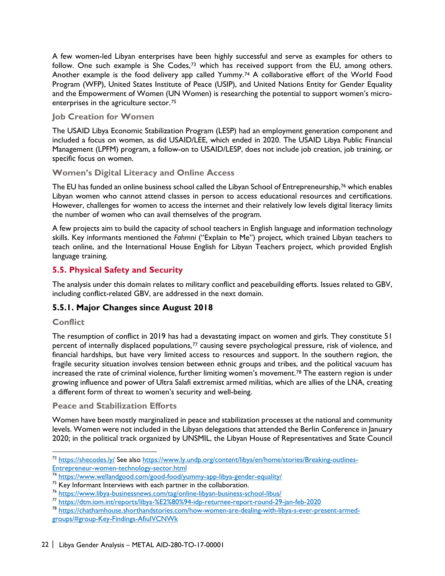A few women-led Libyan enterprises have been highly successful and serve as examples for others to follow. One such example is She Codes,<sup>[73](#page-28-1)</sup> which has received support from the EU, among others. Another example is the food delivery app called Yummy.[74](#page-28-2) A collaborative effort of the World Food Program (WFP), United States Institute of Peace (USIP), and United Nations Entity for Gender Equality and the Empowerment of Women (UN Women) is researching the potential to support women's microenterprises in the agriculture sector.[75](#page-28-3) 

#### **Job Creation for Women**

The USAID Libya Economic Stabilization Program (LESP) had an employment generation component and included a focus on women, as did USAID/LEE, which ended in 2020. The USAID Libya Public Financial Management (LPFM) program, a follow-on to USAID/LESP, does not include job creation, job training, or specific focus on women.

## **Women's Digital Literacy and Online Access**

The EU has funded an online business school called the Libyan School of Entrepreneurship,<sup>[76](#page-28-4)</sup> which enables Libyan women who cannot attend classes in person to access educational resources and certifications. However, challenges for women to access the internet and their relatively low levels digital literacy limits the number of women who can avail themselves of the program.

A few projects aim to build the capacity of school teachers in English language and information technology skills. Key informants mentioned the *Fahmni* ("Explain to Me") project, which trained Libyan teachers to teach online, and the International House English for Libyan Teachers project, which provided English language training.

## <span id="page-28-0"></span>**5.5. Physical Safety and Security**

The analysis under this domain relates to military conflict and peacebuilding efforts. Issues related to GBV, including conflict-related GBV, are addressed in the next domain.

# **5.5.1. Major Changes since August 2018**

#### **Conflict**

 $\overline{a}$ 

The resumption of conflict in 2019 has had a devastating impact on women and girls. They constitute 51 percent of internally displaced populations,<sup>[77](#page-28-5)</sup> causing severe psychological pressure, risk of violence, and financial hardships, but have very limited access to resources and support. In the southern region, the fragile security situation involves tension between ethnic groups and tribes, and the political vacuum has increased the rate of criminal violence, further limiting women's movement.<sup>[78](#page-28-6)</sup> The eastern region is under growing influence and power of Ultra Salafi extremist armed militias, which are allies of the LNA, creating a different form of threat to women's security and well-being.

#### **Peace and Stabilization Efforts**

Women have been mostly marginalized in peace and stabilization processes at the national and community levels. Women were not included in the Libyan delegations that attended the Berlin Conference in January 2020; in the political track organized by UNSMIL, the Libyan House of Representatives and State Council

<span id="page-28-1"></span><sup>73</sup> <https://shecodes.ly/> See also [https://www.ly.undp.org/content/libya/en/home/stories/Breaking-outlines-](https://www.ly.undp.org/content/libya/en/home/stories/Breaking-outlines-Entrepreneur-women-technology-sector.html)[Entrepreneur-women-technology-sector.html](https://www.ly.undp.org/content/libya/en/home/stories/Breaking-outlines-Entrepreneur-women-technology-sector.html)

<span id="page-28-2"></span><sup>&</sup>lt;sup>74</sup> <u>https://www.wellandgood.com/good-food/yummy-app-libya-gender-equality/</u><br><sup>75</sup> Key Informant Interviews with each partner in the collaboration.

<span id="page-28-4"></span><span id="page-28-3"></span> $^{76}$  <https://www.libya-businessnews.com/tag/online-libyan-business-school-libus/><br> $^{77}$  https://dtm.iom.int/reports/libya-%E2%80%94-idp-returnee-report-round-29-jan-feb-2020

<span id="page-28-6"></span><span id="page-28-5"></span><sup>&</sup>lt;sup>78</sup> [https://chathamhouse.shorthandstories.com/how-women-are-dealing-with-libya-s-ever-present-armed](https://chathamhouse.shorthandstories.com/how-women-are-dealing-with-libya-s-ever-present-armed-groups/#group-Key-Findings-AfiuIVCNWk)[groups/#group-Key-Findings-AfiuIVCNWk](https://chathamhouse.shorthandstories.com/how-women-are-dealing-with-libya-s-ever-present-armed-groups/#group-Key-Findings-AfiuIVCNWk)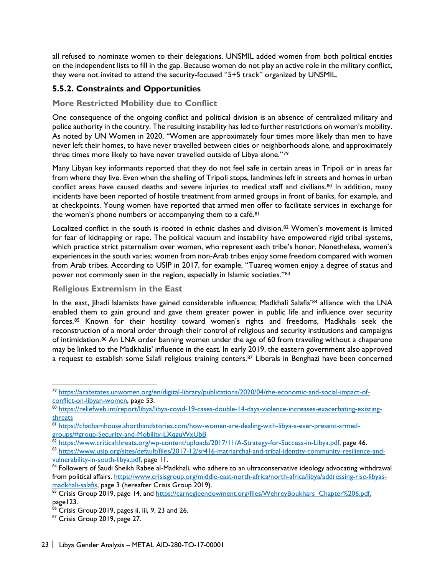all refused to nominate women to their delegations. UNSMIL added women from both political entities on the independent lists to fill in the gap. Because women do not play an active role in the military conflict, they were not invited to attend the security-focused "5+5 track" organized by UNSMIL.

# **5.5.2. Constraints and Opportunities**

#### **More Restricted Mobility due to Conflict**

One consequence of the ongoing conflict and political division is an absence of centralized military and police authority in the country. The resulting instability has led to further restrictions on women's mobility. As noted by UN Women in 2020, "Women are approximately four times more likely than men to have never left their homes, to have never travelled between cities or neighborhoods alone, and approximately three times more likely to have never travelled outside of Libya alone."[79](#page-29-0)

Many Libyan key informants reported that they do not feel safe in certain areas in Tripoli or in areas far from where they live. Even when the shelling of Tripoli stops, landmines left in streets and homes in urban conflict areas have caused deaths and severe injuries to medical staff and civilians.<sup>[80](#page-29-1)</sup> In addition, many incidents have been reported of hostile treatment from armed groups in front of banks, for example, and at checkpoints. Young women have reported that armed men offer to facilitate services in exchange for the women's phone numbers or accompanying them to a café.<sup>81</sup>

Localized conflict in the south is rooted in ethnic clashes and division.<sup>[82](#page-29-3)</sup> Women's movement is limited for fear of kidnapping or rape. The political vacuum and instability have empowered rigid tribal systems, which practice strict paternalism over women, who represent each tribe's honor. Nonetheless, women's experiences in the south varies; women from non-Arab tribes enjoy some freedom compared with women from Arab tribes. According to USIP in 2017, for example, "Tuareq women enjoy a degree of status and power not commonly seen in the region, especially in Islamic societies."[83](#page-29-4)

#### **Religious Extremism in the East**

In the east, Jihadi Islamists have gained considerable influence; Madkhali Salafis'<sup>[84](#page-29-5)</sup> alliance with the LNA enabled them to gain ground and gave them greater power in public life and influence over security forces.[85](#page-29-6) Known for their hostility toward women's rights and freedoms, Madkhalis seek the reconstruction of a moral order through their control of religious and security institutions and campaigns of intimidation.<sup>86</sup> An LNA order banning women under the age of 60 from traveling without a chaperone may be linked to the Madkhalis' influence in the east. In early 2019, the eastern government also approved a request to establish some Salafi religious training centers.<sup>[87](#page-29-8)</sup> Liberals in Benghazi have been concerned

<span id="page-29-0"></span><sup>&</sup>lt;sup>79</sup> [https://arabstates.unwomen.org/en/digital-library/publications/2020/04/the-economic-and-social-impact-of](https://arabstates.unwomen.org/en/digital-library/publications/2020/04/the-economic-and-social-impact-of-conflict-on-libyan-women)[conflict-on-libyan-women,](https://arabstates.unwomen.org/en/digital-library/publications/2020/04/the-economic-and-social-impact-of-conflict-on-libyan-women) page 53.<br><sup>[80](https://arabstates.unwomen.org/en/digital-library/publications/2020/04/the-economic-and-social-impact-of-conflict-on-libyan-women)</sup> [https://reliefweb.int/report/libya/libya-covid-19-cases-double-14-days-violence-increases-exacerbating-existing-](https://reliefweb.int/report/libya/libya-covid-19-cases-double-14-days-violence-increases-exacerbating-existing-threats)

<span id="page-29-1"></span>[threats](https://reliefweb.int/report/libya/libya-covid-19-cases-double-14-days-violence-increases-exacerbating-existing-threats)

<span id="page-29-2"></span><sup>81</sup> [https://chathamhouse.shorthandstories.com/how-women-are-dealing-with-libya-s-ever-present-armed](https://chathamhouse.shorthandstories.com/how-women-are-dealing-with-libya-s-ever-present-armed-groups/#group-Security-and-Mobility-LXqguWxUbB)groups/#group-Security-and-Mobility-LXqguWxUbB<br><sup>82</sup> [https://www.criticalthreats.org/wp-content/uploads/2017/11/A-Strategy-for-Success-in-Libya.pdf,](https://www.criticalthreats.org/wp-content/uploads/2017/11/A-Strategy-for-Success-in-Libya.pdf) page 46.

<span id="page-29-4"></span><span id="page-29-3"></span><sup>83</sup> [https://www.usip.org/sites/default/files/2017-12/sr416-matriarchal-and-tribal-identity-community-resilience-and](https://www.usip.org/sites/default/files/2017-12/sr416-matriarchal-and-tribal-identity-community-resilience-and-vulnerability-in-south-libya.pdf)[vulnerability-in-south-libya.pdf,](https://www.usip.org/sites/default/files/2017-12/sr416-matriarchal-and-tribal-identity-community-resilience-and-vulnerability-in-south-libya.pdf) page 11.

<span id="page-29-5"></span><sup>84</sup> Followers of Saudi Sheikh Rabee al-Madkhali, who adhere to an ultraconservative ideology advocating withdrawal from political affairs. [https://www.crisisgroup.org/middle-east-north-africa/north-africa/libya/addressing-rise-libyas](https://www.crisisgroup.org/middle-east-north-africa/north-africa/libya/addressing-rise-libyas-madkhali-salafis)[madkhali-salafis,](https://www.crisisgroup.org/middle-east-north-africa/north-africa/libya/addressing-rise-libyas-madkhali-salafis) page 3 (hereafter Crisis Group 2019).

<span id="page-29-6"></span><sup>85</sup> Crisis Group 2019, page 14, and [https://carnegieendowment.org/files/WehreyBoukhars\\_Chapter%206.pdf,](https://carnegieendowment.org/files/WehreyBoukhars_Chapter%206.pdf) page123.

 $^{86}$  Crisis Group 2019, pages ii, iii, 9, 23 and 26.

<span id="page-29-8"></span><span id="page-29-7"></span><sup>87</sup> Crisis Group 2019, page 27.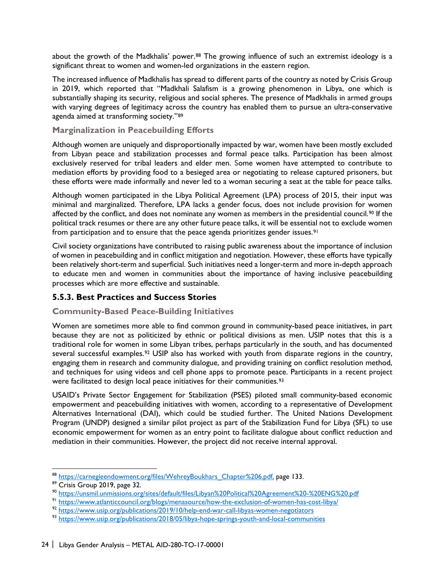about the growth of the Madkhalis' power.<sup>[88](#page-30-0)</sup> The growing influence of such an extremist ideology is a significant threat to women and women-led organizations in the eastern region.

The increased influence of Madkhalis has spread to different parts of the country as noted by Crisis Group in 2019, which reported that "Madkhali Salafism is a growing phenomenon in Libya, one which is substantially shaping its security, religious and social spheres. The presence of Madkhalis in armed groups with varying degrees of legitimacy across the country has enabled them to pursue an ultra-conservative agenda aimed at transforming society."[89](#page-30-1)

#### **Marginalization in Peacebuilding Efforts**

Although women are uniquely and disproportionally impacted by war, women have been mostly excluded from Libyan peace and stabilization processes and formal peace talks. Participation has been almost exclusively reserved for tribal leaders and elder men. Some women have attempted to contribute to mediation efforts by providing food to a besieged area or negotiating to release captured prisoners, but these efforts were made informally and never led to a woman securing a seat at the table for peace talks.

Although women participated in the Libya Political Agreement (LPA) process of 2015, their input was minimal and marginalized. Therefore, LPA lacks a gender focus, does not include provision for women affected by the conflict, and does not nominate any women as members in the presidential council.<sup>[90](#page-30-2)</sup> If the political track resumes or there are any other future peace talks, it will be essential not to exclude women from participation and to ensure that the peace agenda prioritizes gender issues.<sup>[91](#page-30-3)</sup>

Civil society organizations have contributed to raising public awareness about the importance of inclusion of women in peacebuilding and in conflict mitigation and negotiation. However, these efforts have typically been relatively short-term and superficial. Such initiatives need a longer-term and more in-depth approach to educate men and women in communities about the importance of having inclusive peacebuilding processes which are more effective and sustainable.

#### **5.5.3. Best Practices and Success Stories**

#### **Community-Based Peace-Building Initiatives**

Women are sometimes more able to find common ground in community-based peace initiatives, in part because they are not as politicized by ethnic or political divisions as men. USIP notes that this is a traditional role for women in some Libyan tribes, perhaps particularly in the south, and has documented several successful examples.<sup>[92](#page-30-4)</sup> USIP also has worked with youth from disparate regions in the country, engaging them in research and community dialogue, and providing training on conflict resolution method, and techniques for using videos and cell phone apps to promote peace. Participants in a recent project were facilitated to design local peace initiatives for their communities.<sup>93</sup>

USAID's Private Sector Engagement for Stabilization (PSES) piloted small community-based economic empowerment and peacebuilding initiatives with women, according to a representative of Development Alternatives International (DAI), which could be studied further. The United Nations Development Program (UNDP) designed a similar pilot project as part of the Stabilization Fund for Libya (SFL) to use economic empowerment for women as an entry point to facilitate dialogue about conflict reduction and mediation in their communities. However, the project did not receive internal approval.

<span id="page-30-0"></span><sup>88</sup> [https://carnegieendowment.org/files/WehreyBoukhars\\_Chapter%206.pdf,](https://carnegieendowment.org/files/WehreyBoukhars_Chapter%206.pdf) page 133.

<span id="page-30-1"></span><sup>89</sup> Crisis Group 2019, page 32.

<span id="page-30-2"></span><sup>90</sup> <https://unsmil.unmissions.org/sites/default/files/Libyan%20Political%20Agreement%20-%20ENG%20.pdf>

<span id="page-30-3"></span><sup>91</sup> <https://www.atlanticcouncil.org/blogs/menasource/how-the-exclusion-of-women-has-cost-libya/>

<span id="page-30-4"></span><sup>92</sup> <https://www.usip.org/publications/2019/10/help-end-war-call-libyas-women-negotiators>

<span id="page-30-5"></span><sup>93</sup> <https://www.usip.org/publications/2018/05/libya-hope-springs-youth-and-local-communities>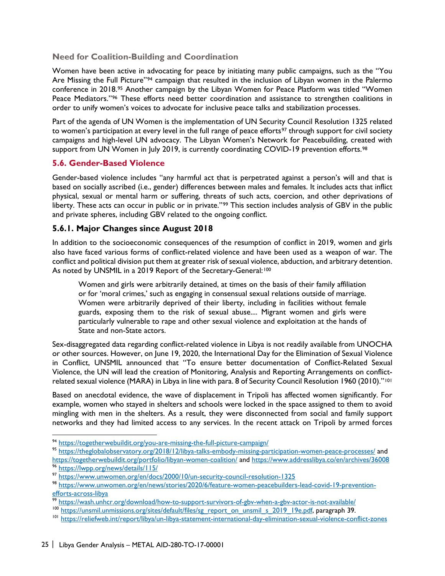#### **Need for Coalition-Building and Coordination**

Women have been active in advocating for peace by initiating many public campaigns, such as the "You Are Missing the Full Picture"<sup>[94](#page-31-1)</sup> campaign that resulted in the inclusion of Libyan women in the Palermo conference in 2018.<sup>95</sup> Another campaign by the Libyan Women for Peace Platform was titled "Women Peace Mediators."[96](#page-31-3) These efforts need better coordination and assistance to strengthen coalitions in order to unify women's voices to advocate for inclusive peace talks and stabilization processes.

Part of the agenda of UN Women is the implementation of UN Security Council Resolution 1325 related to women's participation at every level in the full range of peace efforts<sup>[97](#page-31-4)</sup> through support for civil society campaigns and high-level UN advocacy. The Libyan Women's Network for Peacebuilding, created with support from UN Women in July 2019, is currently coordinating COVID-19 prevention efforts.<sup>[98](#page-31-5)</sup>

#### <span id="page-31-0"></span>**5.6. Gender-Based Violence**

Gender-based violence includes "any harmful act that is perpetrated against a person's will and that is based on socially ascribed (i.e., gender) differences between males and females. It includes acts that inflict physical, sexual or mental harm or suffering, threats of such acts, coercion, and other deprivations of liberty. These acts can occur in public or in private."<sup>[99](#page-31-6)</sup> This section includes analysis of GBV in the public and private spheres, including GBV related to the ongoing conflict.

#### **5.6.1. Major Changes since August 2018**

In addition to the socioeconomic consequences of the resumption of conflict in 2019, women and girls also have faced various forms of conflict-related violence and have been used as a weapon of war. The conflict and political division put them at greater risk of sexual violence, abduction, and arbitrary detention. As noted by UNSMIL in a 2019 Report of the Secretary-General:<sup>[100](#page-31-7)</sup>

Women and girls were arbitrarily detained, at times on the basis of their family affiliation or for 'moral crimes,' such as engaging in consensual sexual relations outside of marriage. Women were arbitrarily deprived of their liberty, including in facilities without female guards, exposing them to the risk of sexual abuse.... Migrant women and girls were particularly vulnerable to rape and other sexual violence and exploitation at the hands of State and non-State actors.

Sex-disaggregated data regarding conflict-related violence in Libya is not readily available from UNOCHA or other sources. However, on June 19, 2020, the International Day for the Elimination of Sexual Violence in Conflict, UNSMIL announced that "To ensure better documentation of Conflict-Related Sexual Violence, the UN will lead the creation of Monitoring, Analysis and Reporting Arrangements on conflictrelated sexual violence (MARA) in Libya in line with para. 8 of Security Council Resolution 1960 (2010)."[101](#page-31-8)

Based on anecdotal evidence, the wave of displacement in Tripoli has affected women significantly. For example, women who stayed in shelters and schools were locked in the space assigned to them to avoid mingling with men in the shelters. As a result, they were disconnected from social and family support networks and they had limited access to any services. In the recent attack on Tripoli by armed forces

 $\overline{a}$ 

<span id="page-31-2"></span><span id="page-31-1"></span><sup>94</sup> https://togetherwebuildit.org/you-are-missing-the-full-picture-campaign/<br>95 <https://theglobalobservatory.org/2018/12/libya-talks-embody-missing-participation-women-peace-processes/> and <https://togetherwebuildit.org/portfolio/libyan-women-coalition/> and<https://www.addresslibya.co/en/archives/36008><br><sup>96</sup> https://lwpp.org/news/details/115/

<span id="page-31-4"></span><span id="page-31-3"></span><sup>97</sup> <https://www.unwomen.org/en/docs/2000/10/un-security-council-resolution-1325>

<span id="page-31-5"></span><sup>98</sup> [https://www.unwomen.org/en/news/stories/2020/6/feature-women-peacebuilders-lead-covid-19-prevention](https://www.unwomen.org/en/news/stories/2020/6/feature-women-peacebuilders-lead-covid-19-prevention-efforts-across-libya)[efforts-across-libya](https://www.unwomen.org/en/news/stories/2020/6/feature-women-peacebuilders-lead-covid-19-prevention-efforts-across-libya)

<span id="page-31-6"></span><sup>99</sup> <https://wash.unhcr.org/download/how-to-support-survivors-of-gbv-when-a-gbv-actor-is-not-available/>

<span id="page-31-7"></span><sup>&</sup>lt;sup>100</sup> [https://unsmil.unmissions.org/sites/default/files/sg\\_report\\_on\\_unsmil\\_s\\_2019\\_19e.pdf,](https://unsmil.unmissions.org/sites/default/files/sg_report_on_unsmil_s_2019_19e.pdf) paragraph 39.

<span id="page-31-8"></span><sup>&</sup>lt;sup>101</sup> <https://reliefweb.int/report/libya/un-libya-statement-international-day-elimination-sexual-violence-conflict-zones>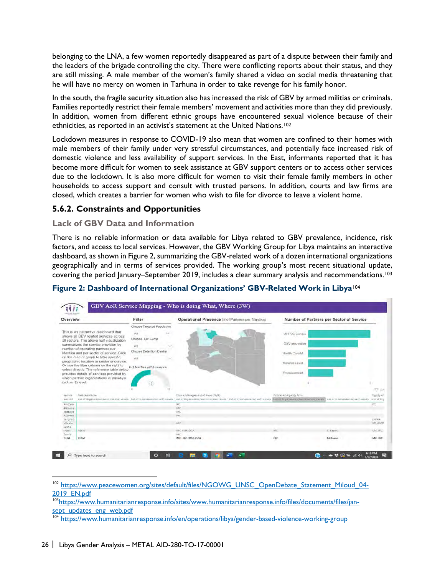belonging to the LNA, a few women reportedly disappeared as part of a dispute between their family and the leaders of the brigade controlling the city. There were conflicting reports about their status, and they are still missing. A male member of the women's family shared a video on social media threatening that he will have no mercy on women in Tarhuna in order to take revenge for his family honor.

In the south, the fragile security situation also has increased the risk of GBV by armed militias or criminals. Families reportedly restrict their female members' movement and activities more than they did previously. In addition, women from different ethnic groups have encountered sexual violence because of their ethnicities, as reported in an activist's statement at the United Nations.[102](#page-32-0) 

Lockdown measures in response to COVID-19 also mean that women are confined to their homes with male members of their family under very stressful circumstances, and potentially face increased risk of domestic violence and less availability of support services. In the East, informants reported that it has become more difficult for women to seek assistance at GBV support centers or to access other services due to the lockdown. It is also more difficult for women to visit their female family members in other households to access support and consult with trusted persons. In addition, courts and law firms are closed, which creates a barrier for women who wish to file for divorce to leave a violent home.

## **5.6.2. Constraints and Opportunities**

#### **Lack of GBV Data and Information**

There is no reliable information or data available for Libya related to GBV prevalence, incidence, risk factors, and access to local services. However, the GBV Working Group for Libya maintains an interactive dashboard, as shown in Figure 2, summarizing the GBV-related work of a dozen international organizations geographically and in terms of services provided. The working group's most recent situational update, covering the period January–September 2019, includes a clear summary analysis and recommendations.[103](#page-32-1)



#### **Figure 2: Dashboard of International Organizations' GBV-Related Work in Libya**[104](#page-32-2)

<span id="page-32-1"></span>10[3https://www.humanitarianresponse.info/sites/www.humanitarianresponse.info/files/documents/files/jan](https://www.humanitarianresponse.info/sites/www.humanitarianresponse.info/files/documents/files/jan-sept_updates_eng_web.pdf)[sept\\_updates\\_eng\\_web.pdf](https://www.humanitarianresponse.info/sites/www.humanitarianresponse.info/files/documents/files/jan-sept_updates_eng_web.pdf)

<span id="page-32-0"></span><sup>&</sup>lt;sup>102</sup> [https://www.peacewomen.org/sites/default/files/NGOWG\\_UNSC\\_OpenDebate\\_Statement\\_Miloud\\_04-](https://www.peacewomen.org/sites/default/files/NGOWG_UNSC_OpenDebate_Statement_Miloud_04-2019_EN.pdf) [2019\\_EN.pdf](https://www.peacewomen.org/sites/default/files/NGOWG_UNSC_OpenDebate_Statement_Miloud_04-2019_EN.pdf)

<span id="page-32-2"></span><sup>104</sup> <https://www.humanitarianresponse.info/en/operations/libya/gender-based-violence-working-group>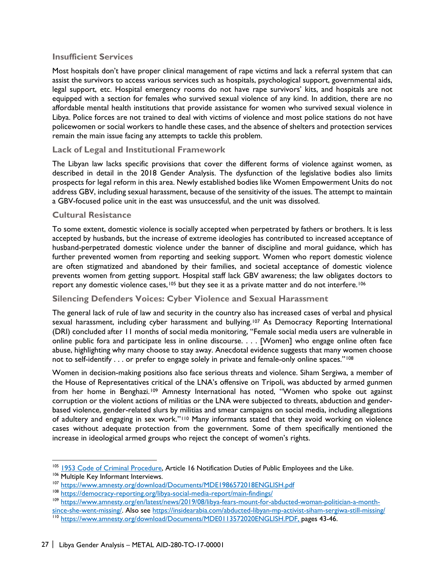#### **Insufficient Services**

Most hospitals don't have proper clinical management of rape victims and lack a referral system that can assist the survivors to access various services such as hospitals, psychological support, governmental aids, legal support, etc. Hospital emergency rooms do not have rape survivors' kits, and hospitals are not equipped with a section for females who survived sexual violence of any kind. In addition, there are no affordable mental health institutions that provide assistance for women who survived sexual violence in Libya. Police forces are not trained to deal with victims of violence and most police stations do not have policewomen or social workers to handle these cases, and the absence of shelters and protection services remain the main issue facing any attempts to tackle this problem.

#### **Lack of Legal and Institutional Framework**

The Libyan law lacks specific provisions that cover the different forms of violence against women, as described in detail in the 2018 Gender Analysis. The dysfunction of the legislative bodies also limits prospects for legal reform in this area. Newly established bodies like Women Empowerment Units do not address GBV, including sexual harassment, because of the sensitivity of the issues. The attempt to maintain a GBV-focused police unit in the east was unsuccessful, and the unit was dissolved.

#### **Cultural Resistance**

To some extent, domestic violence is socially accepted when perpetrated by fathers or brothers. It is less accepted by husbands, but the increase of extreme ideologies has contributed to increased acceptance of husband-perpetrated domestic violence under the banner of discipline and moral guidance, which has further prevented women from reporting and seeking support. Women who report domestic violence are often stigmatized and abandoned by their families, and societal acceptance of domestic violence prevents women from getting support. Hospital staff lack GBV awareness; the law obligates doctors to report any domestic violence cases,<sup>[105](#page-33-0)</sup> but they see it as a private matter and do not interfere.<sup>[106](#page-33-1)</sup>

#### **Silencing Defenders Voices: Cyber Violence and Sexual Harassment**

The general lack of rule of law and security in the country also has increased cases of verbal and physical sexual harassment, including cyber harassment and bullying.<sup>[107](#page-33-2)</sup> As Democracy Reporting International (DRI) concluded after 11 months of social media monitoring, "Female social media users are vulnerable in online public fora and participate less in online discourse. . . . [Women] who engage online often face abuse, highlighting why many choose to stay away. Anecdotal evidence suggests that many women choose not to self-identify . . . or prefer to engage solely in private and female-only online spaces."<sup>108</sup>

Women in decision-making positions also face serious threats and violence. Siham Sergiwa, a member of the House of Representatives critical of the LNA's offensive on Tripoli, was abducted by armed gunmen from her home in Benghazi.<sup>[109](#page-33-4)</sup> Amnesty International has noted, "Women who spoke out against corruption or the violent actions of militias or the LNA were subjected to threats, abduction and genderbased violence, gender-related slurs by militias and smear campaigns on social media, including allegations of adultery and engaging in sex work."[110](#page-33-5) Many informants stated that they avoid working on violence cases without adequate protection from the government. Some of them specifically mentioned the increase in ideological armed groups who reject the concept of women's rights.

<span id="page-33-0"></span><sup>&</sup>lt;sup>105</sup> 1953 [Code of Criminal Procedure,](https://security-legislation.ly/sites/default/files/lois/292-Criminal%20Procedure%20Code_EN.pdf) Article 16 Notification Duties of Public Employees and the Like.

<span id="page-33-1"></span><sup>&</sup>lt;sup>106</sup> Multiple Key Informant Interviews.

<span id="page-33-2"></span><sup>&</sup>lt;sup>107</sup> https://www.amnesty.org/download/Documents/MDE1986572018ENGLISH.pdf<br><sup>108</sup> <https://democracy-reporting.org/libya-social-media-report/main-findings/>

<span id="page-33-3"></span><sup>109</sup> [https://www.amnesty.org/en/latest/news/2019/08/libya-fears-mount-for-abducted-woman-politician-a-month-](https://www.amnesty.org/en/latest/news/2019/08/libya-fears-mount-for-abducted-woman-politician-a-month-since-she-went-missing/)

<span id="page-33-5"></span><span id="page-33-4"></span>[since-she-went-missing/.](https://www.amnesty.org/en/latest/news/2019/08/libya-fears-mount-for-abducted-woman-politician-a-month-since-she-went-missing/) Also see<https://insidearabia.com/abducted-libyan-mp-activist-siham-sergiwa-still-missing/> <sup>110</sup> [https://www.amnesty.org/download/Documents/MDE0113572020ENGLISH.PDF,](https://www.amnesty.org/download/Documents/MDE0113572020ENGLISH.PDF) pages 43-46.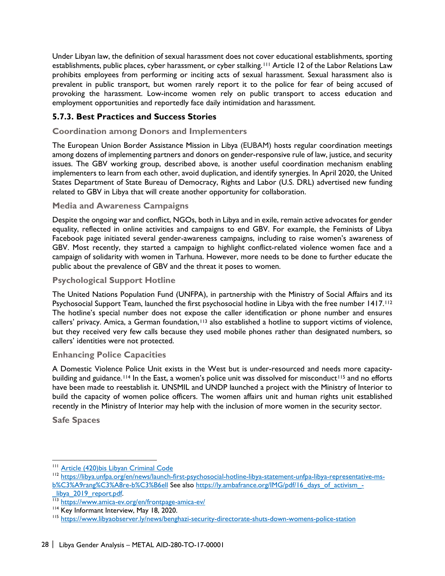Under Libyan law, the definition of sexual harassment does not cover educational establishments, sporting establishments, public places, cyber harassment, or cyber stalking.[111](#page-34-0) Article 12 of the Labor Relations Law prohibits employees from performing or inciting acts of sexual harassment. Sexual harassment also is prevalent in public transport, but women rarely report it to the police for fear of being accused of provoking the harassment. Low-income women rely on public transport to access education and employment opportunities and reportedly face daily intimidation and harassment.

## **5.7.3. Best Practices and Success Stories**

#### **Coordination among Donors and Implementers**

The European Union Border Assistance Mission in Libya (EUBAM) hosts regular coordination meetings among dozens of implementing partners and donors on gender-responsive rule of law, justice, and security issues. The GBV working group, described above, is another useful coordination mechanism enabling implementers to learn from each other, avoid duplication, and identify synergies. In April 2020, the United States Department of State Bureau of Democracy, Rights and Labor (U.S. DRL) advertised new funding related to GBV in Libya that will create another opportunity for collaboration.

#### **Media and Awareness Campaigns**

Despite the ongoing war and conflict, NGOs, both in Libya and in exile, remain active advocates for gender equality, reflected in online activities and campaigns to end GBV. For example, the Feminists of Libya Facebook page initiated several gender-awareness campaigns, including to raise women's awareness of GBV. Most recently, they started a campaign to highlight conflict-related violence women face and a campaign of solidarity with women in Tarhuna. However, more needs to be done to further educate the public about the prevalence of GBV and the threat it poses to women.

#### **Psychological Support Hotline**

The United Nations Population Fund (UNFPA), in partnership with the Ministry of Social Affairs and its Psychosocial Support Team, launched the first psychosocial hotline in Libya with the free number 1417.<sup>112</sup> The hotline's special number does not expose the caller identification or phone number and ensures callers' privacy. Amica, a German foundation,<sup>[113](#page-34-2)</sup> also established a hotline to support victims of violence, but they received very few calls because they used mobile phones rather than designated numbers, so callers' identities were not protected.

#### **Enhancing Police Capacities**

A Domestic Violence Police Unit exists in the West but is under-resourced and needs more capacity-building and guidance.<sup>[114](#page-34-3)</sup> In the East, a women's police unit was dissolved for misconduct<sup>[115](#page-34-4)</sup> and no efforts have been made to reestablish it. UNSMIL and UNDP launched a project with the Ministry of Interior to build the capacity of women police officers. The women affairs unit and human rights unit established recently in the Ministry of Interior may help with the inclusion of more women in the security sector.

**Safe Spaces** 

<sup>&</sup>lt;sup>111</sup> Article (420) bis Libyan Criminal Code

<span id="page-34-1"></span><span id="page-34-0"></span><sup>112</sup> [https://libya.unfpa.org/en/news/launch-first-psychosocial-hotline-libya-statement-unfpa-libya-representative-ms](https://libya.unfpa.org/en/news/launch-first-psychosocial-hotline-libya-statement-unfpa-libya-representative-ms-b%C3%A9rang%C3%A8re-b%C3%B6ell)[b%C3%A9rang%C3%A8re-b%C3%B6ell](https://libya.unfpa.org/en/news/launch-first-psychosocial-hotline-libya-statement-unfpa-libya-representative-ms-b%C3%A9rang%C3%A8re-b%C3%B6ell) See als[o https://ly.ambafrance.org/IMG/pdf/16\\_days\\_of\\_activism\\_-](https://ly.ambafrance.org/IMG/pdf/16_days_of_activism_-_libya_2019_report.pdf)

<span id="page-34-2"></span>[\\_libya\\_2019\\_report.pdf.](https://ly.ambafrance.org/IMG/pdf/16_days_of_activism_-_libya_2019_report.pdf) [113](https://ly.ambafrance.org/IMG/pdf/16_days_of_activism_-_libya_2019_report.pdf) <https://www.amica-ev.org/en/frontpage-amica-ev/>

<span id="page-34-3"></span><sup>&</sup>lt;sup>114</sup> Key Informant Interview, May 18, 2020.

<span id="page-34-4"></span><sup>&</sup>lt;sup>115</sup> <https://www.libyaobserver.ly/news/benghazi-security-directorate-shuts-down-womens-police-station>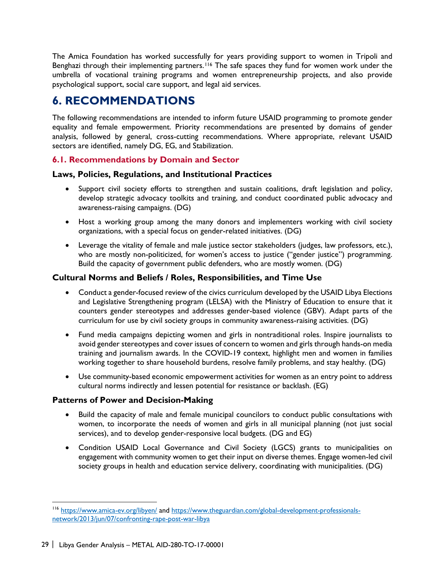The Amica Foundation has worked successfully for years providing support to women in Tripoli and Benghazi through their implementing partners.<sup>[116](#page-35-2)</sup> The safe spaces they fund for women work under the umbrella of vocational training programs and women entrepreneurship projects, and also provide psychological support, social care support, and legal aid services.

# <span id="page-35-0"></span>**6. RECOMMENDATIONS**

The following recommendations are intended to inform future USAID programming to promote gender equality and female empowerment. Priority recommendations are presented by domains of gender analysis, followed by general, cross-cutting recommendations. Where appropriate, relevant USAID sectors are identified, namely DG, EG, and Stabilization.

## <span id="page-35-1"></span>**6.1. Recommendations by Domain and Sector**

#### **Laws, Policies, Regulations, and Institutional Practices**

- Support civil society efforts to strengthen and sustain coalitions, draft legislation and policy, develop strategic advocacy toolkits and training, and conduct coordinated public advocacy and awareness-raising campaigns. (DG)
- Host a working group among the many donors and implementers working with civil society organizations, with a special focus on gender-related initiatives. (DG)
- Leverage the vitality of female and male justice sector stakeholders (judges, law professors, etc.), who are mostly non-politicized, for women's access to justice ("gender justice") programming. Build the capacity of government public defenders, who are mostly women. (DG)

#### **Cultural Norms and Beliefs / Roles, Responsibilities, and Time Use**

- Conduct a gender-focused review of the civics curriculum developed by the USAID Libya Elections and Legislative Strengthening program (LELSA) with the Ministry of Education to ensure that it counters gender stereotypes and addresses gender-based violence (GBV). Adapt parts of the curriculum for use by civil society groups in community awareness-raising activities. (DG)
- Fund media campaigns depicting women and girls in nontraditional roles. Inspire journalists to avoid gender stereotypes and cover issues of concern to women and girls through hands-on media training and journalism awards. In the COVID-19 context, highlight men and women in families working together to share household burdens, resolve family problems, and stay healthy. (DG)
- Use community-based economic empowerment activities for women as an entry point to address cultural norms indirectly and lessen potential for resistance or backlash. (EG)

## **Patterns of Power and Decision-Making**

- Build the capacity of male and female municipal councilors to conduct public consultations with women, to incorporate the needs of women and girls in all municipal planning (not just social services), and to develop gender-responsive local budgets. (DG and EG)
- Condition USAID Local Governance and Civil Society (LGCS) grants to municipalities on engagement with community women to get their input on diverse themes. Engage women-led civil society groups in health and education service delivery, coordinating with municipalities. (DG)

<span id="page-35-2"></span><sup>&</sup>lt;sup>116</sup> <https://www.amica-ev.org/libyen/> and [https://www.theguardian.com/global-development-professionals](https://www.theguardian.com/global-development-professionals-network/2013/jun/07/confronting-rape-post-war-libya)[network/2013/jun/07/confronting-rape-post-war-libya](https://www.theguardian.com/global-development-professionals-network/2013/jun/07/confronting-rape-post-war-libya)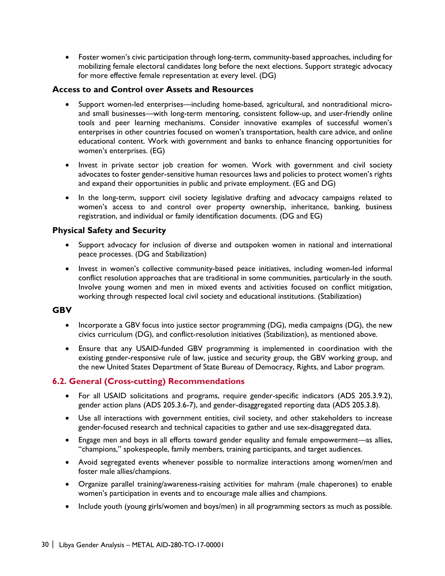• Foster women's civic participation through long-term, community-based approaches, including for mobilizing female electoral candidates long before the next elections. Support strategic advocacy for more effective female representation at every level. (DG)

#### **Access to and Control over Assets and Resources**

- Support women-led enterprises—including home-based, agricultural, and nontraditional microand small businesses—with long-term mentoring, consistent follow-up, and user-friendly online tools and peer learning mechanisms. Consider innovative examples of successful women's enterprises in other countries focused on women's transportation, health care advice, and online educational content. Work with government and banks to enhance financing opportunities for women's enterprises. (EG)
- Invest in private sector job creation for women. Work with government and civil society advocates to foster gender-sensitive human resources laws and policies to protect women's rights and expand their opportunities in public and private employment. (EG and DG)
- In the long-term, support civil society legislative drafting and advocacy campaigns related to women's access to and control over property ownership, inheritance, banking, business registration, and individual or family identification documents. (DG and EG)

## **Physical Safety and Security**

- Support advocacy for inclusion of diverse and outspoken women in national and international peace processes. (DG and Stabilization)
- Invest in women's collective community-based peace initiatives, including women-led informal conflict resolution approaches that are traditional in some communities, particularly in the south. Involve young women and men in mixed events and activities focused on conflict mitigation, working through respected local civil society and educational institutions. (Stabilization)

#### **GBV**

- Incorporate a GBV focus into justice sector programming (DG), media campaigns (DG), the new civics curriculum (DG), and conflict-resolution initiatives (Stabilization), as mentioned above.
- Ensure that any USAID-funded GBV programming is implemented in coordination with the existing gender-responsive rule of law, justice and security group, the GBV working group, and the new United States Department of State Bureau of Democracy, Rights, and Labor program.

## <span id="page-36-0"></span>**6.2. General (Cross-cutting) Recommendations**

- For all USAID solicitations and programs, require gender-specific indicators (ADS 205.3.9.2), gender action plans (ADS 205.3.6-7), and gender-disaggregated reporting data (ADS 205.3.8).
- Use all interactions with government entities, civil society, and other stakeholders to increase gender-focused research and technical capacities to gather and use sex-disaggregated data.
- Engage men and boys in all efforts toward gender equality and female empowerment—as allies, "champions," spokespeople, family members, training participants, and target audiences.
- Avoid segregated events whenever possible to normalize interactions among women/men and foster male allies/champions.
- Organize parallel training/awareness-raising activities for mahram (male chaperones) to enable women's participation in events and to encourage male allies and champions.
- Include youth (young girls/women and boys/men) in all programming sectors as much as possible.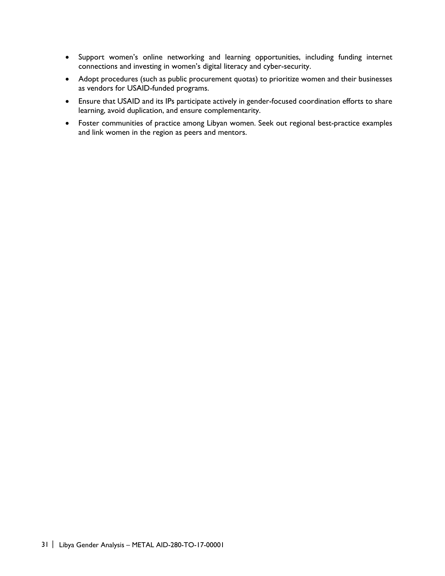- Support women's online networking and learning opportunities, including funding internet connections and investing in women's digital literacy and cyber-security.
- Adopt procedures (such as public procurement quotas) to prioritize women and their businesses as vendors for USAID-funded programs.
- Ensure that USAID and its IPs participate actively in gender-focused coordination efforts to share learning, avoid duplication, and ensure complementarity.
- Foster communities of practice among Libyan women. Seek out regional best-practice examples and link women in the region as peers and mentors.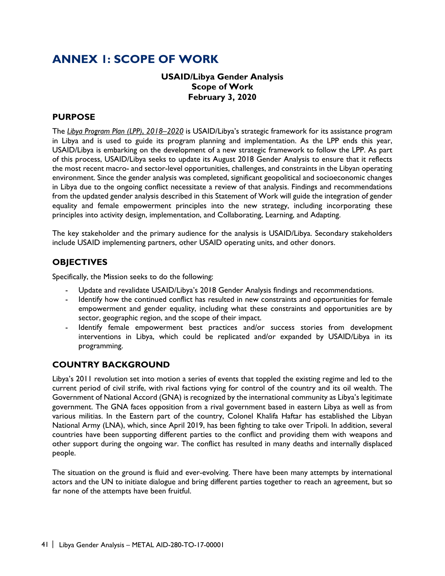# <span id="page-38-0"></span>**ANNEX 1: SCOPE OF WORK**

## **USAID/Libya Gender Analysis Scope of Work February 3, 2020**

#### **PURPOSE**

The *[Libya Program Plan \(LPP\)](https://www.usaid.gov/sites/default/files/documents/1883/06-11-19USAIDLibyaProgramPlan.pdf)*[,](https://www.usaid.gov/sites/default/files/documents/1883/06-11-19USAIDLibyaProgramPlan.pdf) *[2018–2020](https://www.usaid.gov/sites/default/files/documents/1883/06-11-19USAIDLibyaProgramPlan.pdf)* is USAID/Libya's strategic framework for its assistance program in Libya and is used to guide its program planning and implementation. As the LPP ends this year, USAID/Libya is embarking on the development of a new strategic framework to follow the LPP. As part of this process, USAID/Libya seeks to update its August 2018 Gender Analysis to ensure that it reflects the most recent macro- and sector-level opportunities, challenges, and constraints in the Libyan operating environment. Since the gender analysis was completed, significant geopolitical and socioeconomic changes in Libya due to the ongoing conflict necessitate a review of that analysis. Findings and recommendations from the updated gender analysis described in this Statement of Work will guide the integration of gender equality and female empowerment principles into the new strategy, including incorporating these principles into activity design, implementation, and Collaborating, Learning, and Adapting.

The key stakeholder and the primary audience for the analysis is USAID/Libya. Secondary stakeholders include USAID implementing partners, other USAID operating units, and other donors.

## **OBJECTIVES**

Specifically, the Mission seeks to do the following:

- Update and revalidate USAID/Libya's 2018 Gender Analysis findings and recommendations.
- Identify how the continued conflict has resulted in new constraints and opportunities for female empowerment and gender equality, including what these constraints and opportunities are by sector, geographic region, and the scope of their impact.
- Identify female empowerment best practices and/or success stories from development interventions in Libya, which could be replicated and/or expanded by USAID/Libya in its programming.

## **COUNTRY BACKGROUND**

Libya's 2011 revolution set into motion a series of events that toppled the existing regime and led to the current period of civil strife, with rival factions vying for control of the country and its oil wealth. The Government of National Accord (GNA) is recognized by the international community as Libya's legitimate government. The GNA faces opposition from a rival government based in eastern Libya as well as from various militias. In the Eastern part of the country, Colonel Khalifa Haftar has established the Libyan National Army (LNA), which, since April 2019, has been fighting to take over Tripoli. In addition, several countries have been supporting different parties to the conflict and providing them with weapons and other support during the ongoing war. The conflict has resulted in many deaths and internally displaced people.

The situation on the ground is fluid and ever-evolving. There have been many attempts by international actors and the UN to initiate dialogue and bring different parties together to reach an agreement, but so far none of the attempts have been fruitful.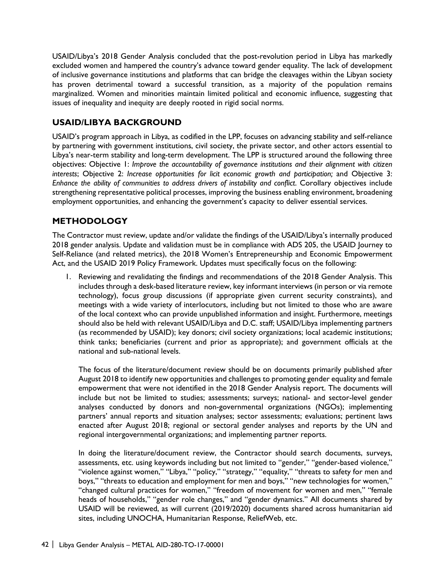USAID/Libya's 2018 Gender Analysis concluded that the post-revolution period in Libya has markedly excluded women and hampered the country's advance toward gender equality. The lack of development of inclusive governance institutions and platforms that can bridge the cleavages within the Libyan society has proven detrimental toward a successful transition, as a majority of the population remains marginalized. Women and minorities maintain limited political and economic influence, suggesting that issues of inequality and inequity are deeply rooted in rigid social norms.

## **USAID/LIBYA BACKGROUND**

USAID's program approach in Libya, as codified in the LPP, focuses on advancing stability and self-reliance by partnering with government institutions, civil society, the private sector, and other actors essential to Libya's near-term stability and long-term development. The LPP is structured around the following three objectives: Objective 1: *Improve the accountability of governance institutions and their alignment with citizen interests*; Objective 2: *Increase opportunities for licit economic growth and participation;* and Objective 3: *Enhance the ability of communities to address drivers of instability and conflict*. Corollary objectives include strengthening representative political processes, improving the business enabling environment, broadening employment opportunities, and enhancing the government's capacity to deliver essential services.

## **METHODOLOGY**

The Contractor must review, update and/or validate the findings of the USAID/Libya's internally produced 2018 gender analysis. Update and validation must be in compliance with ADS 205, the USAID Journey to Self-Reliance (and related metrics), the 2018 Women's Entrepreneurship and Economic Empowerment Act, and the USAID 2019 Policy Framework. Updates must specifically focus on the following:

1. Reviewing and revalidating the findings and recommendations of the 2018 Gender Analysis. This includes through a desk-based literature review, key informant interviews (in person or via remote technology), focus group discussions (if appropriate given current security constraints), and meetings with a wide variety of interlocutors, including but not limited to those who are aware of the local context who can provide unpublished information and insight. Furthermore, meetings should also be held with relevant USAID/Libya and D.C. staff; USAID/Libya implementing partners (as recommended by USAID); key donors; civil society organizations; local academic institutions; think tanks; beneficiaries (current and prior as appropriate); and government officials at the national and sub-national levels.

The focus of the literature/document review should be on documents primarily published after August 2018 to identify new opportunities and challenges to promoting gender equality and female empowerment that were not identified in the 2018 Gender Analysis report. The documents will include but not be limited to studies; assessments; surveys; national- and sector-level gender analyses conducted by donors and non-governmental organizations (NGOs); implementing partners' annual reports and situation analyses; sector assessments; evaluations; pertinent laws enacted after August 2018; regional or sectoral gender analyses and reports by the UN and regional intergovernmental organizations; and implementing partner reports.

In doing the literature/document review, the Contractor should search documents, surveys, assessments, etc. using keywords including but not limited to "gender," "gender-based violence," "violence against women," "Libya," "policy," "strategy," "equality," "threats to safety for men and boys," "threats to education and employment for men and boys," "new technologies for women," "changed cultural practices for women," "freedom of movement for women and men," "female heads of households," "gender role changes," and "gender dynamics." All documents shared by USAID will be reviewed, as will current (2019/2020) documents shared across humanitarian aid sites, including UNOCHA, Humanitarian Response, ReliefWeb, etc.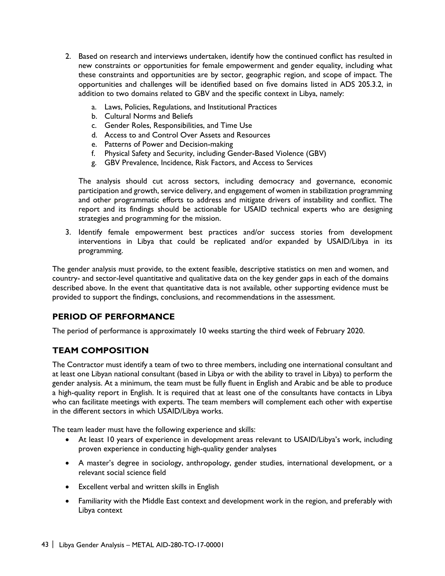- 2. Based on research and interviews undertaken, identify how the continued conflict has resulted in new constraints or opportunities for female empowerment and gender equality, including what these constraints and opportunities are by sector, geographic region, and scope of impact. The opportunities and challenges will be identified based on five domains listed in ADS 205.3.2, in addition to two domains related to GBV and the specific context in Libya, namely:
	- a. Laws, Policies, Regulations, and Institutional Practices
	- b. Cultural Norms and Beliefs
	- c. Gender Roles, Responsibilities, and Time Use
	- d. Access to and Control Over Assets and Resources
	- e. Patterns of Power and Decision-making
	- f. Physical Safety and Security, including Gender-Based Violence (GBV)
	- g. GBV Prevalence, Incidence, Risk Factors, and Access to Services

The analysis should cut across sectors, including democracy and governance, economic participation and growth, service delivery, and engagement of women in stabilization programming and other programmatic efforts to address and mitigate drivers of instability and conflict. The report and its findings should be actionable for USAID technical experts who are designing strategies and programming for the mission.

3. Identify female empowerment best practices and/or success stories from development interventions in Libya that could be replicated and/or expanded by USAID/Libya in its programming.

The gender analysis must provide, to the extent feasible, descriptive statistics on men and women, and country- and sector-level quantitative and qualitative data on the key gender gaps in each of the domains described above. In the event that quantitative data is not available, other supporting evidence must be provided to support the findings, conclusions, and recommendations in the assessment.

# **PERIOD OF PERFORMANCE**

The period of performance is approximately 10 weeks starting the third week of February 2020.

## **TEAM COMPOSITION**

The Contractor must identify a team of two to three members, including one international consultant and at least one Libyan national consultant (based in Libya or with the ability to travel in Libya) to perform the gender analysis. At a minimum, the team must be fully fluent in English and Arabic and be able to produce a high-quality report in English. It is required that at least one of the consultants have contacts in Libya who can facilitate meetings with experts. The team members will complement each other with expertise in the different sectors in which USAID/Libya works.

The team leader must have the following experience and skills:

- At least 10 years of experience in development areas relevant to USAID/Libya's work, including proven experience in conducting high-quality gender analyses
- A master's degree in sociology, anthropology, gender studies, international development, or a relevant social science field
- Excellent verbal and written skills in English
- Familiarity with the Middle East context and development work in the region, and preferably with Libya context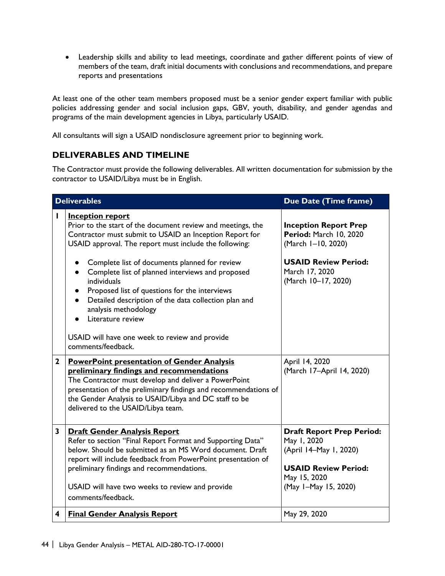• Leadership skills and ability to lead meetings, coordinate and gather different points of view of members of the team, draft initial documents with conclusions and recommendations, and prepare reports and presentations

At least one of the other team members proposed must be a senior gender expert familiar with public policies addressing gender and social inclusion gaps, GBV, youth, disability, and gender agendas and programs of the main development agencies in Libya, particularly USAID.

All consultants will sign a USAID nondisclosure agreement prior to beginning work.

## **DELIVERABLES AND TIMELINE**

The Contractor must provide the following deliverables. All written documentation for submission by the contractor to USAID/Libya must be in English.

|              | <b>Deliverables</b>                                                                                                                                                                                                                                                                                                           | Due Date (Time frame)                                                                                                                            |
|--------------|-------------------------------------------------------------------------------------------------------------------------------------------------------------------------------------------------------------------------------------------------------------------------------------------------------------------------------|--------------------------------------------------------------------------------------------------------------------------------------------------|
| $\mathbf{I}$ | <b>Inception report</b><br>Prior to the start of the document review and meetings, the<br>Contractor must submit to USAID an Inception Report for<br>USAID approval. The report must include the following:                                                                                                                   | <b>Inception Report Prep</b><br>Period: March 10, 2020<br>(March I-10, 2020)<br><b>USAID Review Period:</b>                                      |
|              | Complete list of documents planned for review<br>Complete list of planned interviews and proposed<br>$\bullet$<br>individuals<br>Proposed list of questions for the interviews<br>Detailed description of the data collection plan and<br>analysis methodology<br>Literature review                                           | March 17, 2020<br>(March 10-17, 2020)                                                                                                            |
|              | USAID will have one week to review and provide<br>comments/feedback.                                                                                                                                                                                                                                                          |                                                                                                                                                  |
| $\mathbf{2}$ | <b>PowerPoint presentation of Gender Analysis</b><br>preliminary findings and recommendations<br>The Contractor must develop and deliver a PowerPoint<br>presentation of the preliminary findings and recommendations of<br>the Gender Analysis to USAID/Libya and DC staff to be<br>delivered to the USAID/Libya team.       | April 14, 2020<br>(March 17-April 14, 2020)                                                                                                      |
| 3            | <b>Draft Gender Analysis Report</b><br>Refer to section "Final Report Format and Supporting Data"<br>below. Should be submitted as an MS Word document. Draft<br>report will include feedback from PowerPoint presentation of<br>preliminary findings and recommendations.<br>USAID will have two weeks to review and provide | <b>Draft Report Prep Period:</b><br>May 1, 2020<br>(April 14-May 1, 2020)<br><b>USAID Review Period:</b><br>May 15, 2020<br>(May 1-May 15, 2020) |
|              | comments/feedback.                                                                                                                                                                                                                                                                                                            |                                                                                                                                                  |
| 4            | <b>Final Gender Analysis Report</b>                                                                                                                                                                                                                                                                                           | May 29, 2020                                                                                                                                     |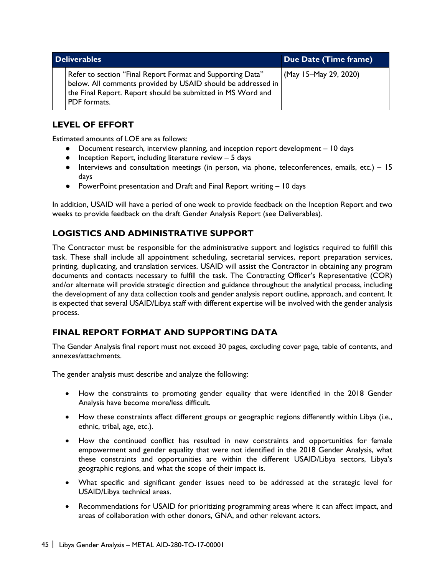| <b>Deliverables</b>                                                                                                                                                                                       | Due Date (Time frame) |
|-----------------------------------------------------------------------------------------------------------------------------------------------------------------------------------------------------------|-----------------------|
| Refer to section "Final Report Format and Supporting Data"<br>below. All comments provided by USAID should be addressed in<br>the Final Report. Report should be submitted in MS Word and<br>PDF formats. | (May 15-May 29, 2020) |

# **LEVEL OF EFFORT**

Estimated amounts of LOE are as follows:

- Document research, interview planning, and inception report development 10 days
- Inception Report, including literature review 5 days
- Interviews and consultation meetings (in person, via phone, teleconferences, emails, etc.) 15 days
- PowerPoint presentation and Draft and Final Report writing 10 days

In addition, USAID will have a period of one week to provide feedback on the Inception Report and two weeks to provide feedback on the draft Gender Analysis Report (see Deliverables).

## **LOGISTICS AND ADMINISTRATIVE SUPPORT**

The Contractor must be responsible for the administrative support and logistics required to fulfill this task. These shall include all appointment scheduling, secretarial services, report preparation services, printing, duplicating, and translation services. USAID will assist the Contractor in obtaining any program documents and contacts necessary to fulfill the task. The Contracting Officer's Representative (COR) and/or alternate will provide strategic direction and guidance throughout the analytical process, including the development of any data collection tools and gender analysis report outline, approach, and content. It is expected that several USAID/Libya staff with different expertise will be involved with the gender analysis process.

# **FINAL REPORT FORMAT AND SUPPORTING DATA**

The Gender Analysis final report must not exceed 30 pages, excluding cover page, table of contents, and annexes/attachments.

The gender analysis must describe and analyze the following:

- How the constraints to promoting gender equality that were identified in the 2018 Gender Analysis have become more/less difficult.
- How these constraints affect different groups or geographic regions differently within Libya (i.e., ethnic, tribal, age, etc.).
- How the continued conflict has resulted in new constraints and opportunities for female empowerment and gender equality that were not identified in the 2018 Gender Analysis, what these constraints and opportunities are within the different USAID/Libya sectors, Libya's geographic regions, and what the scope of their impact is.
- What specific and significant gender issues need to be addressed at the strategic level for USAID/Libya technical areas.
- Recommendations for USAID for prioritizing programming areas where it can affect impact, and areas of collaboration with other donors, GNA, and other relevant actors.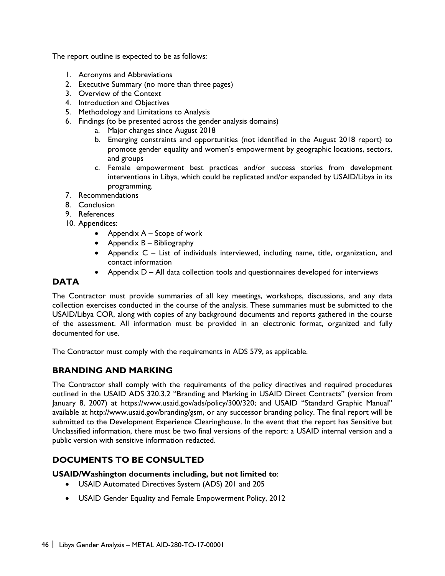The report outline is expected to be as follows:

- 1. Acronyms and Abbreviations
- 2. Executive Summary (no more than three pages)
- 3. Overview of the Context
- 4. Introduction and Objectives
- 5. Methodology and Limitations to Analysis
- 6. Findings (to be presented across the gender analysis domains)
	- a. Major changes since August 2018
	- b. Emerging constraints and opportunities (not identified in the August 2018 report) to promote gender equality and women's empowerment by geographic locations, sectors, and groups
	- c. Female empowerment best practices and/or success stories from development interventions in Libya, which could be replicated and/or expanded by USAID/Libya in its programming.
- 7. Recommendations
- 8. Conclusion
- 9. References
- 10. Appendices:
	- Appendix A Scope of work
	- Appendix B Bibliography
	- Appendix C List of individuals interviewed, including name, title, organization, and contact information
	- Appendix D All data collection tools and questionnaires developed for interviews

## **DATA**

The Contractor must provide summaries of all key meetings, workshops, discussions, and any data collection exercises conducted in the course of the analysis. These summaries must be submitted to the USAID/Libya COR, along with copies of any background documents and reports gathered in the course of the assessment. All information must be provided in an electronic format, organized and fully documented for use.

The Contractor must comply with the requirements in ADS 579, as applicable.

## **BRANDING AND MARKING**

The Contractor shall comply with the requirements of the policy directives and required procedures outlined in the USAID ADS 320.3.2 "Branding and Marking in USAID Direct Contracts" (version from January 8, 2007) at https://www.usaid.gov/ads/policy/300/320; and USAID "Standard Graphic Manual" available at http://www.usaid.gov/branding/gsm, or any successor branding policy. The final report will be submitted to the Development Experience Clearinghouse. In the event that the report has Sensitive but Unclassified information, there must be two final versions of the report: a USAID internal version and a public version with sensitive information redacted.

# **DOCUMENTS TO BE CONSULTED**

#### **USAID/Washington documents including, but not limited to**:

- USAID Automated Directives System (ADS) 201 and 205
- USAID Gender Equality and Female Empowerment Policy, 2012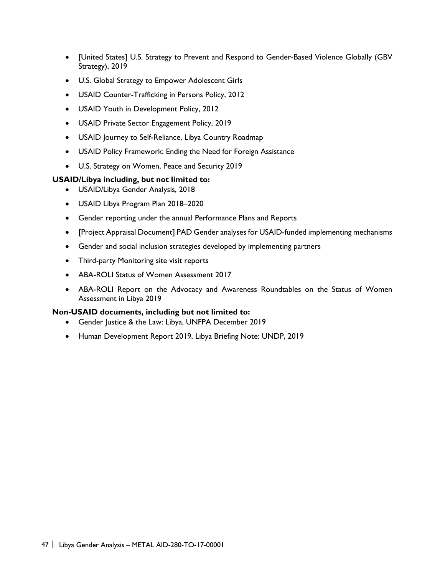- [United States] U.S. Strategy to Prevent and Respond to Gender-Based Violence Globally (GBV Strategy), 2019
- U.S. Global Strategy to Empower Adolescent Girls
- USAID Counter-Trafficking in Persons Policy, 2012
- USAID Youth in Development Policy, 2012
- USAID Private Sector Engagement Policy, 2019
- USAID Journey to Self-Reliance, Libya Country Roadmap
- USAID Policy Framework: Ending the Need for Foreign Assistance
- U.S. Strategy on Women, Peace and Security 2019

#### **USAID/Libya including, but not limited to:**

- USAID/Libya Gender Analysis, 2018
- USAID Libya Program Plan 2018–2020
- Gender reporting under the annual Performance Plans and Reports
- [Project Appraisal Document] PAD Gender analyses for USAID-funded implementing mechanisms
- Gender and social inclusion strategies developed by implementing partners
- Third-party Monitoring site visit reports
- ABA-ROLI Status of Women Assessment 2017
- ABA-ROLI Report on the Advocacy and Awareness Roundtables on the Status of Women Assessment in Libya 2019

#### **Non-USAID documents, including but not limited to:**

- Gender Justice & the Law: Libya, UNFPA December 2019
- Human Development Report 2019, Libya Briefing Note: UNDP, 2019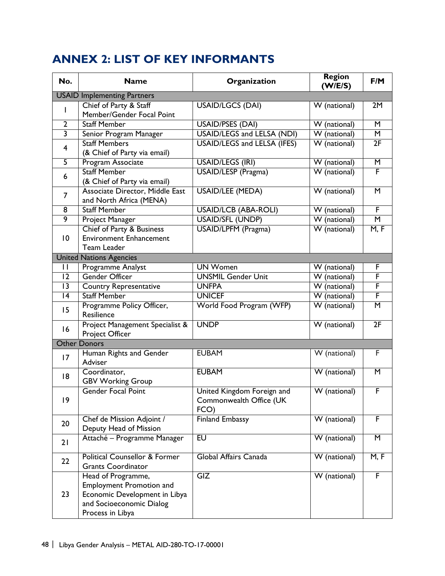# <span id="page-45-0"></span>**ANNEX 2: LIST OF KEY INFORMANTS**

| No.                                | <b>Name</b><br>Organization                                                                                                            |                                                               | <b>Region</b><br>(W/E/S)  | F/M                     |  |  |  |
|------------------------------------|----------------------------------------------------------------------------------------------------------------------------------------|---------------------------------------------------------------|---------------------------|-------------------------|--|--|--|
| <b>USAID Implementing Partners</b> |                                                                                                                                        |                                                               |                           |                         |  |  |  |
| L                                  | Chief of Party & Staff<br>Member/Gender Focal Point                                                                                    | <b>USAID/LGCS (DAI)</b>                                       | W (national)              | 2M                      |  |  |  |
| $\overline{2}$                     | <b>Staff Member</b>                                                                                                                    | <b>USAID/PSES (DAI)</b>                                       | W (national)              | $\overline{\mathsf{M}}$ |  |  |  |
| $\overline{\mathbf{3}}$            | Senior Program Manager                                                                                                                 | <b>USAID/LEGS and LELSA (NDI)</b>                             | $\overline{W}$ (national) | $\overline{\mathsf{M}}$ |  |  |  |
| $\overline{4}$                     | <b>Staff Members</b><br>(& Chief of Party via email)                                                                                   | <b>USAID/LEGS and LELSA (IFES)</b>                            | W (national)              | 2F                      |  |  |  |
| $\overline{5}$                     | <b>Program Associate</b>                                                                                                               | USAID/LEGS (IRI)                                              | W (national)              | $\overline{\mathsf{M}}$ |  |  |  |
| 6                                  | <b>Staff Member</b><br>(& Chief of Party via email)                                                                                    | <b>USAID/LESP</b> (Pragma)                                    | W (national)              | F                       |  |  |  |
| $\overline{7}$                     | Associate Director, Middle East<br>and North Africa (MENA)                                                                             | <b>USAID/LEE (MEDA)</b>                                       | W (national)              | $\overline{\mathsf{M}}$ |  |  |  |
| 8                                  | <b>Staff Member</b>                                                                                                                    | <b>USAID/LCB (ABA-ROLI)</b>                                   | W (national)              | F                       |  |  |  |
| $\overline{9}$                     | <b>Project Manager</b>                                                                                                                 | <b>USAID/SFL (UNDP)</b>                                       | $\overline{W}$ (national) | $\overline{\mathsf{M}}$ |  |  |  |
| $\overline{10}$                    | Chief of Party & Business<br><b>Environment Enhancement</b><br>Team Leader                                                             | <b>USAID/LPFM</b> (Pragma)                                    | $\overline{W}$ (national) | M, F                    |  |  |  |
|                                    | <b>United Nations Agencies</b>                                                                                                         |                                                               |                           |                         |  |  |  |
| $\mathbf{H}$                       | Programme Analyst                                                                                                                      | <b>UN Women</b>                                               | W (national)              | F                       |  |  |  |
| $\overline{12}$                    | <b>Gender Officer</b>                                                                                                                  | <b>UNSMIL Gender Unit</b>                                     | W (national)              | F                       |  |  |  |
| 3                                  | <b>Country Representative</b>                                                                                                          | <b>UNFPA</b>                                                  | W (national)              | F                       |  |  |  |
| $\overline{14}$                    | <b>Staff Member</b>                                                                                                                    | <b>UNICEF</b>                                                 | W (national)              | F                       |  |  |  |
| 15                                 | Programme Policy Officer,<br>Resilience                                                                                                | World Food Program (WFP)                                      | W (national)              | M                       |  |  |  |
| 16                                 | Project Management Specialist &<br>Project Officer                                                                                     | <b>UNDP</b>                                                   | W (national)              | 2F                      |  |  |  |
|                                    | <b>Other Donors</b>                                                                                                                    |                                                               |                           |                         |  |  |  |
| 17                                 | Human Rights and Gender<br>Adviser                                                                                                     | <b>EUBAM</b>                                                  | W (national)              | F                       |  |  |  |
| 8                                  | Coordinator,<br><b>GBV Working Group</b>                                                                                               | <b>EUBAM</b>                                                  | W (national)              | $\overline{\mathsf{M}}$ |  |  |  |
| 9                                  | <b>Gender Focal Point</b>                                                                                                              | United Kingdom Foreign and<br>Commonwealth Office (UK<br>FCO) | W (national)              | F                       |  |  |  |
| 20                                 | Chef de Mission Adjoint /<br>Deputy Head of Mission                                                                                    | <b>Finland Embassy</b>                                        | W (national)              | F                       |  |  |  |
| 21                                 | Attaché - Programme Manager                                                                                                            | $E$ U                                                         | W (national)              | $\overline{\mathsf{M}}$ |  |  |  |
| 22                                 | <b>Political Counsellor &amp; Former</b><br><b>Grants Coordinator</b>                                                                  | Global Affairs Canada                                         | W (national)              | M, F                    |  |  |  |
| 23                                 | Head of Programme,<br><b>Employment Promotion and</b><br>Economic Development in Libya<br>and Socioeconomic Dialog<br>Process in Libya | GIZ                                                           | W (national)              | F                       |  |  |  |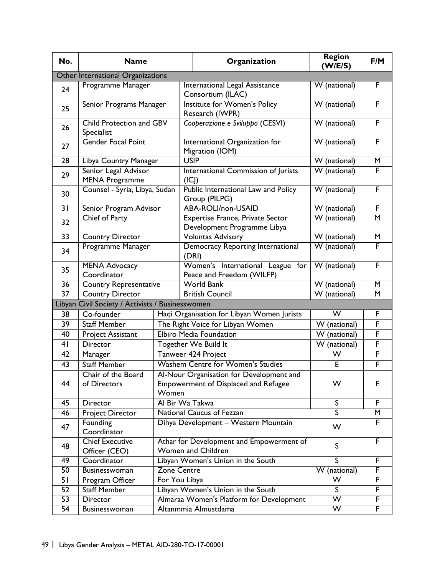| No.             | <b>Name</b>                                      |                    | Organization                                                                                     | <b>Region</b><br>(W/E/S)  | F/M                     |  |  |
|-----------------|--------------------------------------------------|--------------------|--------------------------------------------------------------------------------------------------|---------------------------|-------------------------|--|--|
|                 | Other International Organizations                |                    |                                                                                                  |                           |                         |  |  |
| 24              | Programme Manager                                |                    | International Legal Assistance<br>Consortium (ILAC)                                              | W (national)              | F                       |  |  |
| 25              | Senior Programs Manager                          |                    | Institute for Women's Policy<br>Research (IWPR)                                                  | W (national)              | F                       |  |  |
| 26              | Child Protection and GBV<br>Specialist           |                    | Cooperazione e Sviluppo (CESVI)                                                                  | W (national)              | F                       |  |  |
| 27              | <b>Gender Focal Point</b>                        |                    | International Organization for<br>Migration (IOM)                                                | W (national)              | F                       |  |  |
| $\overline{28}$ | Libya Country Manager                            |                    | <b>USIP</b>                                                                                      | W (national)              | $\overline{\mathsf{M}}$ |  |  |
| 29              | Senior Legal Advisor<br><b>MENA Programme</b>    |                    | International Commission of Jurists<br>(ICI)                                                     | $\overline{W}$ (national) | F                       |  |  |
| 30              | Counsel - Syria, Libya, Sudan                    |                    | Public International Law and Policy<br>Group (PILPG)                                             | W (national)              | F                       |  |  |
| $\overline{3 }$ | Senior Program Advisor                           |                    | <b>ABA-ROLI/non-USAID</b>                                                                        | W (national)              | F                       |  |  |
| 32              | Chief of Party                                   |                    | <b>Expertise France, Private Sector</b><br>Development Programme Libya                           | W (national)              | $\overline{\mathsf{M}}$ |  |  |
| $\overline{33}$ | <b>Country Director</b>                          |                    | <b>Voluntas Advisory</b>                                                                         | W (national)              | M                       |  |  |
| 34              | Programme Manager                                |                    | Democracy Reporting International<br>(DRI)                                                       | W (national)              | F                       |  |  |
| 35              | <b>MENA Advocacy</b><br>Coordinator              |                    | Women's International League for<br>Peace and Freedom (WILFP)                                    | W (national)              | F                       |  |  |
| $\overline{36}$ | <b>Country Representative</b>                    |                    | <b>World Bank</b>                                                                                | W (national)              | M                       |  |  |
| $\overline{37}$ | <b>Country Director</b>                          |                    | <b>British Council</b>                                                                           | W (national)              | $\overline{\mathsf{M}}$ |  |  |
|                 | Libyan Civil Society / Activists / Businesswomen |                    |                                                                                                  |                           |                         |  |  |
| 38              | Co-founder                                       |                    | Haqi Organisation for Libyan Women Jurists                                                       | $\overline{\mathsf{W}}$   | F                       |  |  |
| 39              | <b>Staff Member</b>                              |                    | The Right Voice for Libyan Women                                                                 | W<br>(national)           | F                       |  |  |
| 40              | Project Assistant                                |                    | <b>Elbiro Media Foundation</b>                                                                   | W (national)              | F                       |  |  |
| 41              | <b>Director</b>                                  |                    | Together We Build It                                                                             | W (national)              | F                       |  |  |
| 42              | Manager                                          |                    | Tanweer 424 Project                                                                              | W                         | F                       |  |  |
| $\overline{43}$ | <b>Staff Member</b>                              |                    | Washem Centre for Women's Studies                                                                | E                         | F                       |  |  |
| 44              | Chair of the Board<br>of Directors               |                    | Al-Nour Organisation for Development and<br><b>Empowerment of Displaced and Refugee</b><br>Women |                           | F                       |  |  |
| 45              | <b>Director</b>                                  |                    | Al Bir Wa Takwa                                                                                  |                           | F.                      |  |  |
| 46              | Project Director                                 |                    | National Caucus of Fezzan                                                                        | $\overline{\mathsf{S}}$   | M                       |  |  |
| 47              | Founding<br>Coordinator                          |                    | Dihya Development - Western Mountain                                                             |                           | F                       |  |  |
| 48              | <b>Chief Executive</b><br>Officer (CEO)          |                    | Athar for Development and Empowerment of<br>Women and Children                                   |                           | F                       |  |  |
| 49              | Coordinator                                      |                    | Libyan Women's Union in the South                                                                | $\overline{\mathsf{s}}$   | F                       |  |  |
| 50              | Businesswoman                                    | <b>Zone Centre</b> |                                                                                                  | W (national)              | F                       |  |  |
| 51              | Program Officer                                  | For You Libya      |                                                                                                  | W                         | F                       |  |  |
| 52              | <b>Staff Member</b>                              |                    | Libyan Women's Union in the South                                                                |                           | F                       |  |  |
| 53              | Director                                         |                    | Almaraa Women's Platform for Development                                                         | $\overline{\mathsf{W}}$   | F                       |  |  |
| $\overline{54}$ | <b>Businesswoman</b>                             |                    | Altanmmia Almustdama                                                                             | $\overline{\mathsf{w}}$   | F                       |  |  |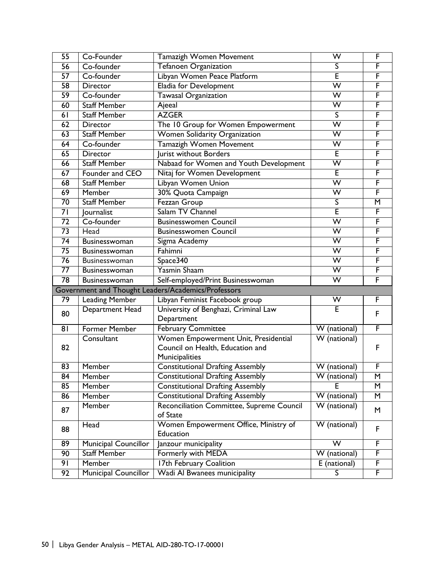| $\overline{55}$                                     | Co-Founder                  | <b>Tamazigh Women Movement</b>            | $\overline{\mathsf{w}}$   | F |  |
|-----------------------------------------------------|-----------------------------|-------------------------------------------|---------------------------|---|--|
| $\overline{56}$                                     | Co-founder                  | <b>Tefanoen Organization</b>              | S                         | F |  |
| 57                                                  | Co-founder                  | Libyan Women Peace Platform               | Ē                         | F |  |
| $\overline{58}$                                     | Director                    | Eladia for Development                    | $\overline{\mathsf{w}}$   | F |  |
| 59                                                  | Co-founder                  | <b>Tawasal Organization</b>               | $\overline{\mathsf{W}}$   | F |  |
| 60                                                  | <b>Staff Member</b>         | Ajeeal                                    | W                         | F |  |
| 61                                                  | <b>Staff Member</b>         | <b>AZGER</b>                              | S                         | F |  |
| 62                                                  | <b>Director</b>             | The 10 Group for Women Empowerment        | $\overline{\mathsf{W}}$   | F |  |
| 63                                                  | <b>Staff Member</b>         | Women Solidarity Organization             | W                         | F |  |
| 64                                                  | Co-founder                  | <b>Tamazigh Women Movement</b>            | $\overline{\mathsf{W}}$   | F |  |
| 65                                                  | <b>Director</b>             | Jurist without Borders                    | E                         | F |  |
| 66                                                  | <b>Staff Member</b>         | Nabaad for Women and Youth Development    | $\overline{\mathsf{w}}$   | F |  |
| 67                                                  | Founder and CEO             | Nitaj for Women Development               | E                         | F |  |
| 68                                                  | <b>Staff Member</b>         | Libyan Women Union                        | $\overline{\mathsf{w}}$   | F |  |
| 69                                                  | Member                      | 30% Quota Campaign                        | W                         | F |  |
| $\overline{70}$                                     | <b>Staff Member</b>         | Fezzan Group                              | S                         | M |  |
| $\overline{7}$                                      | Journalist                  | Salam TV Channel                          | Ē                         | F |  |
| $\overline{72}$                                     | Co-founder                  | <b>Businesswomen Council</b>              | W                         | F |  |
| 73                                                  | Head                        | <b>Businesswomen Council</b>              | $\overline{\mathsf{W}}$   | F |  |
| $\overline{74}$                                     | Businesswoman               | Sigma Academy                             | W                         | F |  |
| $\overline{75}$                                     | <b>Businesswoman</b>        | Fahimni                                   | $\overline{\mathsf{w}}$   | F |  |
| $\overline{76}$                                     | Businesswoman               | Space340                                  | W                         | F |  |
| $\overline{77}$                                     | <b>Businesswoman</b>        | <b>Yasmin Shaam</b>                       | $\overline{\mathsf{W}}$   | F |  |
| $\overline{78}$                                     | Businesswoman               | Self-employed/Print Businesswoman         | $\overline{\mathsf{w}}$   | F |  |
| Government and Thought Leaders/Academics/Professors |                             |                                           |                           |   |  |
| 79                                                  | <b>Leading Member</b>       | Libyan Feminist Facebook group            | W                         | F |  |
| 80                                                  | Department Head             | University of Benghazi, Criminal Law      | E                         | F |  |
|                                                     |                             | Department                                |                           |   |  |
| 81                                                  | <b>Former Member</b>        | February Committee                        | W (national)              | F |  |
|                                                     | Consultant                  | Women Empowerment Unit, Presidential      | $\overline{W}$ (national) |   |  |
| 82                                                  |                             | Council on Health, Education and          |                           | F |  |
|                                                     |                             | Municipalities                            |                           |   |  |
| 83                                                  | Member                      | <b>Constitutional Drafting Assembly</b>   | W (national)              | F |  |
| 84                                                  | Member                      | <b>Constitutional Drafting Assembly</b>   | W (national)              | M |  |
| 85                                                  | Member                      | <b>Constitutional Drafting Assembly</b>   | F                         | M |  |
| 86                                                  | Member                      | <b>Constitutional Drafting Assembly</b>   | W (national)              | M |  |
| 87                                                  | Member                      | Reconciliation Committee, Supreme Council | W (national)              | M |  |
|                                                     |                             | of State                                  |                           |   |  |
| 88                                                  | Head                        | Women Empowerment Office, Ministry of     | W (national)              | F |  |
|                                                     |                             | Education                                 |                           |   |  |
| 89                                                  | Municipal Councillor        | Janzour municipality                      | $\overline{\mathsf{W}}$   | F |  |
| 90                                                  | <b>Staff Member</b>         | Formerly with MEDA                        | W<br>(national)           | F |  |
| 91                                                  | Member                      | 17th February Coalition                   | E (national)              | F |  |
| 92                                                  | <b>Municipal Councillor</b> | <b>Wadi Al Bwanees municipality</b>       | S.                        | F |  |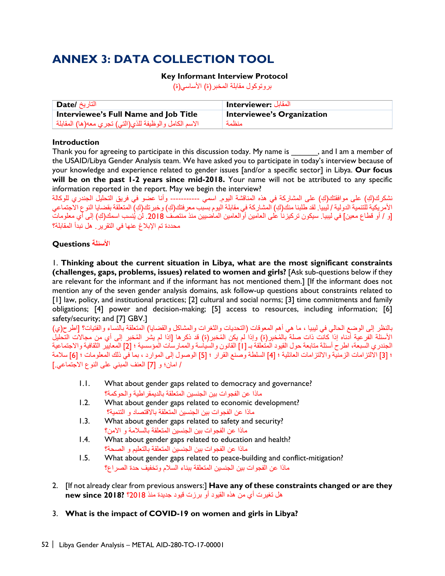# <span id="page-49-0"></span>**ANNEX 3: DATA COLLECTION TOOL**

#### **Key Informant Interview Protocol**

بروتوكول مقابلة المخبر(ة) الأساسي(ة)

| التاريخ <b>/Date</b>                                   | المقابل :Interviewer       |
|--------------------------------------------------------|----------------------------|
| Interviewee's Full Name and Job Title                  | Interviewee's Organization |
| الاسم الكامل والوظيفة للذي(التي) تجري معه(ها) المقابلة | منظمة                      |

#### **Introduction**

Thank you for agreeing to participate in this discussion today. My name is \_\_\_\_\_\_, and I am a member of the USAID/Libya Gender Analysis team. We have asked you to participate in today's interview because of your knowledge and experience related to gender issues [and/or a specific sector] in Libya. **Our focus will be on the past 1-2 years since mid-2018.** Your name will not be attributed to any specific information reported in the report. May we begin the interview?

نشكرك(ك) على موافقتك(كِ) على المشاركة في هذه المناقشة الیوم. اسمي ----------- وأنا عضو في فريق التحليل الجندري للوكالة ِ الأمريكية للتنمية الدولية / ليبيا. لقد طلبنا منك(كِ) المشاركة في مقابلة اليوم بسبب معرفتك(كِ) وخبرتك(كِ) المتعلقة بقضايا النوع الاجتماعي [و / أو قطاع معين] في ليبيا. سيكون تركيزنا على العامين أوالعامين الماضيين منذ منتصف 2018. لن يُنسب اسمك(كِ) إلى أي معلومات محددة تم الإبلاغ عنھا في التقریر. ھل نبدأ المقابلة؟

#### ا**لأسئلة Questions**

1. **Thinking about the current situation in Libya, what are the most significant constraints (challenges, gaps, problems, issues) related to women and girls?** [Ask sub-questions below if they are relevant for the informant and if the informant has not mentioned them.] [If the informant does not mention any of the seven gender analysis domains, ask follow-up questions about constraints related to [1] law, policy, and institutional practices; [2] cultural and social norms; [3] time commitments and family obligations; [4] power and decision-making; [5] access to resources, including information; [6] safety/security; and [7] GBV.]

بالنظر إلى الوضع الحالي في لیبیا ، ما ھي أھم المعوقات (التحدیات والثغرات والمشاكل والقضایا) المتعلقة بالنساء والفتیات؟ [اطرح(ي) الأسئلة الفر عية أدناه إذا كانت ذات صلة بالمُخبر(ة) وإذا لم يكن المُخبر (ة) قد ذكرها [إذا لم يشر المُخبر إلى أي من مجالات التحليل الجندري السبعة، اطرح أسئلة متابعة حول القيود المتعلقة بـ [1] القانون والسياسة والممارسات المؤسسية ؛ [2] المعايير الثقافية والاجتماعية ؛ [3] الالتزامات الزمنیة والالتزامات العائلیة ؛ [4] السلطة وصنع القرار ؛ [5] الوصول إلى الموارد ، بما في ذلك المعلومات ؛ [6] سلامة / امان؛ و [7] العنف المبني على النوع الاجتماعي.]

- 1.1. What about gender gaps related to democracy and governance? ماذا عن الفجوات بین الجنسین المتعلقة بالدیمقراطیة والحوكمة؟
- 1.2. What about gender gaps related to economic development? ماذا عن الفجوات بین الجنسین المتعلقة بالاقتصاد و التنمیة؟
- 1.3. What about gender gaps related to safety and security? ماذا عن الفجوات بین الجنسین المتعلقة بالسلامة و الامن؟
- 1.4. What about gender gaps related to education and health? ماذا عن الفجوات بین الجنسین المتعلقة بالتعلیم و الصحة؟
- 1.5. What about gender gaps related to peace-building and conflict-mitigation? ماذا عن الفجوات بین الجنسین المتعلقة ببناء السلام وتخفیف حدة الصراع؟
- 2. [If not already clear from previous answers:] **Have any of these constraints changed or are they**  ھل تغیرت أي من ھذه القیود أو برزت قیود جدیدة منذ 2018؟ **?2018 since new**
- 3. **What is the impact of COVID-19 on women and girls in Libya?**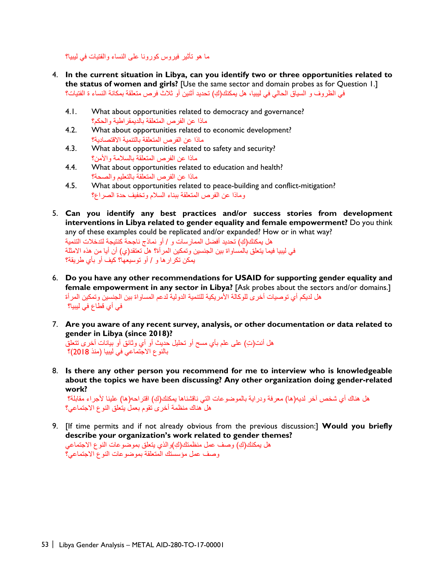ما ھو تأثیر فیروس كورونا على النساء والفتیات في لیبیا؟

- 4. **In the current situation in Libya, can you identify two or three opportunities related to the status of women and girls?** [Use the same sector and domain probes as for Question 1.] ِ في الظروف و السیاق الحالي في لیبیا، ھل یمكنك(ك) تحدید أثنین أو ثلاث فرص متعلقة بمكانة النساء ة الفتیات؟
	- 4.1. What about opportunities related to democracy and governance? ماذا عن الفرص المتعلقة بالدیمقراطیة والحكم؟
	- 4.2. What about opportunities related to economic development? ماذا عن الفرص المتعلقة بالتنمیة الاقتصادیة؟
	- 4.3. What about opportunities related to safety and security? ماذا عن الفرص المتعلقة بالسلامة والأمن؟
	- 4.4. What about opportunities related to education and health? ماذا عن الفرص المتعلقة بالتعلیم والصحة؟
	- 4.5. What about opportunities related to peace-building and conflict-mitigation? وماذا عن الفرص المتعلقة ببناء السلام وتخفیف حدة الصراع؟
- 5. **Can you identify any best practices and/or success stories from development interventions in Libya related to gender equality and female empowerment?** Do you think any of these examples could be replicated and/or expanded? How or in what way? ِ ھل یمكنك(ك) تحدید أفضل الممارسات و / أو نماذج ناجحة كنتیجة لتدخلات التنمیة في لیبیا فیما یتعلق بالمساواة بین الجنسین وتمكین المرأة؟ ھل تعتقد(ي) أن أیا من ھذه الامثلة یمكن تكرارھا و / أو توسیعھا؟ كیف أو بأي طریقة؟
- 6. **Do you have any other recommendations for USAID for supporting gender equality and female empowerment in any sector in Libya?** [Ask probes about the sectors and/or domains.] ھل لدیكم أي توصیات أخرى للوكالة الأمریكیة للتنمیة الدولیة لدعم المساواة بین الجنسین وتمكین المرأة في أي قطاع في لیبیا؟
- 7. **Are you aware of any recent survey, analysis, or other documentation or data related to gender in Libya (since 2018)?**

ِ ھل أنت(ت) على علم بأي مسح أو تحلیل حدیث أو أي وثائق أو بیانات أخرى تتعلق بالنوع الاجتماعي في لیبیا (منذ 2018)؟

8. **Is there any other person you recommend for me to interview who is knowledgeable about the topics we have been discussing? Any other organization doing gender-related work?**

ِ ھل ھناك أي شخص آخر لدیھ(ھا) معرفة ودرایة بالموضوعات التي ناقشناھا یمكنك(ك) اقتراحھ(ھا) علینا لأجراء مقابلة؟ ھل ھناك منظمة أخرى تقوم بعمل یتعلق النوع الاجتماعي؟

9. [If time permits and if not already obvious from the previous discussion:] **Would you briefly describe your organization's work related to gender themes?** ِ هل يمكنك(كِ) وصف عمل منظمتك(كِ)والذي يتعلق بموضوعات النوع الاجتماعي وصف عمل مؤسستك المتعلقة بموضوعات النوع الاجتماعي؟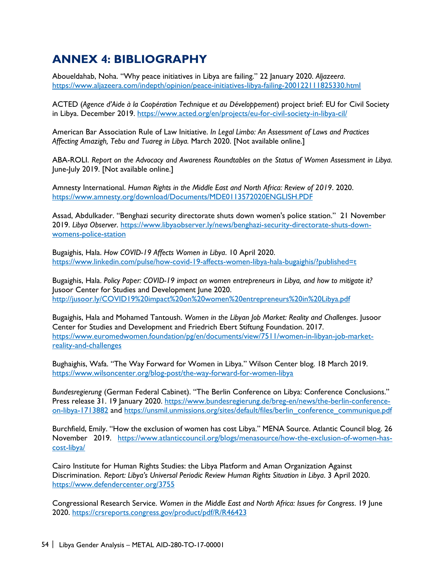# <span id="page-51-0"></span>**ANNEX 4: BIBLIOGRAPHY**

Aboueldahab, Noha. "Why peace initiatives in Libya are failing." 22 January 2020. *Aljazeera*. <https://www.aljazeera.com/indepth/opinion/peace-initiatives-libya-failing-200122111825330.html>

ACTED (*Agence d'Aide à la Coopération Technique et au Développement*) project brief: EU for Civil Society in Libya. December 2019.<https://www.acted.org/en/projects/eu-for-civil-society-in-libya-cil/>

American Bar Association Rule of Law Initiative. *In Legal Limbo: An Assessment of Laws and Practices Affecting Amazigh, Tebu and Tuareg in Libya.* March 2020. [Not available online.]

ABA-ROLI. *Report on the Advocacy and Awareness Roundtables on the Status of Women Assessment in Libya.* June-July 2019. [Not available online.]

Amnesty International. *Human Rights in the Middle East and North Africa: Review of 2019*. 2020. <https://www.amnesty.org/download/Documents/MDE0113572020ENGLISH.PDF>

Assad, Abdulkader. "Benghazi security directorate shuts down women's police station." 21 November 2019. *Libya Observer*. [https://www.libyaobserver.ly/news/benghazi-security-directorate-shuts-down](https://www.libyaobserver.ly/news/benghazi-security-directorate-shuts-down-womens-police-station)[womens-police-station](https://www.libyaobserver.ly/news/benghazi-security-directorate-shuts-down-womens-police-station)

Bugaighis, Hala. *How COVID-19 Affects Women in Libya*. 10 April 2020. <https://www.linkedin.com/pulse/how-covid-19-affects-women-libya-hala-bugaighis/?published=t>

Bugaighis, Hala. *Policy Paper: COVID-19 impact on women entrepreneurs in Libya, and how to mitigate it?* Jusoor Center for Studies and Development June 2020. <http://jusoor.ly/COVID19%20impact%20on%20women%20entrepreneurs%20in%20Libya.pdf>

Bugaighis, Hala and Mohamed Tantoush. *Women in the Libyan Job Market: Reality and Challenges*. Jusoor Center for Studies and Development and Friedrich Ebert Stiftung Foundation. 2017. [https://www.euromedwomen.foundation/pg/en/documents/view/7511/women-in-libyan-job-market](https://www.euromedwomen.foundation/pg/en/documents/view/7511/women-in-libyan-job-market-reality-and-challenges)[reality-and-challenges](https://www.euromedwomen.foundation/pg/en/documents/view/7511/women-in-libyan-job-market-reality-and-challenges)

Bughaighis, Wafa. "The Way Forward for Women in Libya." Wilson Center blog. 18 March 2019. <https://www.wilsoncenter.org/blog-post/the-way-forward-for-women-libya>

*Bundesregierung* (German Federal Cabinet). "The Berlin Conference on Libya: Conference Conclusions." Press release 31. 19 January 2020. [https://www.bundesregierung.de/breg-en/news/the-berlin-conference](https://www.bundesregierung.de/breg-en/news/the-berlin-conference-on-libya-1713882)[on-libya-1713882](https://www.bundesregierung.de/breg-en/news/the-berlin-conference-on-libya-1713882) and [https://unsmil.unmissions.org/sites/default/files/berlin\\_conference\\_communique.pdf](https://unsmil.unmissions.org/sites/default/files/berlin_conference_communique.pdf)

Burchfield, Emily. "How the exclusion of women has cost Libya." MENA Source. Atlantic Council blog. 26 November 2019. [https://www.atlanticcouncil.org/blogs/menasource/how-the-exclusion-of-women-has](https://www.atlanticcouncil.org/blogs/menasource/how-the-exclusion-of-women-has-cost-libya/)[cost-libya/](https://www.atlanticcouncil.org/blogs/menasource/how-the-exclusion-of-women-has-cost-libya/)

Cairo Institute for Human Rights Studies: the Libya Platform and Aman Organization Against Discrimination. *Report: Libya's Universal Periodic Review Human Rights Situation in Libya*. 3 April 2020. <https://www.defendercenter.org/3755>

Congressional Research Service. *Women in the Middle East and North Africa: Issues for Congress*. 19 June 2020.<https://crsreports.congress.gov/product/pdf/R/R46423>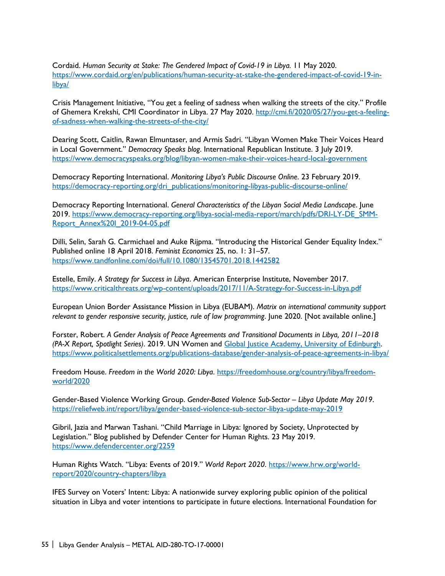Cordaid. *Human Security at Stake: The Gendered Impact of Covid-19 in Libya.* 11 May 2020. [https://www.cordaid.org/en/publications/human-security-at-stake-the-gendered-impact-of-covid-19-in](https://www.cordaid.org/en/publications/human-security-at-stake-the-gendered-impact-of-covid-19-in-libya/)[libya/](https://www.cordaid.org/en/publications/human-security-at-stake-the-gendered-impact-of-covid-19-in-libya/)

Crisis Management Initiative, "You get a feeling of sadness when walking the streets of the city." Profile of Ghemera Krekshi, CMI Coordinator in Libya. 27 May 2020. [http://cmi.fi/2020/05/27/you-get-a-feeling](http://cmi.fi/2020/05/27/you-get-a-feeling-of-sadness-when-walking-the-streets-of-the-city/)[of-sadness-when-walking-the-streets-of-the-city/](http://cmi.fi/2020/05/27/you-get-a-feeling-of-sadness-when-walking-the-streets-of-the-city/)

Dearing Scott, Caitlin, Rawan Elmuntaser, and Armis Sadri. "Libyan Women Make Their Voices Heard in Local Government." *Democracy Speaks blog*. International Republican Institute. 3 July 2019. <https://www.democracyspeaks.org/blog/libyan-women-make-their-voices-heard-local-government>

Democracy Reporting International. *Monitoring Libya's Public Discourse Online*. 23 February 2019. [https://democracy-reporting.org/dri\\_publications/monitoring-libyas-public-discourse-online/](https://democracy-reporting.org/dri_publications/monitoring-libyas-public-discourse-online/)

Democracy Reporting International. *General Characteristics of the Libyan Social Media Landscape*. June 2019. [https://www.democracy-reporting.org/libya-social-media-report/march/pdfs/DRI-LY-DE\\_SMM-](https://www.democracy-reporting.org/libya-social-media-report/march/pdfs/DRI-LY-DE_SMM-Report_Annex%20I_2019-04-05.pdf)[Report\\_Annex%20I\\_2019-04-05.pdf](https://www.democracy-reporting.org/libya-social-media-report/march/pdfs/DRI-LY-DE_SMM-Report_Annex%20I_2019-04-05.pdf)

Dilli, Selin, Sarah G. Carmichael and Auke Rijpma. "Introducing the Historical Gender Equality Index." Published online 18 April 2018. *Feminist Economics* 25, no. 1: 31–57. <https://www.tandfonline.com/doi/full/10.1080/13545701.2018.1442582>

Estelle, Emily. *A Strategy for Success in Libya*. American Enterprise Institute, November 2017. <https://www.criticalthreats.org/wp-content/uploads/2017/11/A-Strategy-for-Success-in-Libya.pdf>

European Union Border Assistance Mission in Libya (EUBAM). *Matrix on international community support relevant to gender responsive security, justice, rule of law programming*. June 2020. [Not available online.]

Forster, Robert. *A Gender Analysis of Peace Agreements and Transitional Documents in Libya, 2011–2018 (PA-X Report, Spotlight Series)*. 2019. UN Women and Global Justice Academy, University of Edinburgh. <https://www.politicalsettlements.org/publications-database/gender-analysis-of-peace-agreements-in-libya/>

Freedom House. *Freedom in the World 2020: Libya*. [https://freedomhouse.org/country/libya/freedom](https://freedomhouse.org/country/libya/freedom-world/2020)[world/2020](https://freedomhouse.org/country/libya/freedom-world/2020)

Gender-Based Violence Working Group. *Gender-Based Violence Sub-Sector – Libya Update May 2019*. <https://reliefweb.int/report/libya/gender-based-violence-sub-sector-libya-update-may-2019>

Gibril, Jazia and Marwan Tashani. "Child Marriage in Libya: Ignored by Society, Unprotected by Legislation." Blog published by Defender Center for Human Rights. 23 May 2019. <https://www.defendercenter.org/2259>

Human Rights Watch. "Libya: Events of 2019." World Report 2020. [https://www.hrw.org/world](https://www.hrw.org/world-report/2020/country-chapters/libya)[report/2020/country-chapters/libya](https://www.hrw.org/world-report/2020/country-chapters/libya) 

IFES Survey on Voters' Intent: Libya: A nationwide survey exploring public opinion of the political situation in Libya and voter intentions to participate in future elections. International Foundation for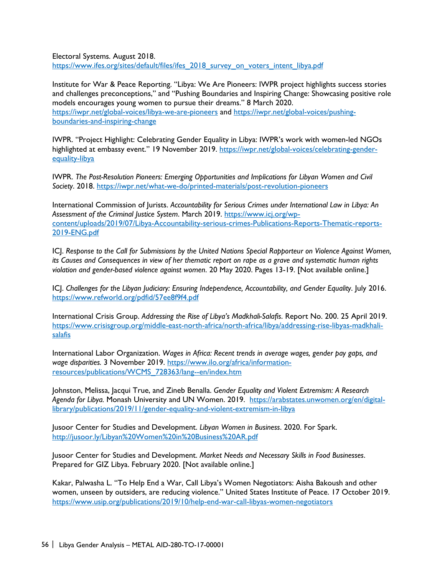Electoral Systems. August 2018. [https://www.ifes.org/sites/default/files/ifes\\_2018\\_survey\\_on\\_voters\\_intent\\_libya.pdf](https://www.ifes.org/sites/default/files/ifes_2018_survey_on_voters_intent_libya.pdf)

Institute for War & Peace Reporting. "Libya: We Are Pioneers: IWPR project highlights success stories and challenges preconceptions," and "Pushing Boundaries and Inspiring Change: Showcasing positive role models encourages young women to pursue their dreams." 8 March 2020. <https://iwpr.net/global-voices/libya-we-are-pioneers> and [https://iwpr.net/global-voices/pushing](https://iwpr.net/global-voices/pushing-boundaries-and-inspiring-change)[boundaries-and-inspiring-change](https://iwpr.net/global-voices/pushing-boundaries-and-inspiring-change)

IWPR. "Project Highlight: Celebrating Gender Equality in Libya: IWPR's work with women-led NGOs highlighted at embassy event." 19 November 2019. [https://iwpr.net/global-voices/celebrating-gender](https://iwpr.net/global-voices/celebrating-gender-equality-libya)[equality-libya](https://iwpr.net/global-voices/celebrating-gender-equality-libya)

IWPR. *The Post-Resolution Pioneers: Emerging Opportunities and Implications for Libyan Women and Civil Society*. 2018.<https://iwpr.net/what-we-do/printed-materials/post-revolution-pioneers>

International Commission of Jurists. *Accountability for Serious Crimes under International Law in Libya: An Assessment of the Criminal Justice System*. March 2019. [https://www.icj.org/wp](https://www.icj.org/wp-content/uploads/2019/07/Libya-Accountability-serious-crimes-Publications-Reports-Thematic-reports-2019-ENG.pdf)[content/uploads/2019/07/Libya-Accountability-serious-crimes-Publications-Reports-Thematic-reports-](https://www.icj.org/wp-content/uploads/2019/07/Libya-Accountability-serious-crimes-Publications-Reports-Thematic-reports-2019-ENG.pdf)[2019-ENG.pdf](https://www.icj.org/wp-content/uploads/2019/07/Libya-Accountability-serious-crimes-Publications-Reports-Thematic-reports-2019-ENG.pdf)

ICJ. *Response to the Call for Submissions by the United Nations Special Rapporteur on Violence Against Women, its Causes and Consequences in view of her thematic report on rape as a grave and systematic human rights violation and gender-based violence against women*. 20 May 2020. Pages 13-19. [Not available online.]

ICJ. *Challenges for the Libyan Judiciary: Ensuring Independence, Accountability, and Gender Equality*. July 2016. <https://www.refworld.org/pdfid/57ee8f9f4.pdf>

International Crisis Group. *Addressing the Rise of Libya's Madkhali-Salafis*. Report No. 200. 25 April 2019. [https://www.crisisgroup.org/middle-east-north-africa/north-africa/libya/addressing-rise-libyas-madkhali](https://www.crisisgroup.org/middle-east-north-africa/north-africa/libya/addressing-rise-libyas-madkhali-salafis)[salafis](https://www.crisisgroup.org/middle-east-north-africa/north-africa/libya/addressing-rise-libyas-madkhali-salafis)

International Labor Organization. *Wages in Africa: Recent trends in average wages, gender pay gaps, and wage disparities.* 3 November 2019. [https://www.ilo.org/africa/information](https://www.ilo.org/africa/information-resources/publications/WCMS_728363/lang--en/index.htm)[resources/publications/WCMS\\_728363/lang--en/index.htm](https://www.ilo.org/africa/information-resources/publications/WCMS_728363/lang--en/index.htm)

Johnston, Melissa, Jacqui True, and Zineb Benalla. *Gender Equality and Violent Extremism: A Research Agenda for Libya.* Monash University and UN Women. 2019. [https://arabstates.unwomen.org/en/digital](https://arabstates.unwomen.org/en/digital-library/publications/2019/11/gender-equality-and-violent-extremism-in-libya)[library/publications/2019/11/gender-equality-and-violent-extremism-in-libya](https://arabstates.unwomen.org/en/digital-library/publications/2019/11/gender-equality-and-violent-extremism-in-libya) 

Jusoor Center for Studies and Development. *Libyan Women in Business*. 2020. For Spark. <http://jusoor.ly/Libyan%20Women%20in%20Business%20AR.pdf>

Jusoor Center for Studies and Development. *Market Needs and Necessary Skills in Food Businesses*. Prepared for GIZ Libya. February 2020. [Not available online.]

Kakar, Palwasha L. "To Help End a War, Call Libya's Women Negotiators: Aisha Bakoush and other women, unseen by outsiders, are reducing violence." United States Institute of Peace. 17 October 2019. <https://www.usip.org/publications/2019/10/help-end-war-call-libyas-women-negotiators>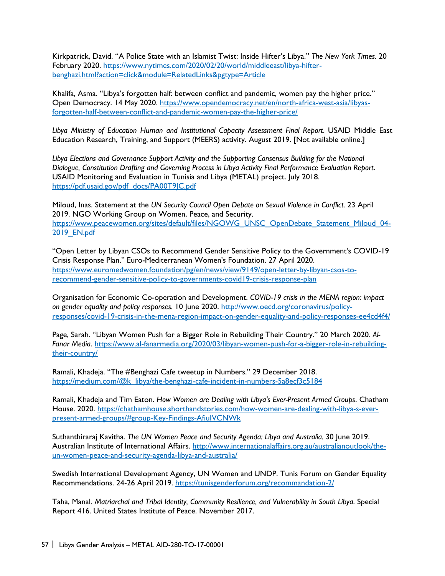Kirkpatrick, David. "A Police State with an Islamist Twist: Inside Hifter's Libya." *The New York Times.* 20 February 2020. [https://www.nytimes.com/2020/02/20/world/middleeast/libya-hifter](https://www.nytimes.com/2020/02/20/world/middleeast/libya-hifter-benghazi.html?action=click&module=RelatedLinks&pgtype=Article)[benghazi.html?action=click&module=RelatedLinks&pgtype=Article](https://www.nytimes.com/2020/02/20/world/middleeast/libya-hifter-benghazi.html?action=click&module=RelatedLinks&pgtype=Article)

Khalifa, Asma. "Libya's forgotten half: between conflict and pandemic, women pay the higher price." Open Democracy. 14 May 2020. [https://www.opendemocracy.net/en/north-africa-west-asia/libyas](https://www.opendemocracy.net/en/north-africa-west-asia/libyas-forgotten-half-between-conflict-and-pandemic-women-pay-the-higher-price/)[forgotten-half-between-conflict-and-pandemic-women-pay-the-higher-price/](https://www.opendemocracy.net/en/north-africa-west-asia/libyas-forgotten-half-between-conflict-and-pandemic-women-pay-the-higher-price/)

*Libya Ministry of Education Human and Institutional Capacity Assessment Final Report*. USAID Middle East Education Research, Training, and Support (MEERS) activity. August 2019. [Not available online.]

*Libya Elections and Governance Support Activity and the Supporting Consensus Building for the National Dialogue, Constitution Drafting and Governing Process in Libya Activity Final Performance Evaluation Report*. USAID Monitoring and Evaluation in Tunisia and Libya (METAL) project. July 2018. [https://pdf.usaid.gov/pdf\\_docs/PA00T9JC.pdf](https://pdf.usaid.gov/pdf_docs/PA00T9JC.pdf)

Miloud, Inas. Statement at the *UN Security Council Open Debate on Sexual Violence in Conflict.* 23 April 2019. NGO Working Group on Women, Peace, and Security. [https://www.peacewomen.org/sites/default/files/NGOWG\\_UNSC\\_OpenDebate\\_Statement\\_Miloud\\_04-](https://www.peacewomen.org/sites/default/files/NGOWG_UNSC_OpenDebate_Statement_Miloud_04-2019_EN.pdf) [2019\\_EN.pdf](https://www.peacewomen.org/sites/default/files/NGOWG_UNSC_OpenDebate_Statement_Miloud_04-2019_EN.pdf)

"Open Letter by Libyan CSOs to Recommend Gender Sensitive Policy to the Government's COVID-19 Crisis Response Plan." Euro-Mediterranean Women's Foundation. 27 April 2020. [https://www.euromedwomen.foundation/pg/en/news/view/9149/open-letter-by-libyan-csos-to](https://www.euromedwomen.foundation/pg/en/news/view/9149/open-letter-by-libyan-csos-to-recommend-gender-sensitive-policy-to-governments-covid19-crisis-response-plan)[recommend-gender-sensitive-policy-to-governments-covid19-crisis-response-plan](https://www.euromedwomen.foundation/pg/en/news/view/9149/open-letter-by-libyan-csos-to-recommend-gender-sensitive-policy-to-governments-covid19-crisis-response-plan)

Organisation for Economic Co-operation and Development. *COVID-19 crisis in the MENA region: impact on gender equality and policy responses.* 10 June 2020. [http://www.oecd.org/coronavirus/policy](http://www.oecd.org/coronavirus/policy-responses/covid-19-crisis-in-the-mena-region-impact-on-gender-equality-and-policy-responses-ee4cd4f4/)[responses/covid-19-crisis-in-the-mena-region-impact-on-gender-equality-and-policy-responses-ee4cd4f4/](http://www.oecd.org/coronavirus/policy-responses/covid-19-crisis-in-the-mena-region-impact-on-gender-equality-and-policy-responses-ee4cd4f4/)

Page, Sarah. "Libyan Women Push for a Bigger Role in Rebuilding Their Country." 20 March 2020. *Al-Fanar Media*. [https://www.al-fanarmedia.org/2020/03/libyan-women-push-for-a-bigger-role-in-rebuilding](https://www.al-fanarmedia.org/2020/03/libyan-women-push-for-a-bigger-role-in-rebuilding-their-country/)[their-country/](https://www.al-fanarmedia.org/2020/03/libyan-women-push-for-a-bigger-role-in-rebuilding-their-country/)

Ramali, Khadeja. "The #Benghazi Cafe tweetup in Numbers." 29 December 2018. [https://medium.com/@k\\_libya/the-benghazi-cafe-incident-in-numbers-5a8ecf3c5184](https://medium.com/@k_libya/the-benghazi-cafe-incident-in-numbers-5a8ecf3c5184)

Ramali, Khadeja and Tim Eaton. *How Women are Dealing with Libya's Ever-Present Armed Groups*. Chatham House. 2020. [https://chathamhouse.shorthandstories.com/how-women-are-dealing-with-libya-s-ever](https://chathamhouse.shorthandstories.com/how-women-are-dealing-with-libya-s-ever-present-armed-groups/#group-Key-Findings-AfiuIVCNWk)[present-armed-groups/#group-Key-Findings-AfiuIVCNWk](https://chathamhouse.shorthandstories.com/how-women-are-dealing-with-libya-s-ever-present-armed-groups/#group-Key-Findings-AfiuIVCNWk)

Suthanthiraraj Kavitha. *The UN Women Peace and Security Agenda: Libya and Australia.* 30 June 2019. Australian Institute of International Affairs. [http://www.internationalaffairs.org.au/australianoutlook/the](http://www.internationalaffairs.org.au/australianoutlook/the-un-women-peace-and-security-agenda-libya-and-australia/)[un-women-peace-and-security-agenda-libya-and-australia/](http://www.internationalaffairs.org.au/australianoutlook/the-un-women-peace-and-security-agenda-libya-and-australia/)

Swedish International Development Agency, UN Women and UNDP. Tunis Forum on Gender Equality Recommendations. 24-26 April 2019.<https://tunisgenderforum.org/recommandation-2/>

Taha, Manal. *Matriarchal and Tribal Identity, Community Resilience, and Vulnerability in South Libya*. Special Report 416. United States Institute of Peace. November 2017.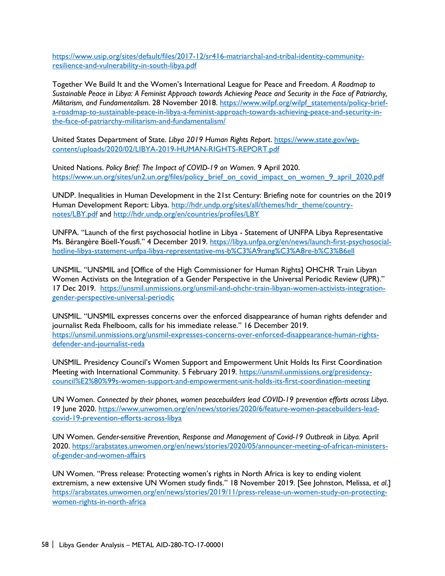[https://www.usip.org/sites/default/files/2017-12/sr416-matriarchal-and-tribal-identity-community](https://www.usip.org/sites/default/files/2017-12/sr416-matriarchal-and-tribal-identity-community-resilience-and-vulnerability-in-south-libya.pdf)[resilience-and-vulnerability-in-south-libya.pdf](https://www.usip.org/sites/default/files/2017-12/sr416-matriarchal-and-tribal-identity-community-resilience-and-vulnerability-in-south-libya.pdf)

Together We Build It and the Women's International League for Peace and Freedom. *A Roadmap to Sustainable Peace in Libya: A Feminist Approach towards Achieving Peace and Security in the Face of Patriarchy, Militarism, and Fundamentalism.* 28 November 2018. [https://www.wilpf.org/wilpf\\_statements/policy-brief](https://www.wilpf.org/wilpf_statements/policy-brief-a-roadmap-to-sustainable-peace-in-libya-a-feminist-approach-towards-achieving-peace-and-security-in-the-face-of-patriarchy-militarism-and-fundamentalism/)[a-roadmap-to-sustainable-peace-in-libya-a-feminist-approach-towards-achieving-peace-and-security-in](https://www.wilpf.org/wilpf_statements/policy-brief-a-roadmap-to-sustainable-peace-in-libya-a-feminist-approach-towards-achieving-peace-and-security-in-the-face-of-patriarchy-militarism-and-fundamentalism/)[the-face-of-patriarchy-militarism-and-fundamentalism/](https://www.wilpf.org/wilpf_statements/policy-brief-a-roadmap-to-sustainable-peace-in-libya-a-feminist-approach-towards-achieving-peace-and-security-in-the-face-of-patriarchy-militarism-and-fundamentalism/)

United States Department of State. *Libya 2019 Human Rights Report*. [https://www.state.gov/wp](https://www.state.gov/wp-content/uploads/2020/02/LIBYA-2019-HUMAN-RIGHTS-REPORT.pdf)[content/uploads/2020/02/LIBYA-2019-HUMAN-RIGHTS-REPORT.pdf](https://www.state.gov/wp-content/uploads/2020/02/LIBYA-2019-HUMAN-RIGHTS-REPORT.pdf)

United Nations. *Policy Brief: The Impact of COVID-19 on Women*. 9 April 2020. [https://www.un.org/sites/un2.un.org/files/policy\\_brief\\_on\\_covid\\_impact\\_on\\_women\\_9\\_april\\_2020.pdf](https://www.un.org/sites/un2.un.org/files/policy_brief_on_covid_impact_on_women_9_april_2020.pdf)

UNDP. Inequalities in Human Development in the 21st Century: Briefing note for countries on the 2019 Human Development Report: Libya. [http://hdr.undp.org/sites/all/themes/hdr\\_theme/country](http://hdr.undp.org/sites/all/themes/hdr_theme/country-notes/LBY.pdf)[notes/LBY.pdf](http://hdr.undp.org/sites/all/themes/hdr_theme/country-notes/LBY.pdf) and<http://hdr.undp.org/en/countries/profiles/LBY>

UNFPA. "Launch of the first psychosocial hotline in Libya - Statement of UNFPA Libya Representative Ms. Bérangère Böell-Yousfi." 4 December 2019. [https://libya.unfpa.org/en/news/launch-first-psychosocial](https://libya.unfpa.org/en/news/launch-first-psychosocial-hotline-libya-statement-unfpa-libya-representative-ms-b%C3%A9rang%C3%A8re-b%C3%B6ell)[hotline-libya-statement-unfpa-libya-representative-ms-b%C3%A9rang%C3%A8re-b%C3%B6ell](https://libya.unfpa.org/en/news/launch-first-psychosocial-hotline-libya-statement-unfpa-libya-representative-ms-b%C3%A9rang%C3%A8re-b%C3%B6ell)

UNSMIL. "UNSMIL and [Office of the High Commissioner for Human Rights] OHCHR Train Libyan Women Activists on the Integration of a Gender Perspective in the Universal Periodic Review (UPR)." 17 Dec 2019. [https://unsmil.unmissions.org/unsmil-and-ohchr-train-libyan-women-activists-integration](https://unsmil.unmissions.org/unsmil-and-ohchr-train-libyan-women-activists-integration-gender-perspective-universal-periodic)[gender-perspective-universal-periodic](https://unsmil.unmissions.org/unsmil-and-ohchr-train-libyan-women-activists-integration-gender-perspective-universal-periodic)

UNSMIL. "UNSMIL expresses concerns over the enforced disappearance of human rights defender and journalist Reda Fhelboom, calls for his immediate release." 16 December 2019. [https://unsmil.unmissions.org/unsmil-expresses-concerns-over-enforced-disappearance-human-rights](https://unsmil.unmissions.org/unsmil-expresses-concerns-over-enforced-disappearance-human-rights-defender-and-journalist-reda)[defender-and-journalist-reda](https://unsmil.unmissions.org/unsmil-expresses-concerns-over-enforced-disappearance-human-rights-defender-and-journalist-reda)

UNSMIL. Presidency Council's Women Support and Empowerment Unit Holds Its First Coordination Meeting with International Community. 5 February 2019. [https://unsmil.unmissions.org/presidency](https://unsmil.unmissions.org/presidency-council%E2%80%99s-women-support-and-empowerment-unit-holds-its-first-coordination-meeting)[council%E2%80%99s-women-support-and-empowerment-unit-holds-its-first-coordination-meeting](https://unsmil.unmissions.org/presidency-council%E2%80%99s-women-support-and-empowerment-unit-holds-its-first-coordination-meeting)

UN Women. *Connected by their phones, women peacebuilders lead COVID-19 prevention efforts across Libya*. 19 June 2020. [https://www.unwomen.org/en/news/stories/2020/6/feature-women-peacebuilders-lead](https://www.unwomen.org/en/news/stories/2020/6/feature-women-peacebuilders-lead-covid-19-prevention-efforts-across-libya)[covid-19-prevention-efforts-across-libya](https://www.unwomen.org/en/news/stories/2020/6/feature-women-peacebuilders-lead-covid-19-prevention-efforts-across-libya)

UN Women. *Gender-sensitive Prevention, Response and Management of Covid-19 Outbreak in Libya.* April 2020. [https://arabstates.unwomen.org/en/news/stories/2020/05/announcer-meeting-of-african-ministers](https://arabstates.unwomen.org/en/news/stories/2020/05/announcer-meeting-of-african-ministers-of-gender-and-women-affairs)[of-gender-and-women-affairs](https://arabstates.unwomen.org/en/news/stories/2020/05/announcer-meeting-of-african-ministers-of-gender-and-women-affairs) 

UN Women. "Press release: Protecting women's rights in North Africa is key to ending violent extremism, a new extensive UN Women study finds." 18 November 2019. [See Johnston, Melissa, *et al*.] [https://arabstates.unwomen.org/en/news/stories/2019/11/press-release-un-women-study-on-protecting](https://arabstates.unwomen.org/en/news/stories/2019/11/press-release-un-women-study-on-protecting-women-rights-in-north-africa)[women-rights-in-north-africa](https://arabstates.unwomen.org/en/news/stories/2019/11/press-release-un-women-study-on-protecting-women-rights-in-north-africa)